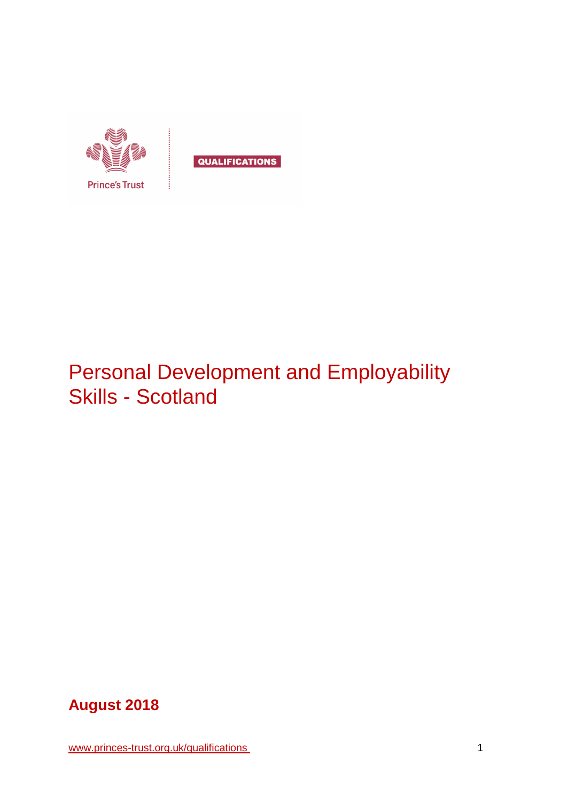

# Personal Development and Employability Skills - Scotland



[www.princes-trust.org.uk/qualifications](http://www.princes-trust.org.uk/qualifications) 1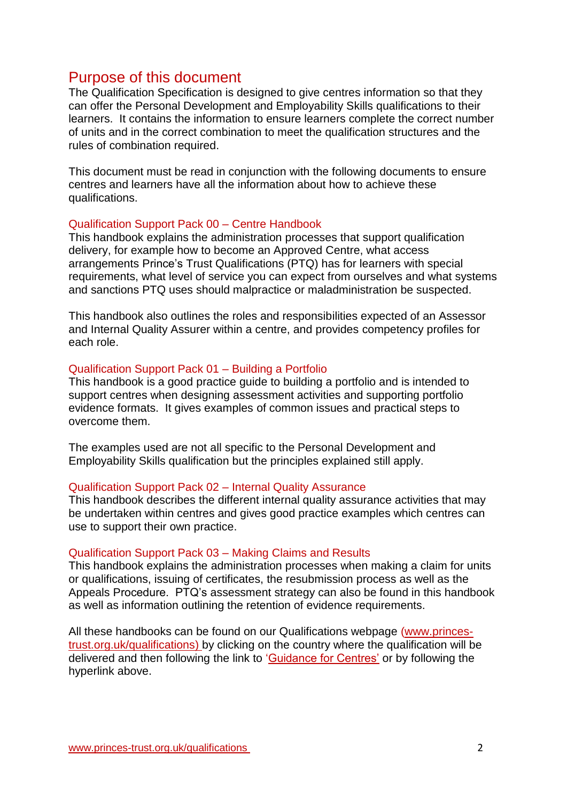# <span id="page-1-0"></span>Purpose of this document

The Qualification Specification is designed to give centres information so that they can offer the Personal Development and Employability Skills qualifications to their learners. It contains the information to ensure learners complete the correct number of units and in the correct combination to meet the qualification structures and the rules of combination required.

This document must be read in conjunction with the following documents to ensure centres and learners have all the information about how to achieve these qualifications.

#### Qualification Support Pack 00 – Centre Handbook

This handbook explains the administration processes that support qualification delivery, for example how to become an Approved Centre, what access arrangements Prince's Trust Qualifications (PTQ) has for learners with special requirements, what level of service you can expect from ourselves and what systems and sanctions PTQ uses should malpractice or maladministration be suspected.

This handbook also outlines the roles and responsibilities expected of an Assessor and Internal Quality Assurer within a centre, and provides competency profiles for each role.

#### Qualification Support Pack 01 – Building a Portfolio

This handbook is a good practice guide to building a portfolio and is intended to support centres when designing assessment activities and supporting portfolio evidence formats. It gives examples of common issues and practical steps to overcome them.

The examples used are not all specific to the Personal Development and Employability Skills qualification but the principles explained still apply.

#### Qualification Support Pack 02 – Internal Quality Assurance

This handbook describes the different internal quality assurance activities that may be undertaken within centres and gives good practice examples which centres can use to support their own practice.

#### Qualification Support Pack 03 – Making Claims and Results

This handbook explains the administration processes when making a claim for units or qualifications, issuing of certificates, the resubmission process as well as the Appeals Procedure. PTQ's assessment strategy can also be found in this handbook as well as information outlining the retention of evidence requirements.

All these handbooks can be found on our Qualifications webpage [\(www.princes](http://www.princes-trust.org.uk/qualifications)[trust.org.uk/qualifications\)](http://www.princes-trust.org.uk/qualifications) by clicking on the country where the qualification will be delivered and then following the link to ['Guidance for Centres'](https://www.princes-trust.org.uk/about-the-trust/qualifications/guidance-for-centres) or by following the hyperlink above.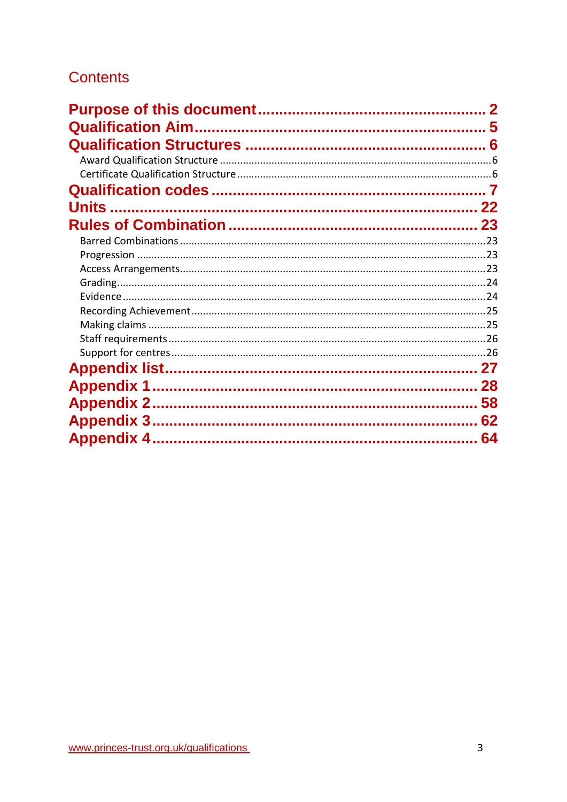# **Contents**

| <b>Units</b>      | 22 |
|-------------------|----|
|                   |    |
|                   |    |
|                   |    |
|                   |    |
|                   |    |
|                   |    |
|                   |    |
|                   |    |
|                   |    |
|                   |    |
|                   |    |
|                   | 28 |
| <b>Appendix 2</b> | 58 |
|                   | 62 |
|                   | 64 |
|                   |    |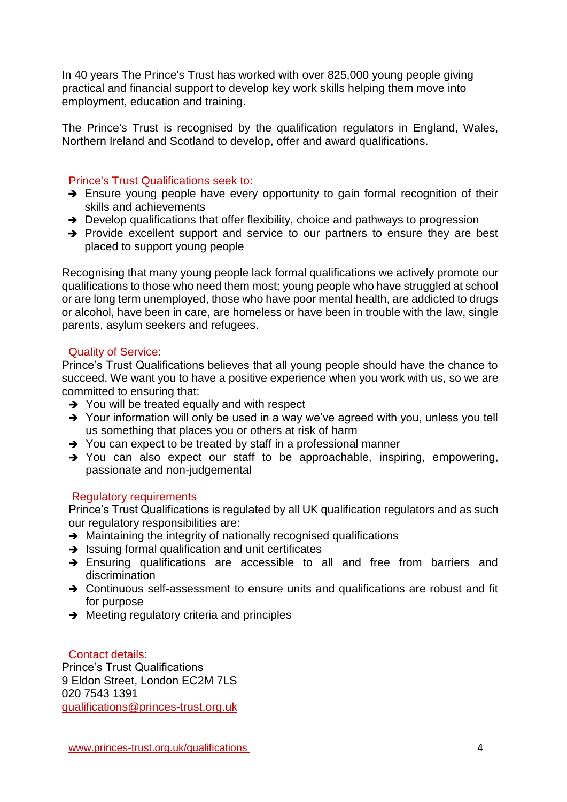In 40 years The Prince's Trust has worked with over 825,000 young people giving practical and financial support to develop key work skills helping them move into employment, education and training.

The Prince's Trust is recognised by the qualification regulators in England, Wales, Northern Ireland and Scotland to develop, offer and award qualifications.

### Prince's Trust Qualifications seek to:

- $\rightarrow$  Ensure young people have every opportunity to gain formal recognition of their skills and achievements
- $\rightarrow$  Develop qualifications that offer flexibility, choice and pathways to progression
- $\rightarrow$  Provide excellent support and service to our partners to ensure they are best placed to support young people

Recognising that many young people lack formal qualifications we actively promote our qualifications to those who need them most; young people who have struggled at school or are long term unemployed, those who have poor mental health, are addicted to drugs or alcohol, have been in care, are homeless or have been in trouble with the law, single parents, asylum seekers and refugees.

#### Quality of Service:

Prince's Trust Qualifications believes that all young people should have the chance to succeed. We want you to have a positive experience when you work with us, so we are committed to ensuring that:

- $\rightarrow$  You will be treated equally and with respect
- → Your information will only be used in a way we've agreed with you, unless you tell us something that places you or others at risk of harm
- $\rightarrow$  You can expect to be treated by staff in a professional manner
- $\rightarrow$  You can also expect our staff to be approachable, inspiring, empowering, passionate and non-judgemental

### Regulatory requirements

Prince's Trust Qualifications is regulated by all UK qualification regulators and as such our regulatory responsibilities are:

- $\rightarrow$  Maintaining the integrity of nationally recognised qualifications
- $\rightarrow$  Issuing formal qualification and unit certificates
- → Ensuring qualifications are accessible to all and free from barriers and discrimination
- → Continuous self-assessment to ensure units and qualifications are robust and fit for purpose
- $\rightarrow$  Meeting regulatory criteria and principles

### Contact details:

Prince's Trust Qualifications 9 Eldon Street, London EC2M 7LS 020 7543 1391 [qualifications@princes-trust.org.uk](mailto:qualifications@princes-trust.org.uk)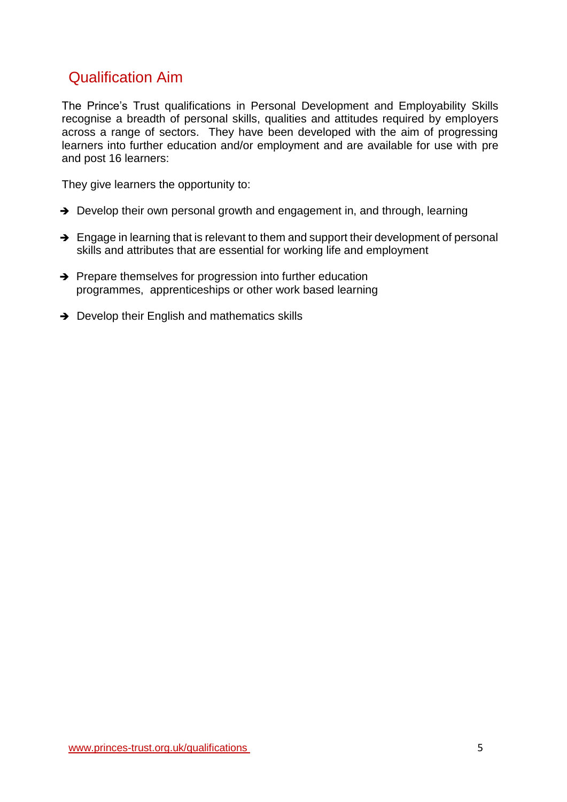# <span id="page-4-0"></span>Qualification Aim

The Prince's Trust qualifications in Personal Development and Employability Skills recognise a breadth of personal skills, qualities and attitudes required by employers across a range of sectors. They have been developed with the aim of progressing learners into further education and/or employment and are available for use with pre and post 16 learners:

They give learners the opportunity to:

- $\rightarrow$  Develop their own personal growth and engagement in, and through, learning
- $\rightarrow$  Engage in learning that is relevant to them and support their development of personal skills and attributes that are essential for working life and employment
- $\rightarrow$  Prepare themselves for progression into further education programmes, apprenticeships or other work based learning
- $\rightarrow$  Develop their English and mathematics skills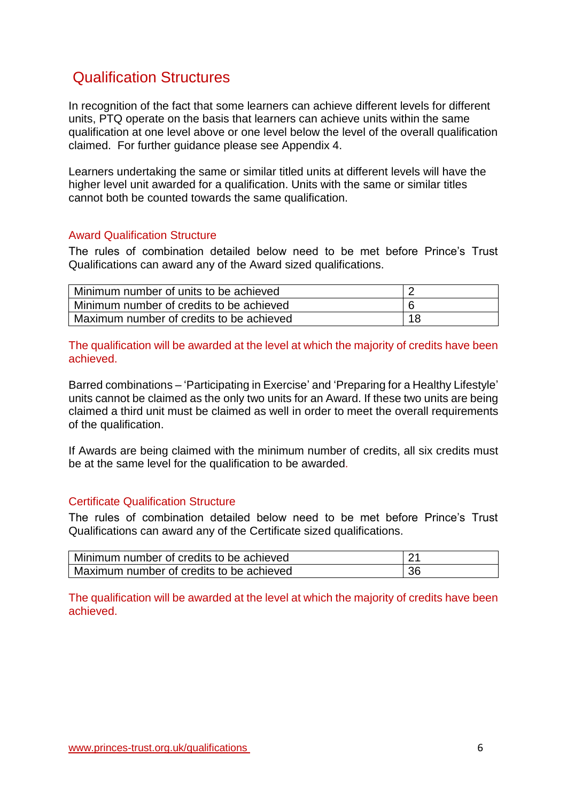# <span id="page-5-0"></span>Qualification Structures

In recognition of the fact that some learners can achieve different levels for different units, PTQ operate on the basis that learners can achieve units within the same qualification at one level above or one level below the level of the overall qualification claimed. For further guidance please see Appendix 4.

Learners undertaking the same or similar titled units at different levels will have the higher level unit awarded for a qualification. Units with the same or similar titles cannot both be counted towards the same qualification.

#### <span id="page-5-1"></span>Award Qualification Structure

The rules of combination detailed below need to be met before Prince's Trust Qualifications can award any of the Award sized qualifications.

| Minimum number of units to be achieved   |    |
|------------------------------------------|----|
| Minimum number of credits to be achieved |    |
| Maximum number of credits to be achieved | 18 |

The qualification will be awarded at the level at which the majority of credits have been achieved.

Barred combinations – 'Participating in Exercise' and 'Preparing for a Healthy Lifestyle' units cannot be claimed as the only two units for an Award. If these two units are being claimed a third unit must be claimed as well in order to meet the overall requirements of the qualification.

If Awards are being claimed with the minimum number of credits, all six credits must be at the same level for the qualification to be awarded*.* 

#### <span id="page-5-2"></span>Certificate Qualification Structure

The rules of combination detailed below need to be met before Prince's Trust Qualifications can award any of the Certificate sized qualifications.

| Minimum number of credits to be achieved | ົດ 4 |
|------------------------------------------|------|
| Maximum number of credits to be achieved | 36   |

The qualification will be awarded at the level at which the majority of credits have been achieved.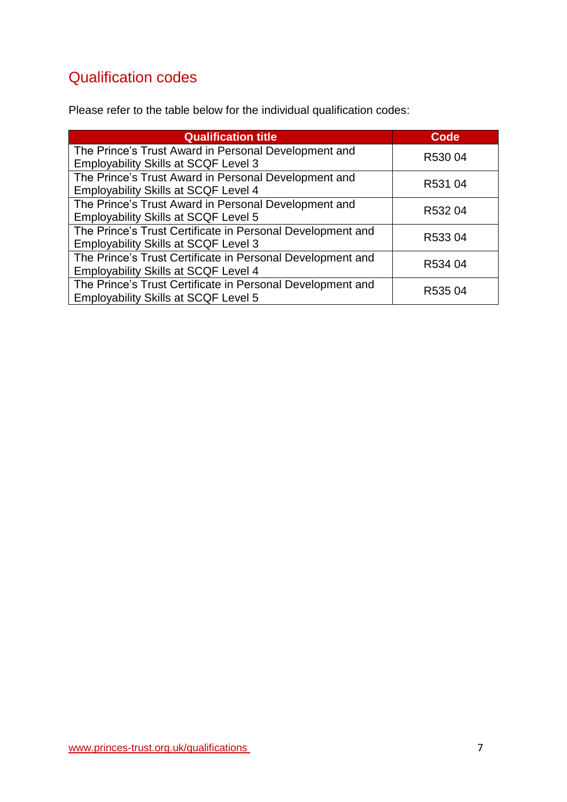# <span id="page-6-0"></span>Qualification codes

Please refer to the table below for the individual qualification codes:

| <b>Qualification title</b>                                                                                | <b>Code</b> |
|-----------------------------------------------------------------------------------------------------------|-------------|
| The Prince's Trust Award in Personal Development and<br><b>Employability Skills at SCQF Level 3</b>       | R53004      |
| The Prince's Trust Award in Personal Development and<br><b>Employability Skills at SCQF Level 4</b>       | R531 04     |
| The Prince's Trust Award in Personal Development and<br><b>Employability Skills at SCQF Level 5</b>       | R53204      |
| The Prince's Trust Certificate in Personal Development and<br><b>Employability Skills at SCQF Level 3</b> | R53304      |
| The Prince's Trust Certificate in Personal Development and<br><b>Employability Skills at SCQF Level 4</b> | R534 04     |
| The Prince's Trust Certificate in Personal Development and<br><b>Employability Skills at SCQF Level 5</b> | R53504      |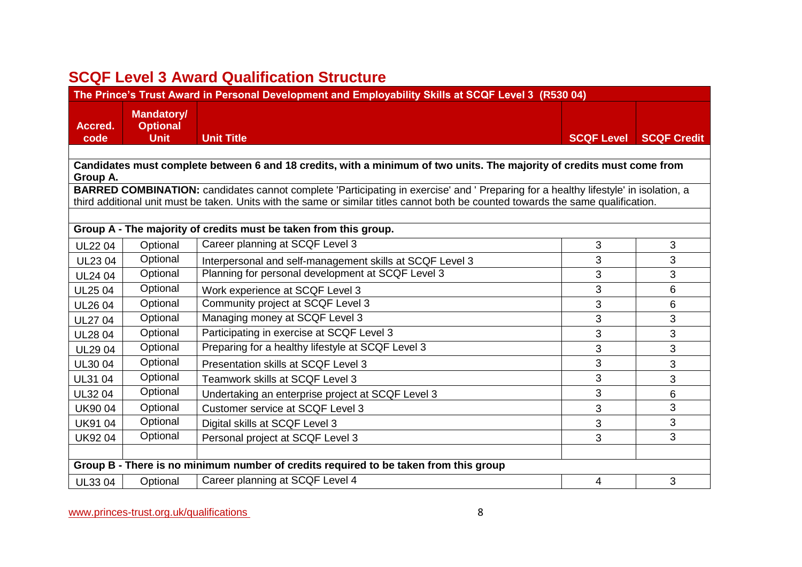# **SCQF Level 3 Award Qualification Structure**

| The Prince's Trust Award in Personal Development and Employability Skills at SCQF Level 3 (R530 04) |                                                     |                                                                                                                                                                                                                                                                          |                   |                    |
|-----------------------------------------------------------------------------------------------------|-----------------------------------------------------|--------------------------------------------------------------------------------------------------------------------------------------------------------------------------------------------------------------------------------------------------------------------------|-------------------|--------------------|
| Accred.<br>code                                                                                     | <b>Mandatory/</b><br><b>Optional</b><br><b>Unit</b> | <b>Unit Title</b>                                                                                                                                                                                                                                                        | <b>SCQF Level</b> | <b>SCQF Credit</b> |
|                                                                                                     |                                                     |                                                                                                                                                                                                                                                                          |                   |                    |
|                                                                                                     |                                                     | Candidates must complete between 6 and 18 credits, with a minimum of two units. The majority of credits must come from                                                                                                                                                   |                   |                    |
| Group A.                                                                                            |                                                     |                                                                                                                                                                                                                                                                          |                   |                    |
|                                                                                                     |                                                     | BARRED COMBINATION: candidates cannot complete 'Participating in exercise' and ' Preparing for a healthy lifestyle' in isolation, a<br>third additional unit must be taken. Units with the same or similar titles cannot both be counted towards the same qualification. |                   |                    |
|                                                                                                     |                                                     |                                                                                                                                                                                                                                                                          |                   |                    |
|                                                                                                     |                                                     | Group A - The majority of credits must be taken from this group.                                                                                                                                                                                                         |                   |                    |
| <b>UL2204</b>                                                                                       | Optional                                            | Career planning at SCQF Level 3                                                                                                                                                                                                                                          | 3                 | 3                  |
| <b>UL2304</b>                                                                                       | Optional                                            | Interpersonal and self-management skills at SCQF Level 3                                                                                                                                                                                                                 | 3                 | 3                  |
| <b>UL24 04</b>                                                                                      | Optional                                            | Planning for personal development at SCQF Level 3                                                                                                                                                                                                                        | 3                 | 3                  |
| <b>UL25 04</b>                                                                                      | Optional                                            | Work experience at SCQF Level 3                                                                                                                                                                                                                                          | 3                 | 6                  |
| <b>UL26 04</b>                                                                                      | Optional                                            | Community project at SCQF Level 3                                                                                                                                                                                                                                        | 3                 | 6                  |
| <b>UL27 04</b>                                                                                      | Optional                                            | Managing money at SCQF Level 3                                                                                                                                                                                                                                           | 3                 | 3                  |
| <b>UL28 04</b>                                                                                      | Optional                                            | Participating in exercise at SCQF Level 3                                                                                                                                                                                                                                | 3                 | 3                  |
| <b>UL2904</b>                                                                                       | Optional                                            | Preparing for a healthy lifestyle at SCQF Level 3                                                                                                                                                                                                                        | 3                 | 3                  |
| <b>UL3004</b>                                                                                       | Optional                                            | Presentation skills at SCQF Level 3                                                                                                                                                                                                                                      | 3                 | 3                  |
| UL31 04                                                                                             | Optional                                            | Teamwork skills at SCQF Level 3                                                                                                                                                                                                                                          | 3                 | 3                  |
| UL32 04                                                                                             | Optional                                            | Undertaking an enterprise project at SCQF Level 3                                                                                                                                                                                                                        | 3                 | 6                  |
| <b>UK9004</b>                                                                                       | Optional                                            | <b>Customer service at SCQF Level 3</b>                                                                                                                                                                                                                                  | 3                 | 3                  |
| <b>UK9104</b>                                                                                       | Optional                                            | Digital skills at SCQF Level 3                                                                                                                                                                                                                                           | 3                 | 3                  |
| <b>UK9204</b>                                                                                       | Optional                                            | Personal project at SCQF Level 3                                                                                                                                                                                                                                         | 3                 | 3                  |
|                                                                                                     |                                                     |                                                                                                                                                                                                                                                                          |                   |                    |
|                                                                                                     |                                                     | Group B - There is no minimum number of credits required to be taken from this group                                                                                                                                                                                     |                   |                    |
| UL33 04                                                                                             | Optional                                            | Career planning at SCQF Level 4                                                                                                                                                                                                                                          | 4                 | 3                  |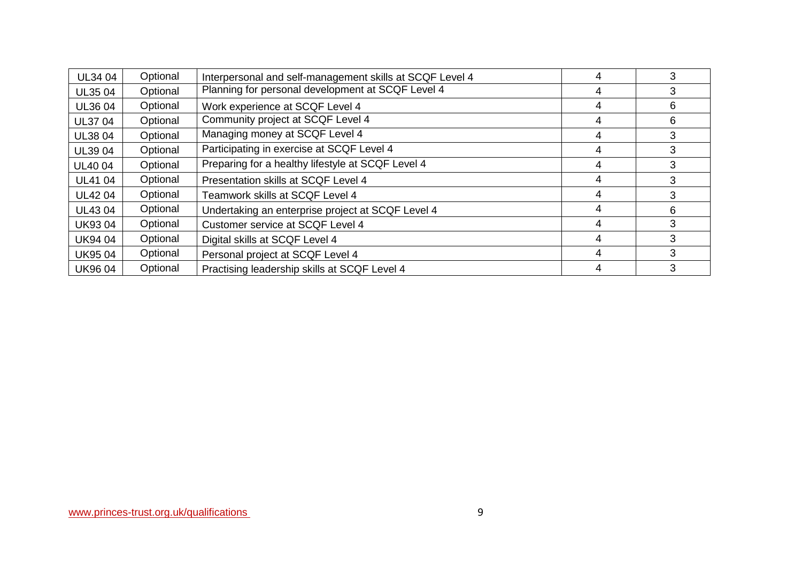| <b>UL34 04</b> | Optional | Interpersonal and self-management skills at SCQF Level 4 |   | 3 |
|----------------|----------|----------------------------------------------------------|---|---|
| <b>UL3504</b>  | Optional | Planning for personal development at SCQF Level 4        | 4 | 3 |
| <b>UL36 04</b> | Optional | Work experience at SCQF Level 4                          | 4 | 6 |
| <b>UL37 04</b> | Optional | Community project at SCQF Level 4                        | 4 | 6 |
| <b>UL38 04</b> | Optional | Managing money at SCQF Level 4                           | 4 | 3 |
| UL39 04        | Optional | Participating in exercise at SCQF Level 4                | 4 | 3 |
| <b>UL40 04</b> | Optional | Preparing for a healthy lifestyle at SCQF Level 4        | 4 | 3 |
| <b>UL4104</b>  | Optional | Presentation skills at SCQF Level 4                      |   | 3 |
| <b>UL4204</b>  | Optional | Teamwork skills at SCQF Level 4                          | 4 | 3 |
| <b>UL4304</b>  | Optional | Undertaking an enterprise project at SCQF Level 4        | 4 | 6 |
| <b>UK9304</b>  | Optional | Customer service at SCQF Level 4                         | 4 | 3 |
| <b>UK9404</b>  | Optional | Digital skills at SCQF Level 4                           | 4 | 3 |
| <b>UK9504</b>  | Optional | Personal project at SCQF Level 4                         | 4 | 3 |
| <b>UK9604</b>  | Optional | Practising leadership skills at SCQF Level 4             |   | 3 |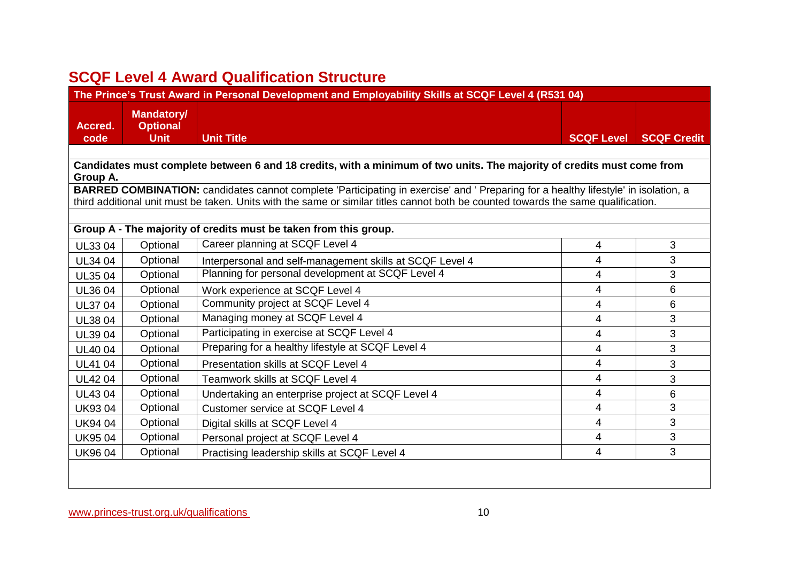# **SCQF Level 4 Award Qualification Structure**

| The Prince's Trust Award in Personal Development and Employability Skills at SCQF Level 4 (R531 04) |                                                     |                                                                                                                                     |                   |                    |
|-----------------------------------------------------------------------------------------------------|-----------------------------------------------------|-------------------------------------------------------------------------------------------------------------------------------------|-------------------|--------------------|
| Accred.<br>code                                                                                     | <b>Mandatory/</b><br><b>Optional</b><br><b>Unit</b> | <b>Unit Title</b>                                                                                                                   | <b>SCQF Level</b> | <b>SCQF Credit</b> |
|                                                                                                     |                                                     |                                                                                                                                     |                   |                    |
|                                                                                                     |                                                     | Candidates must complete between 6 and 18 credits, with a minimum of two units. The majority of credits must come from              |                   |                    |
| Group A.                                                                                            |                                                     | BARRED COMBINATION: candidates cannot complete 'Participating in exercise' and ' Preparing for a healthy lifestyle' in isolation, a |                   |                    |
|                                                                                                     |                                                     | third additional unit must be taken. Units with the same or similar titles cannot both be counted towards the same qualification.   |                   |                    |
|                                                                                                     |                                                     |                                                                                                                                     |                   |                    |
|                                                                                                     |                                                     | Group A - The majority of credits must be taken from this group.                                                                    |                   |                    |
| UL33 04                                                                                             | Optional                                            | Career planning at SCQF Level 4                                                                                                     | 4                 | 3                  |
| <b>UL34 04</b>                                                                                      | Optional                                            | Interpersonal and self-management skills at SCQF Level 4                                                                            | 4                 | 3                  |
| <b>UL3504</b>                                                                                       | Optional                                            | Planning for personal development at SCQF Level 4                                                                                   | 4                 | 3                  |
| UL36 04                                                                                             | Optional                                            | Work experience at SCQF Level 4                                                                                                     | 4                 | 6                  |
| <b>UL3704</b>                                                                                       | Optional                                            | Community project at SCQF Level 4                                                                                                   | 4                 | 6                  |
| <b>UL3804</b>                                                                                       | Optional                                            | Managing money at SCQF Level 4                                                                                                      | 4                 | 3                  |
| UL39 04                                                                                             | Optional                                            | Participating in exercise at SCQF Level 4                                                                                           | 4                 | 3                  |
| <b>UL4004</b>                                                                                       | Optional                                            | Preparing for a healthy lifestyle at SCQF Level 4                                                                                   | 4                 | 3                  |
| <b>UL41 04</b>                                                                                      | Optional                                            | Presentation skills at SCQF Level 4                                                                                                 | 4                 | 3                  |
| <b>UL4204</b>                                                                                       | Optional                                            | Teamwork skills at SCQF Level 4                                                                                                     | 4                 | 3                  |
| <b>UL4304</b>                                                                                       | Optional                                            | Undertaking an enterprise project at SCQF Level 4                                                                                   | 4                 | 6                  |
| <b>UK9304</b>                                                                                       | Optional                                            | Customer service at SCQF Level 4                                                                                                    | 4                 | 3                  |
| <b>UK9404</b>                                                                                       | Optional                                            | Digital skills at SCQF Level 4                                                                                                      | 4                 | 3                  |
| <b>UK9504</b>                                                                                       | Optional                                            | Personal project at SCQF Level 4                                                                                                    | 4                 | 3                  |
| <b>UK9604</b>                                                                                       | Optional                                            | Practising leadership skills at SCQF Level 4                                                                                        | 4                 | 3                  |
|                                                                                                     |                                                     |                                                                                                                                     |                   |                    |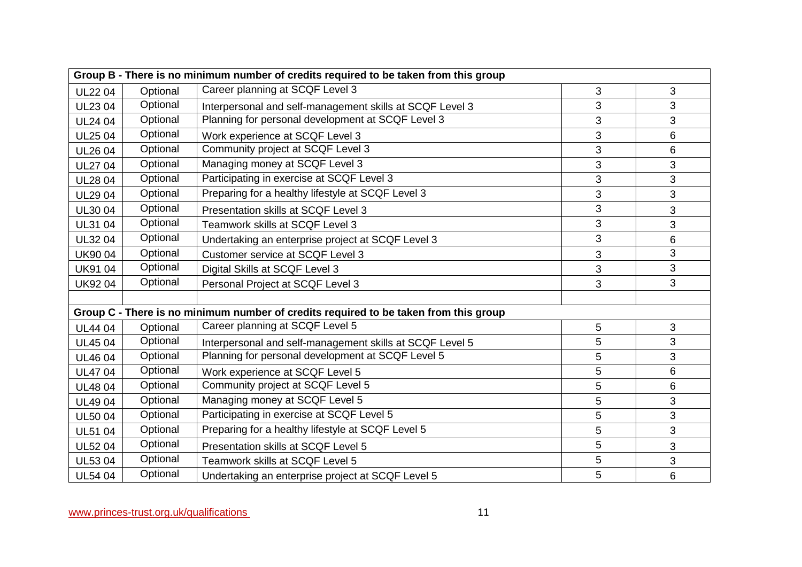| Group B - There is no minimum number of credits required to be taken from this group |          |                                                                                      |                |   |
|--------------------------------------------------------------------------------------|----------|--------------------------------------------------------------------------------------|----------------|---|
| <b>UL2204</b>                                                                        | Optional | Career planning at SCQF Level 3                                                      | 3              | 3 |
| <b>UL2304</b>                                                                        | Optional | Interpersonal and self-management skills at SCQF Level 3                             | 3              | 3 |
| <b>UL24 04</b>                                                                       | Optional | Planning for personal development at SCQF Level 3                                    | 3              | 3 |
| <b>UL25 04</b>                                                                       | Optional | Work experience at SCQF Level 3                                                      | 3              | 6 |
| <b>UL26 04</b>                                                                       | Optional | Community project at SCQF Level 3                                                    | 3              | 6 |
| <b>UL27 04</b>                                                                       | Optional | Managing money at SCQF Level 3                                                       | 3              | 3 |
| <b>UL2804</b>                                                                        | Optional | Participating in exercise at SCQF Level 3                                            | 3              | 3 |
| <b>UL2904</b>                                                                        | Optional | Preparing for a healthy lifestyle at SCQF Level 3                                    | 3              | 3 |
| UL30 04                                                                              | Optional | Presentation skills at SCQF Level 3                                                  | 3              | 3 |
| <b>UL31 04</b>                                                                       | Optional | Teamwork skills at SCQF Level 3                                                      | $\mathfrak{S}$ | 3 |
| <b>UL3204</b>                                                                        | Optional | Undertaking an enterprise project at SCQF Level 3                                    | 3              | 6 |
| <b>UK9004</b>                                                                        | Optional | Customer service at SCQF Level 3                                                     | 3              | 3 |
| <b>UK9104</b>                                                                        | Optional | Digital Skills at SCQF Level 3                                                       | 3              | 3 |
| <b>UK9204</b>                                                                        | Optional | Personal Project at SCQF Level 3                                                     | 3              | 3 |
|                                                                                      |          |                                                                                      |                |   |
|                                                                                      |          | Group C - There is no minimum number of credits required to be taken from this group |                |   |
| <b>UL4404</b>                                                                        | Optional | Career planning at SCQF Level 5                                                      | 5              | 3 |
| <b>UL4504</b>                                                                        | Optional | Interpersonal and self-management skills at SCQF Level 5                             | 5              | 3 |
| <b>UL4604</b>                                                                        | Optional | Planning for personal development at SCQF Level 5                                    | 5              | 3 |
| <b>UL4704</b>                                                                        | Optional | Work experience at SCQF Level 5                                                      | 5              | 6 |
| <b>UL4804</b>                                                                        | Optional | Community project at SCQF Level 5                                                    | 5              | 6 |
| <b>UL4904</b>                                                                        | Optional | Managing money at SCQF Level 5                                                       | 5              | 3 |
| <b>UL5004</b>                                                                        | Optional | Participating in exercise at SCQF Level 5                                            | 5              | 3 |
| <b>UL51 04</b>                                                                       | Optional | Preparing for a healthy lifestyle at SCQF Level 5                                    | 5              | 3 |
| <b>UL5204</b>                                                                        | Optional | Presentation skills at SCQF Level 5                                                  | 5              | 3 |
| UL53 04                                                                              | Optional | Teamwork skills at SCQF Level 5                                                      | 5              | 3 |
| <b>UL54 04</b>                                                                       | Optional | Undertaking an enterprise project at SCQF Level 5                                    | 5              | 6 |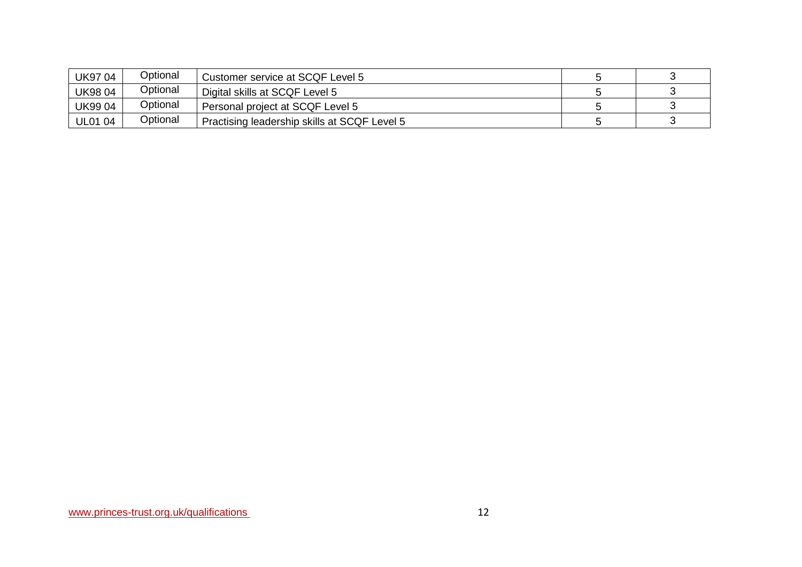| <b>UK9704</b>  | Optional | Customer service at SCQF Level 5             |  |
|----------------|----------|----------------------------------------------|--|
| <b>UK9804</b>  | Optional | Digital skills at SCQF Level 5               |  |
| <b>UK9904</b>  | Optional | Personal project at SCQF Level 5             |  |
| <b>UL01 04</b> | Optional | Practising leadership skills at SCQF Level 5 |  |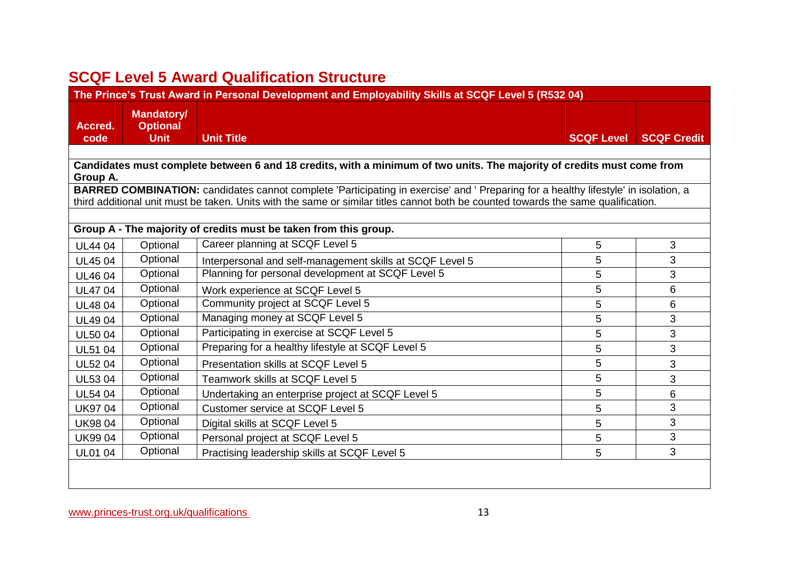# **SCQF Level 5 Award Qualification Structure**

| The Prince's Trust Award in Personal Development and Employability Skills at SCQF Level 5 (R532 04) |                                                     |                                                                                                                                     |                   |                    |
|-----------------------------------------------------------------------------------------------------|-----------------------------------------------------|-------------------------------------------------------------------------------------------------------------------------------------|-------------------|--------------------|
| Accred.<br>code                                                                                     | <b>Mandatory/</b><br><b>Optional</b><br><b>Unit</b> | <b>Unit Title</b>                                                                                                                   | <b>SCQF Level</b> | <b>SCQF Credit</b> |
|                                                                                                     |                                                     |                                                                                                                                     |                   |                    |
|                                                                                                     |                                                     | Candidates must complete between 6 and 18 credits, with a minimum of two units. The majority of credits must come from              |                   |                    |
| Group A.                                                                                            |                                                     | BARRED COMBINATION: candidates cannot complete 'Participating in exercise' and ' Preparing for a healthy lifestyle' in isolation, a |                   |                    |
|                                                                                                     |                                                     | third additional unit must be taken. Units with the same or similar titles cannot both be counted towards the same qualification.   |                   |                    |
|                                                                                                     |                                                     |                                                                                                                                     |                   |                    |
|                                                                                                     |                                                     | Group A - The majority of credits must be taken from this group.                                                                    |                   |                    |
| <b>UL4404</b>                                                                                       | Optional                                            | Career planning at SCQF Level 5                                                                                                     | 5                 | 3                  |
| <b>UL4504</b>                                                                                       | Optional                                            | Interpersonal and self-management skills at SCQF Level 5                                                                            | 5                 | 3                  |
| <b>UL4604</b>                                                                                       | Optional                                            | Planning for personal development at SCQF Level 5                                                                                   | 5                 | 3                  |
| <b>UL4704</b>                                                                                       | Optional                                            | Work experience at SCQF Level 5                                                                                                     | 5                 | 6                  |
| <b>UL4804</b>                                                                                       | Optional                                            | Community project at SCQF Level 5                                                                                                   | 5                 | 6                  |
| <b>UL4904</b>                                                                                       | Optional                                            | Managing money at SCQF Level 5                                                                                                      | 5                 | 3                  |
| <b>UL5004</b>                                                                                       | Optional                                            | Participating in exercise at SCQF Level 5                                                                                           | 5                 | 3                  |
| <b>UL51 04</b>                                                                                      | Optional                                            | Preparing for a healthy lifestyle at SCQF Level 5                                                                                   | 5                 | 3                  |
| <b>UL5204</b>                                                                                       | Optional                                            | Presentation skills at SCQF Level 5                                                                                                 | 5                 | 3                  |
| <b>UL5304</b>                                                                                       | Optional                                            | Teamwork skills at SCQF Level 5                                                                                                     | 5                 | 3                  |
| <b>UL54 04</b>                                                                                      | Optional                                            | Undertaking an enterprise project at SCQF Level 5                                                                                   | 5                 | 6                  |
| <b>UK9704</b>                                                                                       | Optional                                            | <b>Customer service at SCQF Level 5</b>                                                                                             | 5                 | 3                  |
| <b>UK9804</b>                                                                                       | Optional                                            | Digital skills at SCQF Level 5                                                                                                      | 5                 | 3                  |
| <b>UK9904</b>                                                                                       | Optional                                            | Personal project at SCQF Level 5                                                                                                    | 5                 | 3                  |
| <b>UL01 04</b>                                                                                      | Optional                                            | Practising leadership skills at SCQF Level 5                                                                                        | 5                 | 3                  |
|                                                                                                     |                                                     |                                                                                                                                     |                   |                    |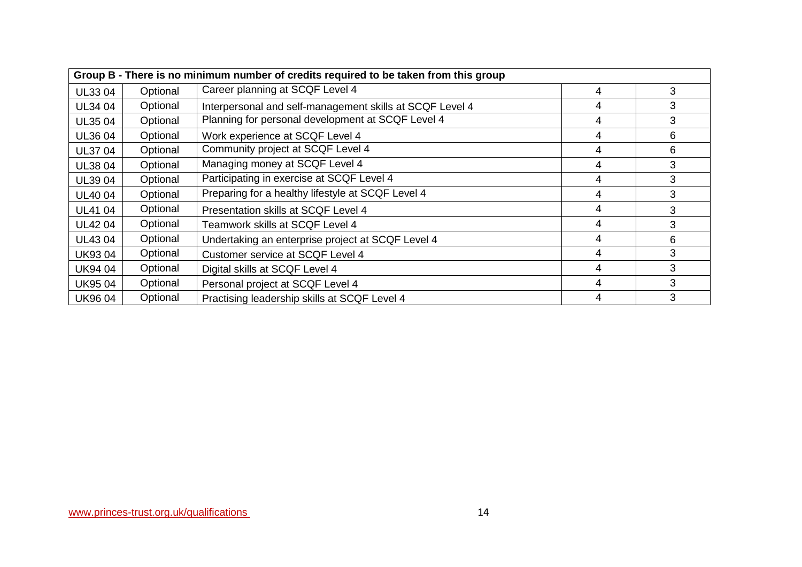| Group B - There is no minimum number of credits required to be taken from this group |          |                                                          |   |   |
|--------------------------------------------------------------------------------------|----------|----------------------------------------------------------|---|---|
| UL33 04                                                                              | Optional | Career planning at SCQF Level 4                          | 4 | 3 |
| UL34 04                                                                              | Optional | Interpersonal and self-management skills at SCQF Level 4 | 4 | 3 |
| UL35 04                                                                              | Optional | Planning for personal development at SCQF Level 4        | 4 | 3 |
| UL36 04                                                                              | Optional | Work experience at SCQF Level 4                          | 4 | 6 |
| <b>UL3704</b>                                                                        | Optional | Community project at SCQF Level 4                        | 4 | 6 |
| UL38 04                                                                              | Optional | Managing money at SCQF Level 4                           | 4 | 3 |
| <b>UL39 04</b>                                                                       | Optional | Participating in exercise at SCQF Level 4                | 4 | 3 |
| <b>UL4004</b>                                                                        | Optional | Preparing for a healthy lifestyle at SCQF Level 4        | 4 | 3 |
| UL41 04                                                                              | Optional | Presentation skills at SCQF Level 4                      | 4 | 3 |
| <b>UL4204</b>                                                                        | Optional | Teamwork skills at SCQF Level 4                          | 4 | 3 |
| <b>UL4304</b>                                                                        | Optional | Undertaking an enterprise project at SCQF Level 4        | 4 | 6 |
| <b>UK9304</b>                                                                        | Optional | Customer service at SCQF Level 4                         | 4 | 3 |
| <b>UK9404</b>                                                                        | Optional | Digital skills at SCQF Level 4                           | 4 | 3 |
| <b>UK9504</b>                                                                        | Optional | Personal project at SCQF Level 4                         | 4 | 3 |
| <b>UK9604</b>                                                                        | Optional | Practising leadership skills at SCQF Level 4             | 4 | 3 |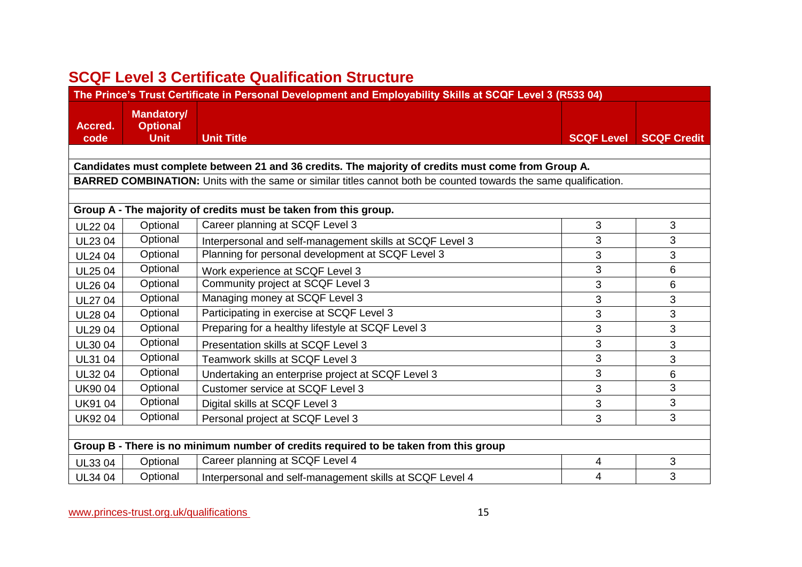# **SCQF Level 3 Certificate Qualification Structure**

| The Prince's Trust Certificate in Personal Development and Employability Skills at SCQF Level 3 (R533 04) |                                                     |                                                                                                                  |                   |                    |  |
|-----------------------------------------------------------------------------------------------------------|-----------------------------------------------------|------------------------------------------------------------------------------------------------------------------|-------------------|--------------------|--|
| Accred.<br>code                                                                                           | <b>Mandatory/</b><br><b>Optional</b><br><b>Unit</b> | <b>Unit Title</b>                                                                                                | <b>SCQF Level</b> | <b>SCQF Credit</b> |  |
|                                                                                                           |                                                     |                                                                                                                  |                   |                    |  |
|                                                                                                           |                                                     | Candidates must complete between 21 and 36 credits. The majority of credits must come from Group A.              |                   |                    |  |
|                                                                                                           |                                                     | BARRED COMBINATION: Units with the same or similar titles cannot both be counted towards the same qualification. |                   |                    |  |
|                                                                                                           |                                                     |                                                                                                                  |                   |                    |  |
|                                                                                                           |                                                     | Group A - The majority of credits must be taken from this group.                                                 |                   |                    |  |
| <b>UL2204</b>                                                                                             | Optional                                            | Career planning at SCQF Level 3                                                                                  | 3                 | $\mathbf{3}$       |  |
| <b>UL2304</b>                                                                                             | Optional                                            | Interpersonal and self-management skills at SCQF Level 3                                                         | 3                 | 3                  |  |
| <b>UL24 04</b>                                                                                            | Optional                                            | Planning for personal development at SCQF Level 3                                                                | 3                 | 3                  |  |
| <b>UL2504</b>                                                                                             | Optional                                            | Work experience at SCQF Level 3                                                                                  | 3                 | 6                  |  |
| <b>UL26 04</b>                                                                                            | Optional                                            | Community project at SCQF Level 3                                                                                | 3                 | 6                  |  |
| <b>UL27 04</b>                                                                                            | Optional                                            | Managing money at SCQF Level 3                                                                                   | 3                 | $\mathfrak{S}$     |  |
| <b>UL2804</b>                                                                                             | Optional                                            | Participating in exercise at SCQF Level 3                                                                        | 3                 | 3                  |  |
| <b>UL2904</b>                                                                                             | Optional                                            | Preparing for a healthy lifestyle at SCQF Level 3                                                                | 3                 | 3                  |  |
| UL30 04                                                                                                   | Optional                                            | Presentation skills at SCQF Level 3                                                                              | 3                 | $\mathbf{3}$       |  |
| UL31 04                                                                                                   | Optional                                            | Teamwork skills at SCQF Level 3                                                                                  | 3                 | 3                  |  |
| <b>UL3204</b>                                                                                             | Optional                                            | Undertaking an enterprise project at SCQF Level 3                                                                | 3                 | 6                  |  |
| <b>UK9004</b>                                                                                             | Optional                                            | Customer service at SCQF Level 3                                                                                 | 3                 | 3                  |  |
| <b>UK9104</b>                                                                                             | Optional                                            | Digital skills at SCQF Level 3                                                                                   | 3                 | 3                  |  |
| <b>UK9204</b>                                                                                             | Optional                                            | Personal project at SCQF Level 3                                                                                 | 3                 | 3                  |  |
|                                                                                                           |                                                     |                                                                                                                  |                   |                    |  |
|                                                                                                           |                                                     | Group B - There is no minimum number of credits required to be taken from this group                             |                   |                    |  |
| UL33 04                                                                                                   | Optional                                            | Career planning at SCQF Level 4                                                                                  | 4                 | $\mathfrak{S}$     |  |
| <b>UL34 04</b>                                                                                            | Optional                                            | Interpersonal and self-management skills at SCQF Level 4                                                         | 4                 | 3                  |  |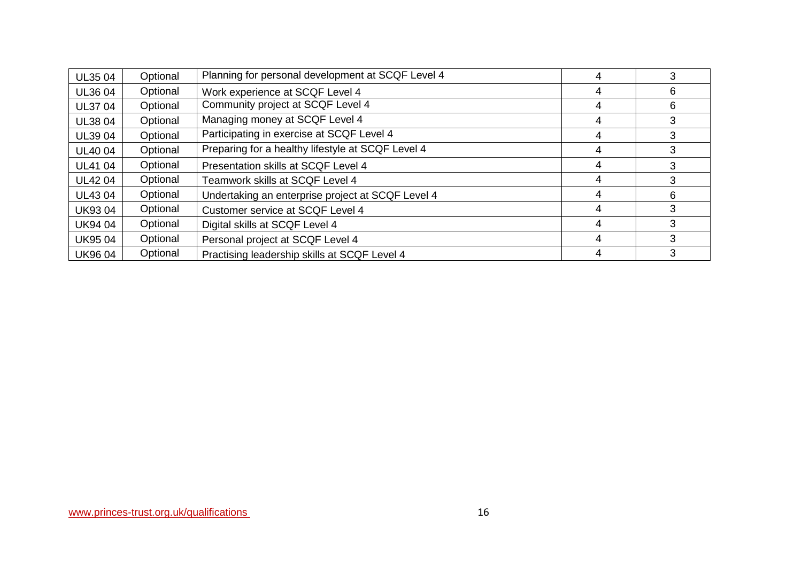| <b>UL3504</b> | Optional | Planning for personal development at SCQF Level 4 |   |   |
|---------------|----------|---------------------------------------------------|---|---|
| UL36 04       | Optional | Work experience at SCQF Level 4                   | 4 | 6 |
| <b>UL3704</b> | Optional | Community project at SCQF Level 4                 | 4 | 6 |
| <b>UL3804</b> | Optional | Managing money at SCQF Level 4                    | 4 | 3 |
| <b>UL3904</b> | Optional | Participating in exercise at SCQF Level 4         | 4 | 3 |
| <b>UL4004</b> | Optional | Preparing for a healthy lifestyle at SCQF Level 4 | 4 | 3 |
| <b>UL4104</b> | Optional | Presentation skills at SCQF Level 4               | 4 | 3 |
| <b>UL4204</b> | Optional | Teamwork skills at SCQF Level 4                   | 4 |   |
| <b>UL4304</b> | Optional | Undertaking an enterprise project at SCQF Level 4 | 4 | 6 |
| <b>UK9304</b> | Optional | Customer service at SCQF Level 4                  | 4 | 3 |
| <b>UK9404</b> | Optional | Digital skills at SCQF Level 4                    | 4 | 3 |
| <b>UK9504</b> | Optional | Personal project at SCQF Level 4                  | 4 | 3 |
| <b>UK9604</b> | Optional | Practising leadership skills at SCQF Level 4      |   | 3 |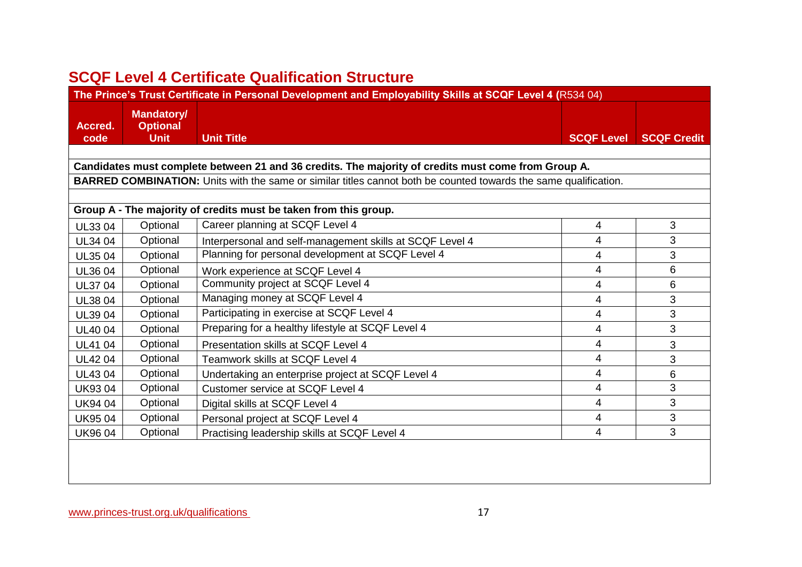# **SCQF Level 4 Certificate Qualification Structure**

|                 | The Prince's Trust Certificate in Personal Development and Employability Skills at SCQF Level 4 (R534 04) |                                                                                                                         |                   |                    |  |  |
|-----------------|-----------------------------------------------------------------------------------------------------------|-------------------------------------------------------------------------------------------------------------------------|-------------------|--------------------|--|--|
| Accred.<br>code | <b>Mandatory/</b><br><b>Optional</b><br><b>Unit</b>                                                       | <b>Unit Title</b>                                                                                                       | <b>SCQF Level</b> | <b>SCQF Credit</b> |  |  |
|                 |                                                                                                           |                                                                                                                         |                   |                    |  |  |
|                 |                                                                                                           | Candidates must complete between 21 and 36 credits. The majority of credits must come from Group A.                     |                   |                    |  |  |
|                 |                                                                                                           | <b>BARRED COMBINATION:</b> Units with the same or similar titles cannot both be counted towards the same qualification. |                   |                    |  |  |
|                 |                                                                                                           |                                                                                                                         |                   |                    |  |  |
|                 |                                                                                                           | Group A - The majority of credits must be taken from this group.                                                        |                   |                    |  |  |
| <b>UL3304</b>   | Optional                                                                                                  | Career planning at SCQF Level 4                                                                                         | 4                 | 3                  |  |  |
| <b>UL34 04</b>  | Optional                                                                                                  | Interpersonal and self-management skills at SCQF Level 4                                                                | 4                 | 3                  |  |  |
| <b>UL35 04</b>  | Optional                                                                                                  | Planning for personal development at SCQF Level 4                                                                       | 4                 | 3                  |  |  |
| <b>UL3604</b>   | Optional                                                                                                  | Work experience at SCQF Level 4                                                                                         | 4                 | 6                  |  |  |
| <b>UL37 04</b>  | Optional                                                                                                  | Community project at SCQF Level 4                                                                                       | 4                 | 6                  |  |  |
| <b>UL3804</b>   | Optional                                                                                                  | Managing money at SCQF Level 4                                                                                          | 4                 | 3                  |  |  |
| UL39 04         | Optional                                                                                                  | Participating in exercise at SCQF Level 4                                                                               | 4                 | 3                  |  |  |
| <b>UL4004</b>   | Optional                                                                                                  | Preparing for a healthy lifestyle at SCQF Level 4                                                                       | 4                 | $\mathfrak{S}$     |  |  |
| <b>UL41 04</b>  | Optional                                                                                                  | Presentation skills at SCQF Level 4                                                                                     | 4                 | 3                  |  |  |
| <b>UL4204</b>   | Optional                                                                                                  | Teamwork skills at SCQF Level 4                                                                                         | 4                 | $\mathfrak{S}$     |  |  |
| <b>UL4304</b>   | Optional                                                                                                  | Undertaking an enterprise project at SCQF Level 4                                                                       | 4                 | 6                  |  |  |
| <b>UK9304</b>   | Optional                                                                                                  | Customer service at SCQF Level 4                                                                                        | 4                 | 3                  |  |  |
| <b>UK9404</b>   | Optional                                                                                                  | Digital skills at SCQF Level 4                                                                                          | 4                 | 3                  |  |  |
| <b>UK9504</b>   | Optional                                                                                                  | Personal project at SCQF Level 4                                                                                        | 4                 | 3                  |  |  |
| <b>UK9604</b>   | Optional                                                                                                  | Practising leadership skills at SCQF Level 4                                                                            | 4                 | $\mathfrak{S}$     |  |  |
|                 |                                                                                                           |                                                                                                                         |                   |                    |  |  |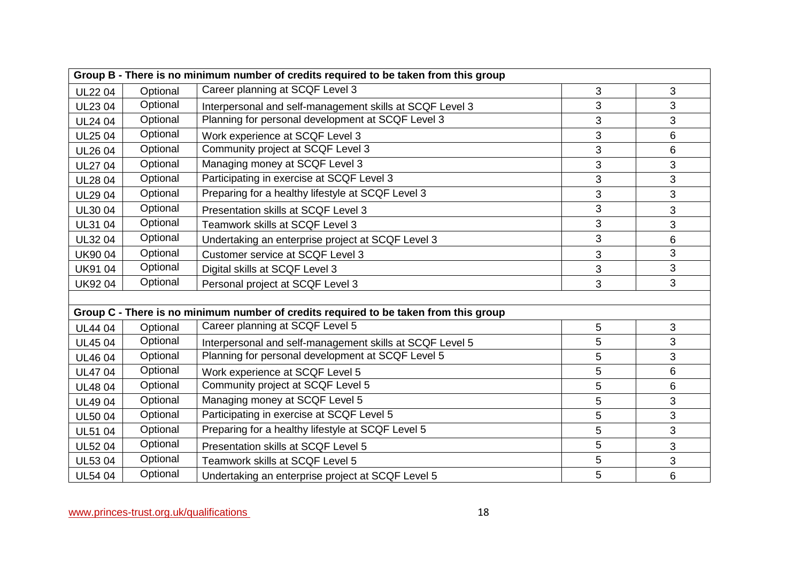|                | Group B - There is no minimum number of credits required to be taken from this group |                                                                                      |   |   |  |  |
|----------------|--------------------------------------------------------------------------------------|--------------------------------------------------------------------------------------|---|---|--|--|
| <b>UL2204</b>  | Optional                                                                             | Career planning at SCQF Level 3                                                      | 3 | 3 |  |  |
| UL23 04        | Optional                                                                             | Interpersonal and self-management skills at SCQF Level 3                             | 3 | 3 |  |  |
| <b>UL24 04</b> | Optional                                                                             | Planning for personal development at SCQF Level 3                                    | 3 | 3 |  |  |
| <b>UL2504</b>  | Optional                                                                             | Work experience at SCQF Level 3                                                      | 3 | 6 |  |  |
| <b>UL26 04</b> | Optional                                                                             | Community project at SCQF Level 3                                                    | 3 | 6 |  |  |
| <b>UL27 04</b> | Optional                                                                             | Managing money at SCQF Level 3                                                       | 3 | 3 |  |  |
| <b>UL2804</b>  | Optional                                                                             | Participating in exercise at SCQF Level 3                                            | 3 | 3 |  |  |
| <b>UL2904</b>  | Optional                                                                             | Preparing for a healthy lifestyle at SCQF Level 3                                    | 3 | 3 |  |  |
| <b>UL3004</b>  | Optional                                                                             | Presentation skills at SCQF Level 3                                                  | 3 | 3 |  |  |
| UL31 04        | Optional                                                                             | Teamwork skills at SCQF Level 3                                                      | 3 | 3 |  |  |
| <b>UL3204</b>  | Optional                                                                             | Undertaking an enterprise project at SCQF Level 3                                    | 3 | 6 |  |  |
| <b>UK9004</b>  | Optional                                                                             | Customer service at SCQF Level 3                                                     | 3 | 3 |  |  |
| <b>UK9104</b>  | Optional                                                                             | Digital skills at SCQF Level 3                                                       | 3 | 3 |  |  |
| <b>UK9204</b>  | Optional                                                                             | Personal project at SCQF Level 3                                                     | 3 | 3 |  |  |
|                |                                                                                      |                                                                                      |   |   |  |  |
|                |                                                                                      | Group C - There is no minimum number of credits required to be taken from this group |   |   |  |  |
| <b>UL4404</b>  | Optional                                                                             | Career planning at SCQF Level 5                                                      | 5 | 3 |  |  |
| <b>UL4504</b>  | Optional                                                                             | Interpersonal and self-management skills at SCQF Level 5                             | 5 | 3 |  |  |
| <b>UL4604</b>  | Optional                                                                             | Planning for personal development at SCQF Level 5                                    | 5 | 3 |  |  |
| <b>UL4704</b>  | Optional                                                                             | Work experience at SCQF Level 5                                                      | 5 | 6 |  |  |
| <b>UL4804</b>  | Optional                                                                             | Community project at SCQF Level 5                                                    | 5 | 6 |  |  |
| <b>UL4904</b>  | Optional                                                                             | Managing money at SCQF Level 5                                                       | 5 | 3 |  |  |
| <b>UL5004</b>  | Optional                                                                             | Participating in exercise at SCQF Level 5                                            | 5 | 3 |  |  |
| <b>UL51 04</b> | Optional                                                                             | Preparing for a healthy lifestyle at SCQF Level 5                                    | 5 | 3 |  |  |
| <b>UL5204</b>  | Optional                                                                             | Presentation skills at SCQF Level 5                                                  | 5 | 3 |  |  |
| <b>UL5304</b>  | Optional                                                                             | Teamwork skills at SCQF Level 5                                                      | 5 | 3 |  |  |
| <b>UL54 04</b> | Optional                                                                             | Undertaking an enterprise project at SCQF Level 5                                    | 5 | 6 |  |  |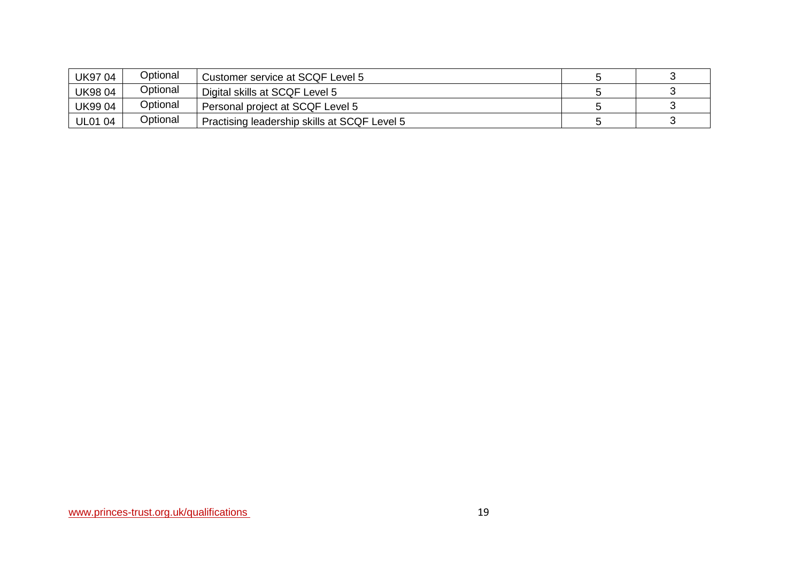| <b>UK9704</b>  | Optional | Customer service at SCQF Level 5             |  |
|----------------|----------|----------------------------------------------|--|
| <b>UK9804</b>  | Optional | Digital skills at SCQF Level 5               |  |
| <b>UK9904</b>  | Optional | Personal project at SCQF Level 5             |  |
| <b>UL01 04</b> | Optional | Practising leadership skills at SCQF Level 5 |  |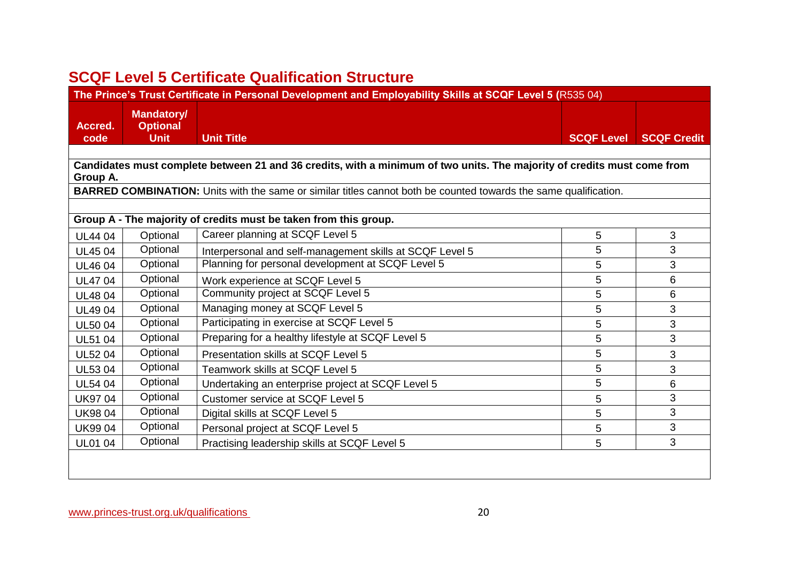# **SCQF Level 5 Certificate Qualification Structure**

|                 | The Prince's Trust Certificate in Personal Development and Employability Skills at SCQF Level 5 (R535 04) |                                                                                                                         |                   |                    |  |  |
|-----------------|-----------------------------------------------------------------------------------------------------------|-------------------------------------------------------------------------------------------------------------------------|-------------------|--------------------|--|--|
| Accred.<br>code | <b>Mandatory/</b><br><b>Optional</b><br><b>Unit</b>                                                       | <b>Unit Title</b>                                                                                                       | <b>SCQF Level</b> | <b>SCQF Credit</b> |  |  |
|                 |                                                                                                           |                                                                                                                         |                   |                    |  |  |
|                 |                                                                                                           | Candidates must complete between 21 and 36 credits, with a minimum of two units. The majority of credits must come from |                   |                    |  |  |
| Group A.        |                                                                                                           |                                                                                                                         |                   |                    |  |  |
|                 |                                                                                                           | <b>BARRED COMBINATION:</b> Units with the same or similar titles cannot both be counted towards the same qualification. |                   |                    |  |  |
|                 |                                                                                                           | Group A - The majority of credits must be taken from this group.                                                        |                   |                    |  |  |
| <b>UL4404</b>   | Optional                                                                                                  | Career planning at SCQF Level 5                                                                                         | 5                 | 3                  |  |  |
| <b>UL4504</b>   | Optional                                                                                                  | Interpersonal and self-management skills at SCQF Level 5                                                                | 5                 | 3                  |  |  |
| <b>UL4604</b>   | Optional                                                                                                  | Planning for personal development at SCQF Level 5                                                                       | 5                 | 3                  |  |  |
| <b>UL4704</b>   | Optional                                                                                                  | Work experience at SCQF Level 5                                                                                         | 5                 | 6                  |  |  |
| <b>UL4804</b>   | Optional                                                                                                  | Community project at SCQF Level 5                                                                                       | 5                 | 6                  |  |  |
| <b>UL4904</b>   | Optional                                                                                                  | Managing money at SCQF Level 5                                                                                          | 5                 | 3                  |  |  |
| <b>UL5004</b>   | Optional                                                                                                  | Participating in exercise at SCQF Level 5                                                                               | 5                 | 3                  |  |  |
| <b>UL51 04</b>  | Optional                                                                                                  | Preparing for a healthy lifestyle at SCQF Level 5                                                                       | 5                 | 3                  |  |  |
| <b>UL5204</b>   | Optional                                                                                                  | Presentation skills at SCQF Level 5                                                                                     | 5                 | 3                  |  |  |
| <b>UL5304</b>   | Optional                                                                                                  | Teamwork skills at SCQF Level 5                                                                                         | 5                 | 3                  |  |  |
| <b>UL54 04</b>  | Optional                                                                                                  | Undertaking an enterprise project at SCQF Level 5                                                                       | 5                 | 6                  |  |  |
| <b>UK9704</b>   | Optional                                                                                                  | Customer service at SCQF Level 5                                                                                        | 5                 | 3                  |  |  |
| <b>UK9804</b>   | Optional                                                                                                  | Digital skills at SCQF Level 5                                                                                          | 5                 | 3                  |  |  |
| <b>UK9904</b>   | Optional                                                                                                  | Personal project at SCQF Level 5                                                                                        | 5                 | 3                  |  |  |
| <b>UL01 04</b>  | Optional                                                                                                  | Practising leadership skills at SCQF Level 5                                                                            | 5                 | 3                  |  |  |
|                 |                                                                                                           |                                                                                                                         |                   |                    |  |  |
|                 |                                                                                                           |                                                                                                                         |                   |                    |  |  |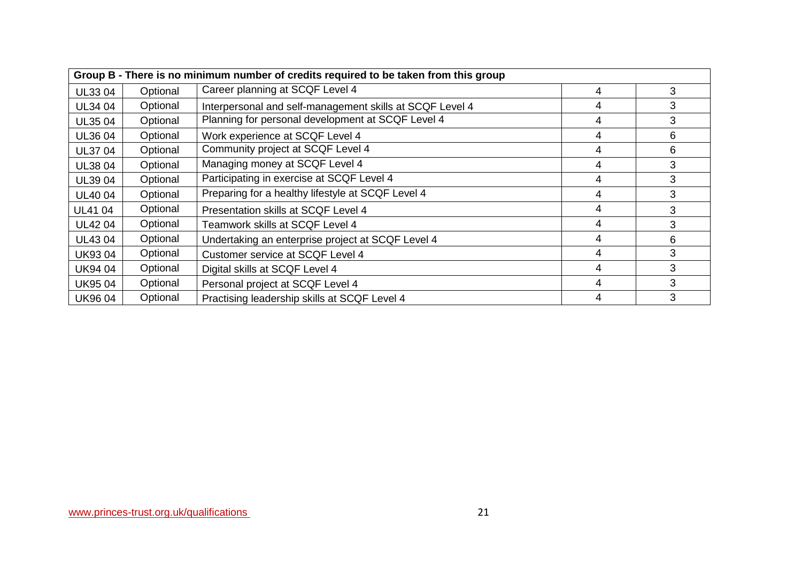|                | Group B - There is no minimum number of credits required to be taken from this group |                                                          |   |   |  |  |
|----------------|--------------------------------------------------------------------------------------|----------------------------------------------------------|---|---|--|--|
| UL33 04        | Optional                                                                             | Career planning at SCQF Level 4                          | 4 | 3 |  |  |
| UL34 04        | Optional                                                                             | Interpersonal and self-management skills at SCQF Level 4 | 4 | 3 |  |  |
| UL35 04        | Optional                                                                             | Planning for personal development at SCQF Level 4        | 4 | 3 |  |  |
| UL36 04        | Optional                                                                             | Work experience at SCQF Level 4                          | 4 | 6 |  |  |
| <b>UL3704</b>  | Optional                                                                             | Community project at SCQF Level 4                        | 4 | 6 |  |  |
| UL38 04        | Optional                                                                             | Managing money at SCQF Level 4                           | 4 | 3 |  |  |
| <b>UL3904</b>  | Optional                                                                             | Participating in exercise at SCQF Level 4                | 4 | 3 |  |  |
| <b>UL4004</b>  | Optional                                                                             | Preparing for a healthy lifestyle at SCQF Level 4        | 4 | 3 |  |  |
| <b>UL41 04</b> | Optional                                                                             | Presentation skills at SCQF Level 4                      | 4 | 3 |  |  |
| <b>UL4204</b>  | Optional                                                                             | Teamwork skills at SCQF Level 4                          | 4 | 3 |  |  |
| <b>UL4304</b>  | Optional                                                                             | Undertaking an enterprise project at SCQF Level 4        | 4 | 6 |  |  |
| <b>UK9304</b>  | Optional                                                                             | Customer service at SCQF Level 4                         | 4 | 3 |  |  |
| <b>UK9404</b>  | Optional                                                                             | Digital skills at SCQF Level 4                           | 4 | 3 |  |  |
| <b>UK9504</b>  | Optional                                                                             | Personal project at SCQF Level 4                         | 4 | 3 |  |  |
| <b>UK9604</b>  | Optional                                                                             | Practising leadership skills at SCQF Level 4             | 4 | 3 |  |  |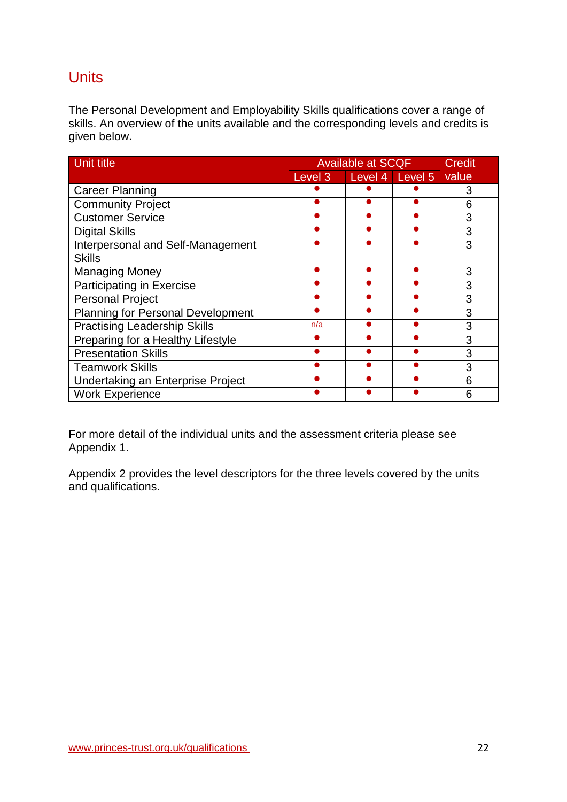# <span id="page-21-0"></span>**Units**

The Personal Development and Employability Skills qualifications cover a range of skills. An overview of the units available and the corresponding levels and credits is given below.

| <b>Unit title</b>                        |     | <b>Available at SCQF</b> |  |       |
|------------------------------------------|-----|--------------------------|--|-------|
|                                          |     | Level 3 Level 4 Level 5  |  | value |
| <b>Career Planning</b>                   |     |                          |  |       |
| <b>Community Project</b>                 |     |                          |  | 6     |
| <b>Customer Service</b>                  |     |                          |  | 3     |
| <b>Digital Skills</b>                    |     |                          |  | 3     |
| Interpersonal and Self-Management        |     |                          |  | 3     |
| <b>Skills</b>                            |     |                          |  |       |
| <b>Managing Money</b>                    |     |                          |  | 3     |
| Participating in Exercise                |     |                          |  | 3     |
| <b>Personal Project</b>                  |     |                          |  | 3     |
| <b>Planning for Personal Development</b> |     |                          |  | 3     |
| <b>Practising Leadership Skills</b>      | n/a |                          |  | 3     |
| Preparing for a Healthy Lifestyle        |     |                          |  | 3     |
| <b>Presentation Skills</b>               |     |                          |  | 3     |
| <b>Teamwork Skills</b>                   |     |                          |  | 3     |
| Undertaking an Enterprise Project        |     |                          |  | 6     |
| <b>Work Experience</b>                   |     |                          |  | 6     |

For more detail of the individual units and the assessment criteria please see Appendix 1.

Appendix 2 provides the level descriptors for the three levels covered by the units and qualifications.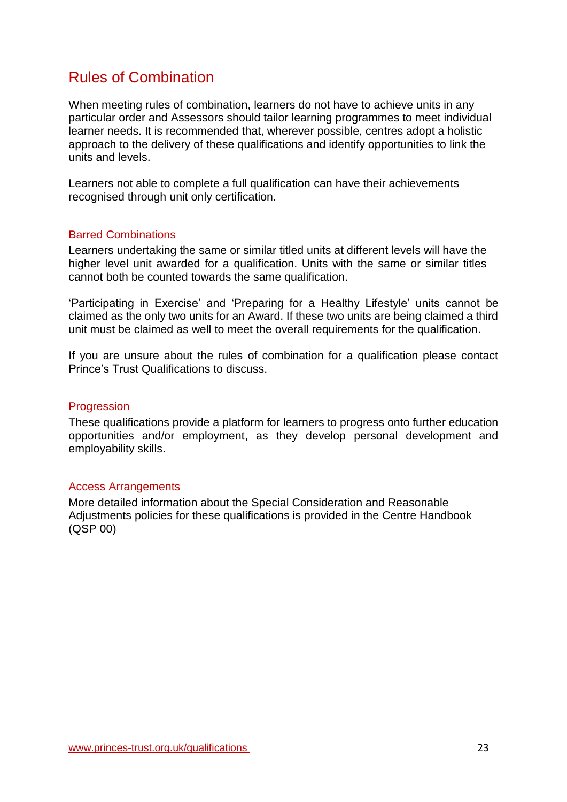# <span id="page-22-0"></span>Rules of Combination

When meeting rules of combination, learners do not have to achieve units in any particular order and Assessors should tailor learning programmes to meet individual learner needs. It is recommended that, wherever possible, centres adopt a holistic approach to the delivery of these qualifications and identify opportunities to link the units and levels.

Learners not able to complete a full qualification can have their achievements recognised through unit only certification.

### <span id="page-22-1"></span>Barred Combinations

Learners undertaking the same or similar titled units at different levels will have the higher level unit awarded for a qualification. Units with the same or similar titles cannot both be counted towards the same qualification.

'Participating in Exercise' and 'Preparing for a Healthy Lifestyle' units cannot be claimed as the only two units for an Award. If these two units are being claimed a third unit must be claimed as well to meet the overall requirements for the qualification.

If you are unsure about the rules of combination for a qualification please contact Prince's Trust Qualifications to discuss.

#### <span id="page-22-2"></span>**Progression**

These qualifications provide a platform for learners to progress onto further education opportunities and/or employment, as they develop personal development and employability skills.

#### <span id="page-22-3"></span>Access Arrangements

More detailed information about the Special Consideration and Reasonable Adjustments policies for these qualifications is provided in the Centre Handbook (QSP 00)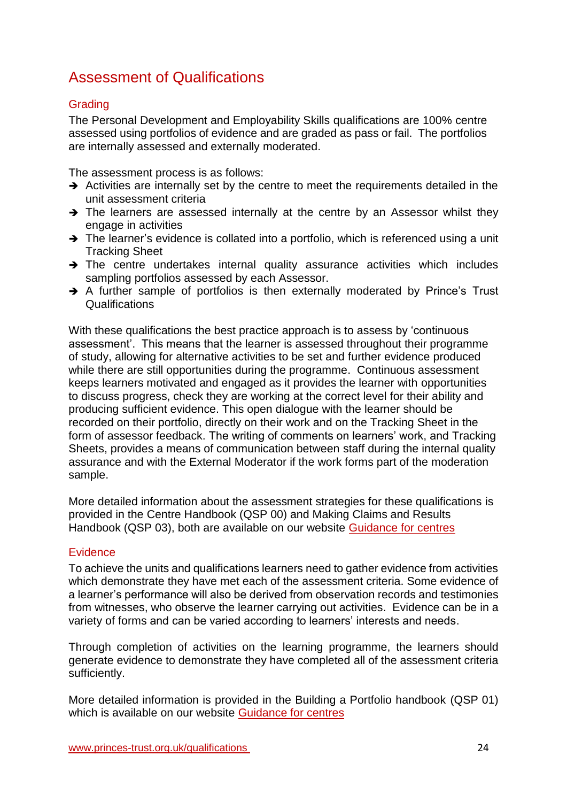# Assessment of Qualifications

# <span id="page-23-0"></span>**Grading**

The Personal Development and Employability Skills qualifications are 100% centre assessed using portfolios of evidence and are graded as pass or fail. The portfolios are internally assessed and externally moderated.

The assessment process is as follows:

- $\rightarrow$  Activities are internally set by the centre to meet the requirements detailed in the unit assessment criteria
- $\rightarrow$  The learners are assessed internally at the centre by an Assessor whilst they engage in activities
- $\rightarrow$  The learner's evidence is collated into a portfolio, which is referenced using a unit Tracking Sheet
- $\rightarrow$  The centre undertakes internal quality assurance activities which includes sampling portfolios assessed by each Assessor.
- $\rightarrow$  A further sample of portfolios is then externally moderated by Prince's Trust Qualifications

With these qualifications the best practice approach is to assess by 'continuous' assessment'. This means that the learner is assessed throughout their programme of study, allowing for alternative activities to be set and further evidence produced while there are still opportunities during the programme. Continuous assessment keeps learners motivated and engaged as it provides the learner with opportunities to discuss progress, check they are working at the correct level for their ability and producing sufficient evidence. This open dialogue with the learner should be recorded on their portfolio, directly on their work and on the Tracking Sheet in the form of assessor feedback. The writing of comments on learners' work, and Tracking Sheets, provides a means of communication between staff during the internal quality assurance and with the External Moderator if the work forms part of the moderation sample.

More detailed information about the assessment strategies for these qualifications is provided in the Centre Handbook (QSP 00) and Making Claims and Results Handbook (QSP 03), both are available on our website [Guidance for centres](https://www.princes-trust.org.uk/about-the-trust/qualifications/guidance-for-centres) 

# <span id="page-23-1"></span>**Evidence**

To achieve the units and qualifications learners need to gather evidence from activities which demonstrate they have met each of the assessment criteria. Some evidence of a learner's performance will also be derived from observation records and testimonies from witnesses, who observe the learner carrying out activities. Evidence can be in a variety of forms and can be varied according to learners' interests and needs.

Through completion of activities on the learning programme, the learners should generate evidence to demonstrate they have completed all of the assessment criteria sufficiently.

More detailed information is provided in the Building a Portfolio handbook (QSP 01) which is available on our website [Guidance for centres](http://www.princes-trust.org.uk/about-the-trust/qualifications/guidance-for-centres)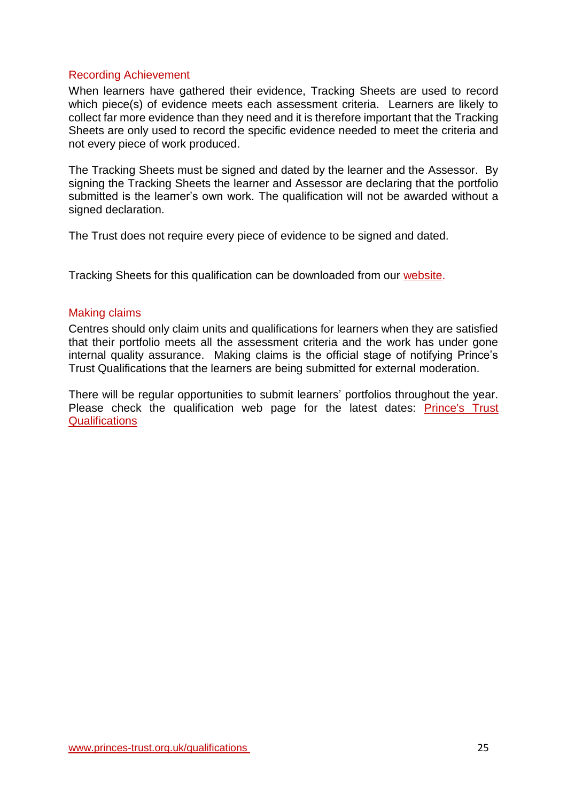### <span id="page-24-0"></span>Recording Achievement

When learners have gathered their evidence, Tracking Sheets are used to record which piece(s) of evidence meets each assessment criteria. Learners are likely to collect far more evidence than they need and it is therefore important that the Tracking Sheets are only used to record the specific evidence needed to meet the criteria and not every piece of work produced.

The Tracking Sheets must be signed and dated by the learner and the Assessor. By signing the Tracking Sheets the learner and Assessor are declaring that the portfolio submitted is the learner's own work. The qualification will not be awarded without a signed declaration.

The Trust does not require every piece of evidence to be signed and dated.

Tracking Sheets for this qualification can be downloaded from our [website.](https://www.princes-trust.org.uk/about-the-trust/qualifications/personal-development-employability)

#### <span id="page-24-1"></span>Making claims

Centres should only claim units and qualifications for learners when they are satisfied that their portfolio meets all the assessment criteria and the work has under gone internal quality assurance. Making claims is the official stage of notifying Prince's Trust Qualifications that the learners are being submitted for external moderation.

There will be regular opportunities to submit learners' portfolios throughout the year. Please check the qualification web page for the latest dates: [Prince's Trust](https://www.princes-trust.org.uk/about-the-trust/qualifications/personal-development-employability)  **[Qualifications](https://www.princes-trust.org.uk/about-the-trust/qualifications/personal-development-employability)**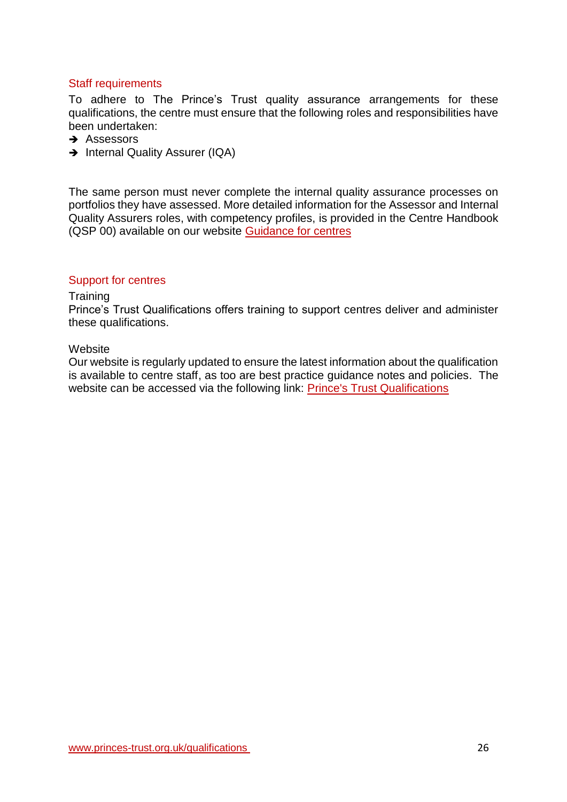### <span id="page-25-0"></span>Staff requirements

To adhere to The Prince's Trust quality assurance arrangements for these qualifications, the centre must ensure that the following roles and responsibilities have been undertaken:

- $\rightarrow$  Assessors
- → Internal Quality Assurer (IQA)

The same person must never complete the internal quality assurance processes on portfolios they have assessed. More detailed information for the Assessor and Internal Quality Assurers roles, with competency profiles, is provided in the Centre Handbook (QSP 00) available on our website [Guidance for centres](https://www.princes-trust.org.uk/about-the-trust/qualifications/guidance-for-centres)

#### <span id="page-25-1"></span>Support for centres

#### **Training**

Prince's Trust Qualifications offers training to support centres deliver and administer these qualifications.

#### **Website**

Our website is regularly updated to ensure the latest information about the qualification is available to centre staff, as too are best practice guidance notes and policies. The website can be accessed via the following link: [Prince's Trust Qualifications](https://www.princes-trust.org.uk/about-the-trust/qualifications/personal-development-employability)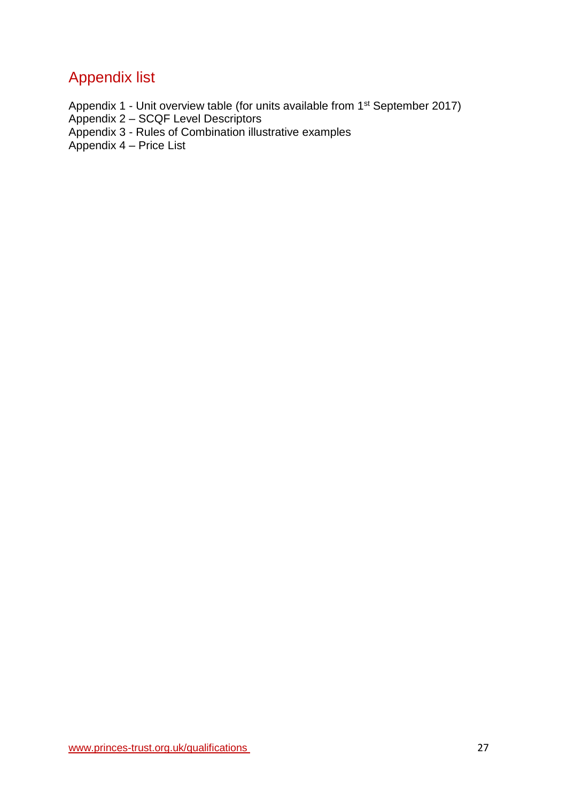# <span id="page-26-0"></span>Appendix list

- Appendix 1 Unit overview table (for units available from 1<sup>st</sup> September 2017)
- Appendix 2 SCQF Level Descriptors
- Appendix 3 Rules of Combination illustrative examples

Appendix 4 – Price List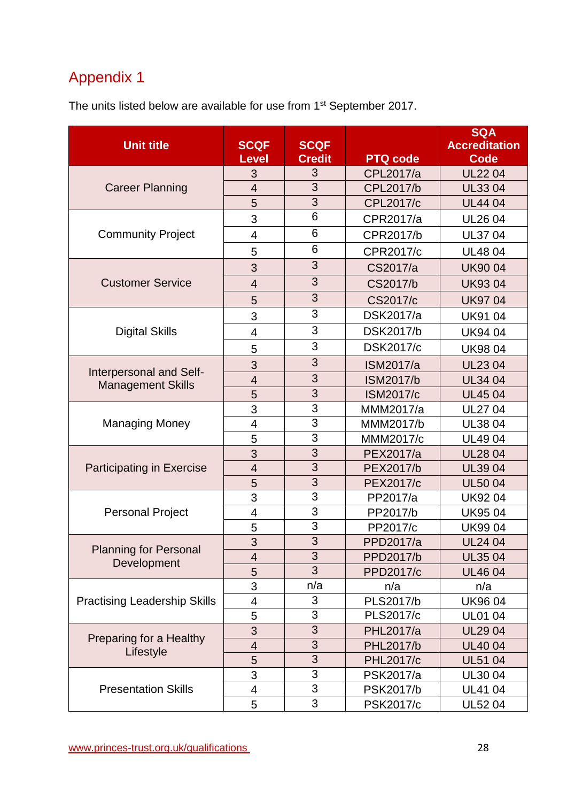# <span id="page-27-0"></span>Appendix 1

The units listed below are available for use from 1<sup>st</sup> September 2017.

|                                                     |                          |                |                  | <b>SQA</b>           |
|-----------------------------------------------------|--------------------------|----------------|------------------|----------------------|
| <b>Unit title</b>                                   | <b>SCQF</b>              | <b>SCQF</b>    |                  | <b>Accreditation</b> |
|                                                     | <b>Level</b>             | <b>Credit</b>  | <b>PTQ code</b>  | <b>Code</b>          |
|                                                     | 3                        | 3              | CPL2017/a        | <b>UL2204</b>        |
| <b>Career Planning</b>                              | $\overline{4}$           | 3              | CPL2017/b        | <b>UL3304</b>        |
|                                                     | 5                        | 3              | <b>CPL2017/c</b> | <b>UL4404</b>        |
|                                                     | 3                        | 6              | CPR2017/a        | <b>UL2604</b>        |
| <b>Community Project</b>                            | 4                        | 6              | CPR2017/b        | <b>UL3704</b>        |
|                                                     | 5                        | 6              | CPR2017/c        | <b>UL4804</b>        |
|                                                     | 3                        | 3              | CS2017/a         | <b>UK9004</b>        |
| <b>Customer Service</b>                             | $\overline{\mathbf{4}}$  | 3              | CS2017/b         | <b>UK9304</b>        |
|                                                     | 5                        | 3              | CS2017/c         | <b>UK9704</b>        |
|                                                     | 3                        | 3              | <b>DSK2017/a</b> | <b>UK9104</b>        |
| <b>Digital Skills</b>                               | 4                        | 3              | DSK2017/b        | <b>UK9404</b>        |
|                                                     | 5                        | 3              | <b>DSK2017/c</b> | <b>UK9804</b>        |
|                                                     | 3                        | 3              | <b>ISM2017/a</b> | <b>UL2304</b>        |
| Interpersonal and Self-<br><b>Management Skills</b> | $\overline{4}$           | 3              | <b>ISM2017/b</b> | <b>UL34 04</b>       |
|                                                     | 5                        | 3              | <b>ISM2017/c</b> | <b>UL4504</b>        |
|                                                     | 3                        | 3              | MMM2017/a        | <b>UL27 04</b>       |
| <b>Managing Money</b>                               | $\overline{\mathcal{A}}$ | 3              | MMM2017/b        | <b>UL3804</b>        |
|                                                     | 5                        | 3              | MMM2017/c        | <b>UL4904</b>        |
|                                                     | 3                        | 3              | PEX2017/a        | <b>UL2804</b>        |
| <b>Participating in Exercise</b>                    | $\overline{4}$           | 3              | PEX2017/b        | <b>UL3904</b>        |
|                                                     | 5                        | 3              | <b>PEX2017/c</b> | <b>UL5004</b>        |
|                                                     | 3                        | 3              | PP2017/a         | <b>UK9204</b>        |
| <b>Personal Project</b>                             | $\overline{\mathbf{4}}$  | $\overline{3}$ | PP2017/b         | <b>UK9504</b>        |
|                                                     | 5                        | 3              | PP2017/c         | <b>UK9904</b>        |
|                                                     | 3                        | 3              | PPD2017/a        | <b>UL24 04</b>       |
| <b>Planning for Personal</b><br>Development         | 4                        | 3              | PPD2017/b        | <b>UL3504</b>        |
|                                                     | 5                        | 3              | PPD2017/c        | <b>UL4604</b>        |
|                                                     | 3                        | n/a            | n/a              | n/a                  |
| <b>Practising Leadership Skills</b>                 | $\overline{\mathbf{4}}$  | 3              | PLS2017/b        | <b>UK9604</b>        |
|                                                     | 5                        | 3              | PLS2017/c        | <b>UL01 04</b>       |
|                                                     | 3                        | 3              | <b>PHL2017/a</b> | <b>UL2904</b>        |
| Preparing for a Healthy<br>Lifestyle                | $\overline{4}$           | 3              | <b>PHL2017/b</b> | <b>UL4004</b>        |
|                                                     | 5                        | 3              | <b>PHL2017/c</b> | <b>UL51 04</b>       |
|                                                     | 3                        | 3              | PSK2017/a        | UL30 04              |
| <b>Presentation Skills</b>                          | 4                        | $\overline{3}$ | PSK2017/b        | <b>UL4104</b>        |
|                                                     | 5                        | 3              | <b>PSK2017/c</b> | <b>UL5204</b>        |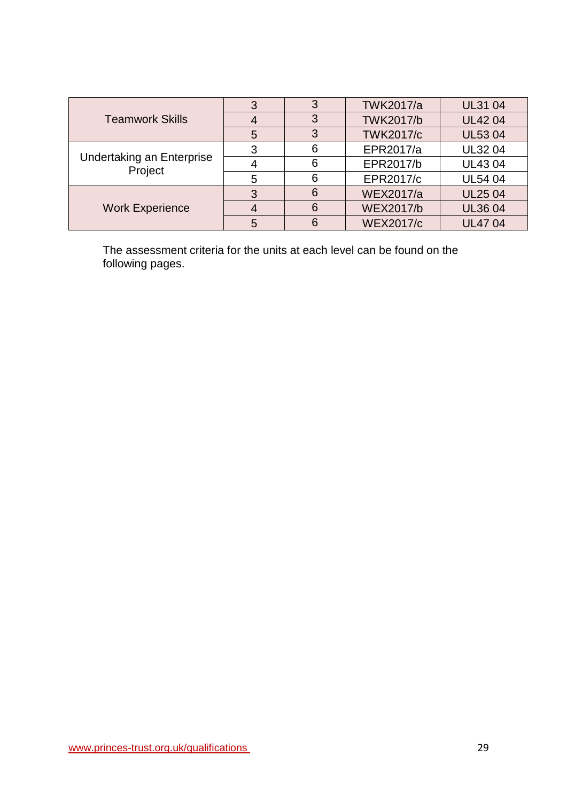|                                      | ◠ | 3 | <b>TWK2017/a</b> | <b>UL31 04</b> |
|--------------------------------------|---|---|------------------|----------------|
| <b>Teamwork Skills</b>               |   | 3 | <b>TWK2017/b</b> | <b>UL4204</b>  |
|                                      | 5 | 3 | <b>TWK2017/c</b> | <b>UL5304</b>  |
|                                      | 3 | 6 | EPR2017/a        | <b>UL3204</b>  |
| Undertaking an Enterprise<br>Project |   | 6 | EPR2017/b        | <b>UL4304</b>  |
|                                      | 5 | 6 | EPR2017/c        | <b>UL54 04</b> |
|                                      | 3 | 6 | <b>WEX2017/a</b> | <b>UL2504</b>  |
| <b>Work Experience</b>               |   | 6 | <b>WEX2017/b</b> | <b>UL3604</b>  |
|                                      | 5 | 6 | <b>WEX2017/c</b> | <b>UL4704</b>  |

The assessment criteria for the units at each level can be found on the following pages.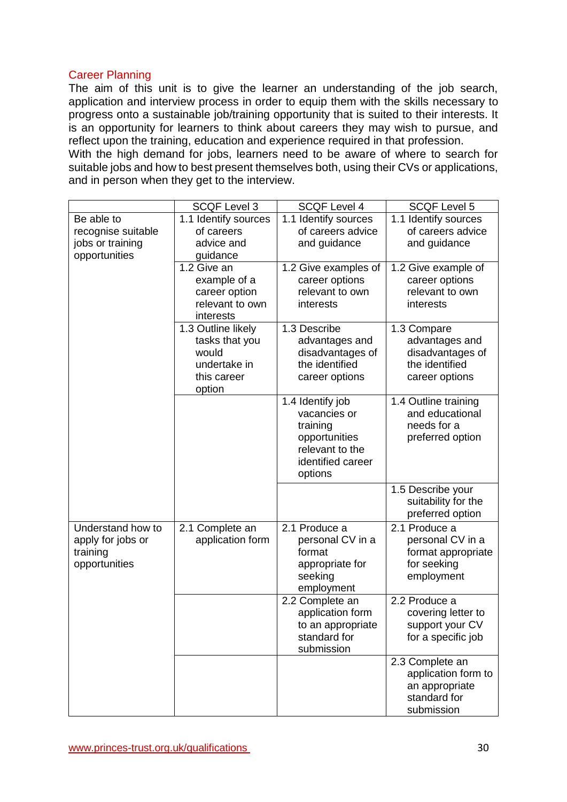### Career Planning

The aim of this unit is to give the learner an understanding of the job search, application and interview process in order to equip them with the skills necessary to progress onto a sustainable job/training opportunity that is suited to their interests. It is an opportunity for learners to think about careers they may wish to pursue, and reflect upon the training, education and experience required in that profession. With the high demand for jobs, learners need to be aware of where to search for

suitable jobs and how to best present themselves both, using their CVs or applications, and in person when they get to the interview.

|                    | <b>SCQF Level 3</b>  | <b>SCQF Level 4</b>  | <b>SCQF Level 5</b>  |
|--------------------|----------------------|----------------------|----------------------|
| Be able to         | 1.1 Identify sources | 1.1 Identify sources | 1.1 Identify sources |
| recognise suitable | of careers           | of careers advice    | of careers advice    |
| jobs or training   | advice and           | and guidance         | and guidance         |
| opportunities      | guidance             |                      |                      |
|                    | 1.2 Give an          | 1.2 Give examples of | 1.2 Give example of  |
|                    | example of a         | career options       | career options       |
|                    | career option        | relevant to own      | relevant to own      |
|                    | relevant to own      | interests            | interests            |
|                    | interests            |                      |                      |
|                    | 1.3 Outline likely   | 1.3 Describe         | 1.3 Compare          |
|                    | tasks that you       | advantages and       | advantages and       |
|                    | would                | disadvantages of     | disadvantages of     |
|                    | undertake in         | the identified       | the identified       |
|                    | this career          | career options       | career options       |
|                    | option               | 1.4 Identify job     | 1.4 Outline training |
|                    |                      | vacancies or         | and educational      |
|                    |                      | training             | needs for a          |
|                    |                      | opportunities        | preferred option     |
|                    |                      | relevant to the      |                      |
|                    |                      | identified career    |                      |
|                    |                      | options              |                      |
|                    |                      |                      | 1.5 Describe your    |
|                    |                      |                      | suitability for the  |
|                    |                      |                      | preferred option     |
| Understand how to  | 2.1 Complete an      | 2.1 Produce a        | 2.1 Produce a        |
| apply for jobs or  | application form     | personal CV in a     | personal CV in a     |
| training           |                      | format               | format appropriate   |
| opportunities      |                      | appropriate for      | for seeking          |
|                    |                      | seeking              | employment           |
|                    |                      | employment           |                      |
|                    |                      | 2.2 Complete an      | 2.2 Produce a        |
|                    |                      | application form     | covering letter to   |
|                    |                      | to an appropriate    | support your CV      |
|                    |                      | standard for         | for a specific job   |
|                    |                      | submission           |                      |
|                    |                      |                      | 2.3 Complete an      |
|                    |                      |                      | application form to  |
|                    |                      |                      | an appropriate       |
|                    |                      |                      | standard for         |
|                    |                      |                      | submission           |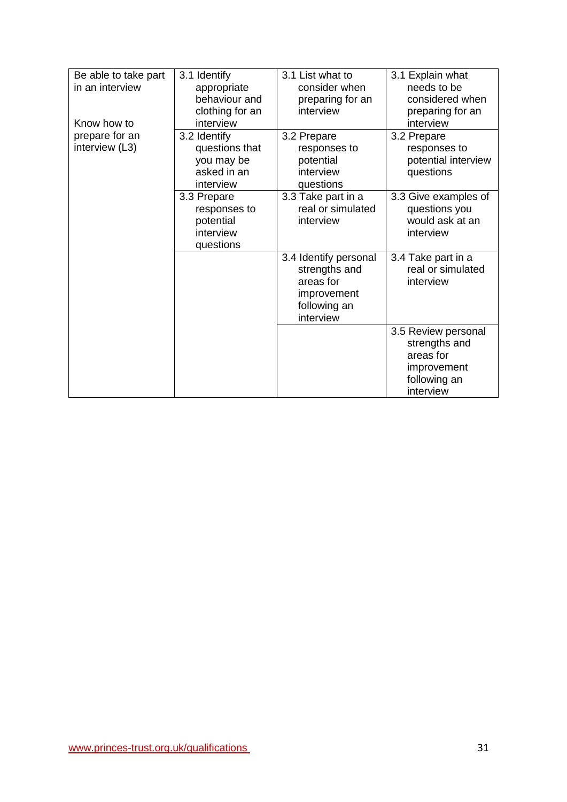| Be able to take part | 3.1 Identify    | 3.1 List what to      | 3.1 Explain what     |
|----------------------|-----------------|-----------------------|----------------------|
| in an interview      | appropriate     | consider when         | needs to be          |
|                      | behaviour and   | preparing for an      | considered when      |
|                      | clothing for an | interview             | preparing for an     |
| Know how to          | interview       |                       | interview            |
| prepare for an       | 3.2 Identify    | 3.2 Prepare           | 3.2 Prepare          |
| interview (L3)       | questions that  | responses to          | responses to         |
|                      | you may be      | potential             | potential interview  |
|                      | asked in an     | interview             | questions            |
|                      | interview       | questions             |                      |
|                      | 3.3 Prepare     | 3.3 Take part in a    | 3.3 Give examples of |
|                      | responses to    | real or simulated     | questions you        |
|                      | potential       | interview             | would ask at an      |
|                      | interview       |                       | interview            |
|                      | questions       |                       |                      |
|                      |                 | 3.4 Identify personal | 3.4 Take part in a   |
|                      |                 | strengths and         | real or simulated    |
|                      |                 | areas for             | interview            |
|                      |                 | improvement           |                      |
|                      |                 | following an          |                      |
|                      |                 | interview             |                      |
|                      |                 |                       | 3.5 Review personal  |
|                      |                 |                       | strengths and        |
|                      |                 |                       | areas for            |
|                      |                 |                       | improvement          |
|                      |                 |                       | following an         |
|                      |                 |                       | interview            |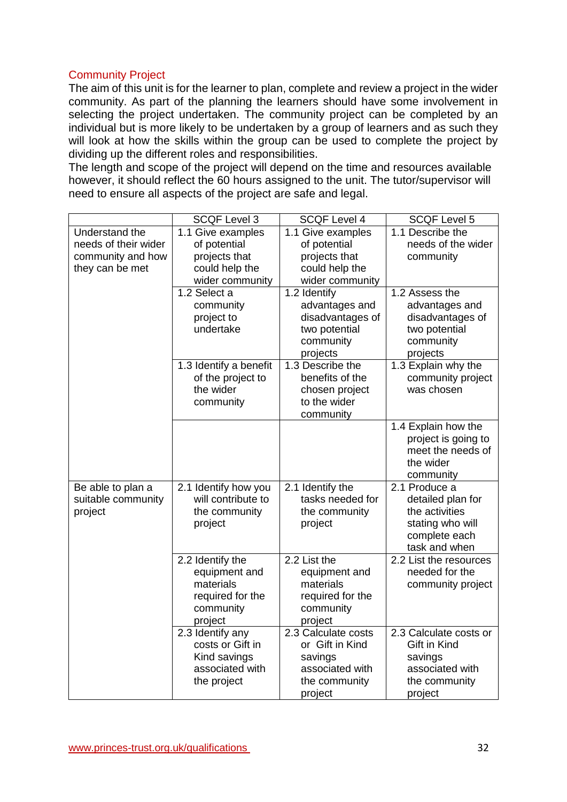### Community Project

The aim of this unit is for the learner to plan, complete and review a project in the wider community. As part of the planning the learners should have some involvement in selecting the project undertaken. The community project can be completed by an individual but is more likely to be undertaken by a group of learners and as such they will look at how the skills within the group can be used to complete the project by dividing up the different roles and responsibilities.

The length and scope of the project will depend on the time and resources available however, it should reflect the 60 hours assigned to the unit. The tutor/supervisor will need to ensure all aspects of the project are safe and legal.

| 1.1 Give examples                                                                          |                                                                                        |                                                                                                            |
|--------------------------------------------------------------------------------------------|----------------------------------------------------------------------------------------|------------------------------------------------------------------------------------------------------------|
|                                                                                            | 1.1 Give examples                                                                      | 1.1 Describe the                                                                                           |
| of potential                                                                               | of potential                                                                           | needs of the wider                                                                                         |
| projects that                                                                              | projects that                                                                          | community                                                                                                  |
| could help the                                                                             | could help the                                                                         |                                                                                                            |
| wider community                                                                            | wider community                                                                        |                                                                                                            |
| 1.2 Select a<br>community<br>project to<br>undertake                                       | 1.2 Identify<br>advantages and<br>disadvantages of<br>two potential<br>community       | 1.2 Assess the<br>advantages and<br>disadvantages of<br>two potential<br>community                         |
|                                                                                            |                                                                                        | projects                                                                                                   |
| of the project to<br>the wider<br>community                                                | benefits of the<br>chosen project<br>to the wider<br>community                         | 1.3 Explain why the<br>community project<br>was chosen                                                     |
|                                                                                            |                                                                                        | 1.4 Explain how the<br>project is going to<br>meet the needs of<br>the wider<br>community                  |
| 2.1 Identify how you<br>will contribute to<br>the community<br>project                     | 2.1 Identify the<br>tasks needed for<br>the community<br>project                       | 2.1 Produce a<br>detailed plan for<br>the activities<br>stating who will<br>complete each<br>task and when |
| 2.2 Identify the<br>equipment and<br>materials<br>required for the<br>community<br>project | 2.2 List the<br>equipment and<br>materials<br>required for the<br>community<br>project | 2.2 List the resources<br>needed for the<br>community project                                              |
| 2.3 Identify any<br>costs or Gift in<br>Kind savings<br>associated with<br>the project     | 2.3 Calculate costs<br>or Gift in Kind<br>savings<br>associated with<br>the community  | 2.3 Calculate costs or<br>Gift in Kind<br>savings<br>associated with<br>the community<br>project           |
|                                                                                            | 1.3 Identify a benefit                                                                 | projects<br>1.3 Describe the<br>project                                                                    |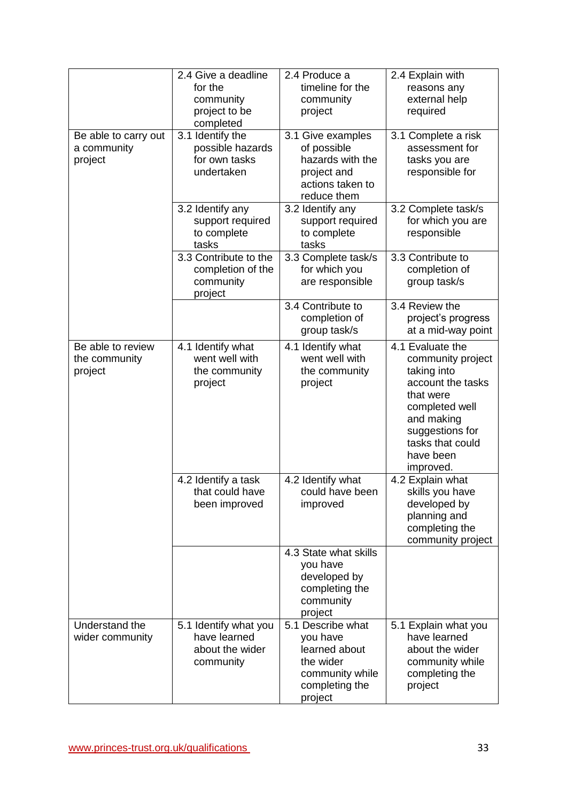|                                                | 2.4 Give a deadline<br>for the<br>community<br>project to be<br>completed | 2.4 Produce a<br>timeline for the<br>community<br>project                                                   | 2.4 Explain with<br>reasons any<br>external help<br>required                                                                                                                            |
|------------------------------------------------|---------------------------------------------------------------------------|-------------------------------------------------------------------------------------------------------------|-----------------------------------------------------------------------------------------------------------------------------------------------------------------------------------------|
| Be able to carry out<br>a community<br>project | 3.1 Identify the<br>possible hazards<br>for own tasks<br>undertaken       | 3.1 Give examples<br>of possible<br>hazards with the<br>project and<br>actions taken to<br>reduce them      | 3.1 Complete a risk<br>assessment for<br>tasks you are<br>responsible for                                                                                                               |
|                                                | 3.2 Identify any<br>support required<br>to complete<br>tasks              | 3.2 Identify any<br>support required<br>to complete<br>tasks                                                | 3.2 Complete task/s<br>for which you are<br>responsible                                                                                                                                 |
|                                                | 3.3 Contribute to the<br>completion of the<br>community<br>project        | 3.3 Complete task/s<br>for which you<br>are responsible                                                     | 3.3 Contribute to<br>completion of<br>group task/s                                                                                                                                      |
|                                                |                                                                           | 3.4 Contribute to<br>completion of<br>group task/s                                                          | 3.4 Review the<br>project's progress<br>at a mid-way point                                                                                                                              |
| Be able to review<br>the community<br>project  | 4.1 Identify what<br>went well with<br>the community<br>project           | 4.1 Identify what<br>went well with<br>the community<br>project                                             | 4.1 Evaluate the<br>community project<br>taking into<br>account the tasks<br>that were<br>completed well<br>and making<br>suggestions for<br>tasks that could<br>have been<br>improved. |
|                                                | 4.2 Identify a task<br>that could have<br>been improved                   | 4.2 Identify what<br>could have been<br>improved                                                            | 4.2 Explain what<br>skills you have<br>developed by<br>planning and<br>completing the<br>community project                                                                              |
|                                                |                                                                           | 4.3 State what skills<br>you have<br>developed by<br>completing the<br>community<br>project                 |                                                                                                                                                                                         |
| Understand the<br>wider community              | 5.1 Identify what you<br>have learned<br>about the wider<br>community     | 5.1 Describe what<br>you have<br>learned about<br>the wider<br>community while<br>completing the<br>project | 5.1 Explain what you<br>have learned<br>about the wider<br>community while<br>completing the<br>project                                                                                 |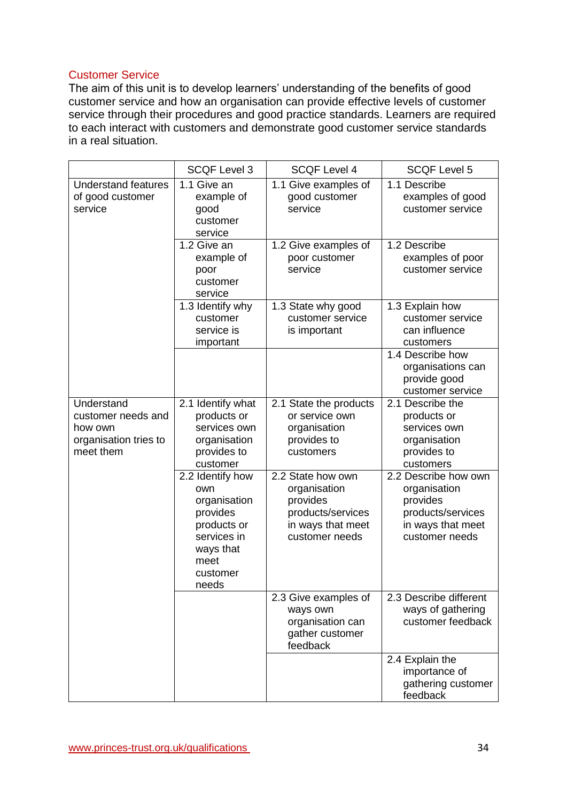### Customer Service

The aim of this unit is to develop learners' understanding of the benefits of good customer service and how an organisation can provide effective levels of customer service through their procedures and good practice standards. Learners are required to each interact with customers and demonstrate good customer service standards in a real situation.

|                                                                                   | <b>SCQF Level 3</b>                                                                                                         | <b>SCQF Level 4</b>                                                                                       | <b>SCQF Level 5</b>                                                                                          |
|-----------------------------------------------------------------------------------|-----------------------------------------------------------------------------------------------------------------------------|-----------------------------------------------------------------------------------------------------------|--------------------------------------------------------------------------------------------------------------|
| <b>Understand features</b><br>of good customer<br>service                         | 1.1 Give an<br>example of<br>good<br>customer<br>service                                                                    | 1.1 Give examples of<br>good customer<br>service                                                          | 1.1 Describe<br>examples of good<br>customer service                                                         |
|                                                                                   | 1.2 Give an<br>example of<br>poor<br>customer<br>service                                                                    | 1.2 Give examples of<br>poor customer<br>service                                                          | 1.2 Describe<br>examples of poor<br>customer service                                                         |
|                                                                                   | 1.3 Identify why<br>customer<br>service is<br>important                                                                     | 1.3 State why good<br>customer service<br>is important                                                    | 1.3 Explain how<br>customer service<br>can influence<br>customers                                            |
|                                                                                   |                                                                                                                             |                                                                                                           | 1.4 Describe how<br>organisations can<br>provide good<br>customer service                                    |
| Understand<br>customer needs and<br>how own<br>organisation tries to<br>meet them | 2.1 Identify what<br>products or<br>services own<br>organisation<br>provides to<br>customer                                 | 2.1 State the products<br>or service own<br>organisation<br>provides to<br>customers                      | 2.1 Describe the<br>products or<br>services own<br>organisation<br>provides to<br>customers                  |
|                                                                                   | 2.2 Identify how<br>own<br>organisation<br>provides<br>products or<br>services in<br>ways that<br>meet<br>customer<br>needs | 2.2 State how own<br>organisation<br>provides<br>products/services<br>in ways that meet<br>customer needs | 2.2 Describe how own<br>organisation<br>provides<br>products/services<br>in ways that meet<br>customer needs |
|                                                                                   |                                                                                                                             | 2.3 Give examples of<br>ways own<br>organisation can<br>gather customer<br>feedback                       | 2.3 Describe different<br>ways of gathering<br>customer feedback                                             |
|                                                                                   |                                                                                                                             |                                                                                                           | 2.4 Explain the<br>importance of<br>gathering customer<br>feedback                                           |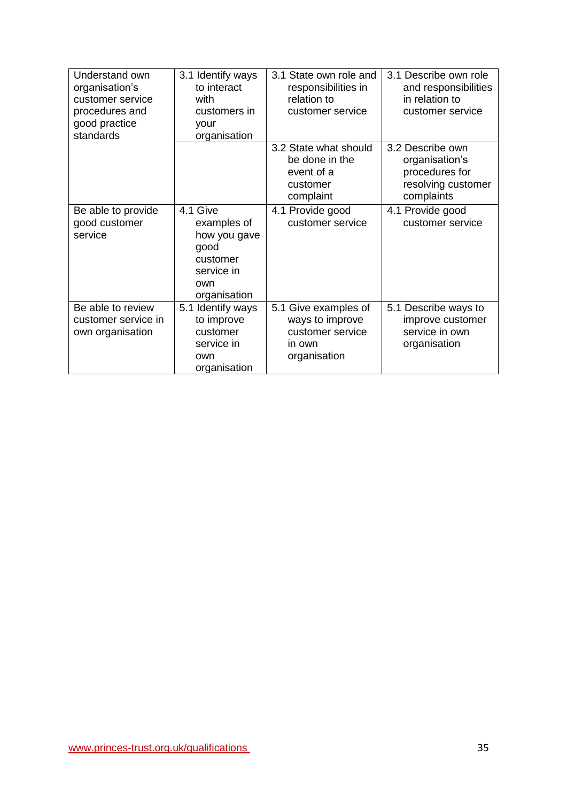| Understand own<br>organisation's<br>customer service<br>procedures and<br>good practice<br>standards | 3.1 Identify ways<br>to interact<br>with<br>customers in<br>your<br>organisation                 | 3.1 State own role and<br>responsibilities in<br>relation to<br>customer service      | 3.1 Describe own role<br>and responsibilities<br>in relation to<br>customer service      |
|------------------------------------------------------------------------------------------------------|--------------------------------------------------------------------------------------------------|---------------------------------------------------------------------------------------|------------------------------------------------------------------------------------------|
|                                                                                                      |                                                                                                  | 3.2 State what should<br>be done in the<br>event of a<br>customer<br>complaint        | 3.2 Describe own<br>organisation's<br>procedures for<br>resolving customer<br>complaints |
| Be able to provide<br>good customer<br>service                                                       | 4.1 Give<br>examples of<br>how you gave<br>good<br>customer<br>service in<br>own<br>organisation | 4.1 Provide good<br>customer service                                                  | 4.1 Provide good<br>customer service                                                     |
| Be able to review<br>customer service in<br>own organisation                                         | 5.1 Identify ways<br>to improve<br>customer<br>service in<br>own<br>organisation                 | 5.1 Give examples of<br>ways to improve<br>customer service<br>in own<br>organisation | 5.1 Describe ways to<br>improve customer<br>service in own<br>organisation               |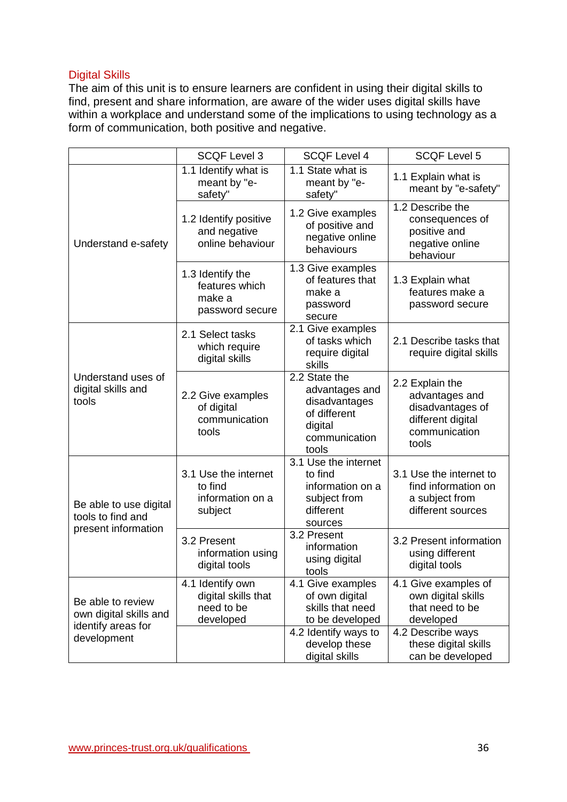### Digital Skills

The aim of this unit is to ensure learners are confident in using their digital skills to find, present and share information, are aware of the wider uses digital skills have within a workplace and understand some of the implications to using technology as a form of communication, both positive and negative.

|                                                                                  | <b>SCQF Level 3</b>                                                | <b>SCQF Level 4</b>                                                                                   | <b>SCQF Level 5</b>                                                                                  |
|----------------------------------------------------------------------------------|--------------------------------------------------------------------|-------------------------------------------------------------------------------------------------------|------------------------------------------------------------------------------------------------------|
|                                                                                  | 1.1 Identify what is<br>meant by "e-<br>safety"                    | 1.1 State what is<br>meant by "e-<br>safety"                                                          | 1.1 Explain what is<br>meant by "e-safety"                                                           |
| Understand e-safety                                                              | 1.2 Identify positive<br>and negative<br>online behaviour          | 1.2 Give examples<br>of positive and<br>negative online<br>behaviours                                 | 1.2 Describe the<br>consequences of<br>positive and<br>negative online<br>behaviour                  |
|                                                                                  | 1.3 Identify the<br>features which<br>make a<br>password secure    | 1.3 Give examples<br>of features that<br>make a<br>password<br>secure                                 | 1.3 Explain what<br>features make a<br>password secure                                               |
|                                                                                  | 2.1 Select tasks<br>which require<br>digital skills                | 2.1 Give examples<br>of tasks which<br>require digital<br>skills                                      | 2.1 Describe tasks that<br>require digital skills                                                    |
| Understand uses of<br>digital skills and<br>tools                                | 2.2 Give examples<br>of digital<br>communication<br>tools          | 2.2 State the<br>advantages and<br>disadvantages<br>of different<br>digital<br>communication<br>tools | 2.2 Explain the<br>advantages and<br>disadvantages of<br>different digital<br>communication<br>tools |
| Be able to use digital<br>tools to find and<br>present information               | 3.1 Use the internet<br>to find<br>information on a<br>subject     | 3.1 Use the internet<br>to find<br>information on a<br>subject from<br>different<br>sources           | 3.1 Use the internet to<br>find information on<br>a subject from<br>different sources                |
|                                                                                  | 3.2 Present<br>information using<br>digital tools                  | 3.2 Present<br>information<br>using digital<br>tools                                                  | 3.2 Present information<br>using different<br>digital tools                                          |
| Be able to review<br>own digital skills and<br>identify areas for<br>development | 4.1 Identify own<br>digital skills that<br>need to be<br>developed | 4.1 Give examples<br>of own digital<br>skills that need<br>to be developed                            | 4.1 Give examples of<br>own digital skills<br>that need to be<br>developed                           |
|                                                                                  |                                                                    | 4.2 Identify ways to<br>develop these<br>digital skills                                               | 4.2 Describe ways<br>these digital skills<br>can be developed                                        |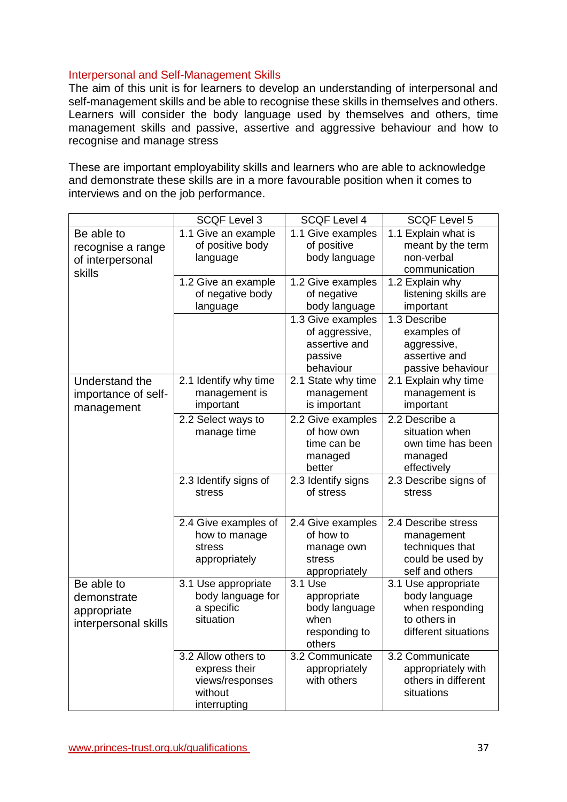#### Interpersonal and Self-Management Skills

The aim of this unit is for learners to develop an understanding of interpersonal and self-management skills and be able to recognise these skills in themselves and others. Learners will consider the body language used by themselves and others, time management skills and passive, assertive and aggressive behaviour and how to recognise and manage stress

These are important employability skills and learners who are able to acknowledge and demonstrate these skills are in a more favourable position when it comes to interviews and on the job performance.

|                                                                  | <b>SCQF Level 3</b>                                                                | <b>SCQF Level 4</b>                                                          | <b>SCQF Level 5</b>                                                                             |
|------------------------------------------------------------------|------------------------------------------------------------------------------------|------------------------------------------------------------------------------|-------------------------------------------------------------------------------------------------|
| Be able to<br>recognise a range<br>of interpersonal<br>skills    | 1.1 Give an example<br>of positive body<br>language                                | 1.1 Give examples<br>of positive<br>body language                            | 1.1 Explain what is<br>meant by the term<br>non-verbal<br>communication                         |
|                                                                  | 1.2 Give an example<br>of negative body<br>language                                | 1.2 Give examples<br>of negative<br>body language                            | 1.2 Explain why<br>listening skills are<br>important                                            |
|                                                                  |                                                                                    | 1.3 Give examples<br>of aggressive,<br>assertive and<br>passive<br>behaviour | 1.3 Describe<br>examples of<br>aggressive,<br>assertive and<br>passive behaviour                |
| Understand the<br>importance of self-<br>management              | 2.1 Identify why time<br>management is<br>important                                | 2.1 State why time<br>management<br>is important                             | 2.1 Explain why time<br>management is<br>important                                              |
|                                                                  | 2.2 Select ways to<br>manage time                                                  | 2.2 Give examples<br>of how own<br>time can be<br>managed<br>better          | 2.2 Describe a<br>situation when<br>own time has been<br>managed<br>effectively                 |
|                                                                  | 2.3 Identify signs of<br>stress                                                    | 2.3 Identify signs<br>of stress                                              | 2.3 Describe signs of<br>stress                                                                 |
|                                                                  | 2.4 Give examples of<br>how to manage<br>stress<br>appropriately                   | 2.4 Give examples<br>of how to<br>manage own<br>stress<br>appropriately      | 2.4 Describe stress<br>management<br>techniques that<br>could be used by<br>self and others     |
| Be able to<br>demonstrate<br>appropriate<br>interpersonal skills | 3.1 Use appropriate<br>body language for<br>a specific<br>situation                | $3.1$ Use<br>appropriate<br>body language<br>when<br>responding to<br>others | 3.1 Use appropriate<br>body language<br>when responding<br>to others in<br>different situations |
|                                                                  | 3.2 Allow others to<br>express their<br>views/responses<br>without<br>interrupting | 3.2 Communicate<br>appropriately<br>with others                              | 3.2 Communicate<br>appropriately with<br>others in different<br>situations                      |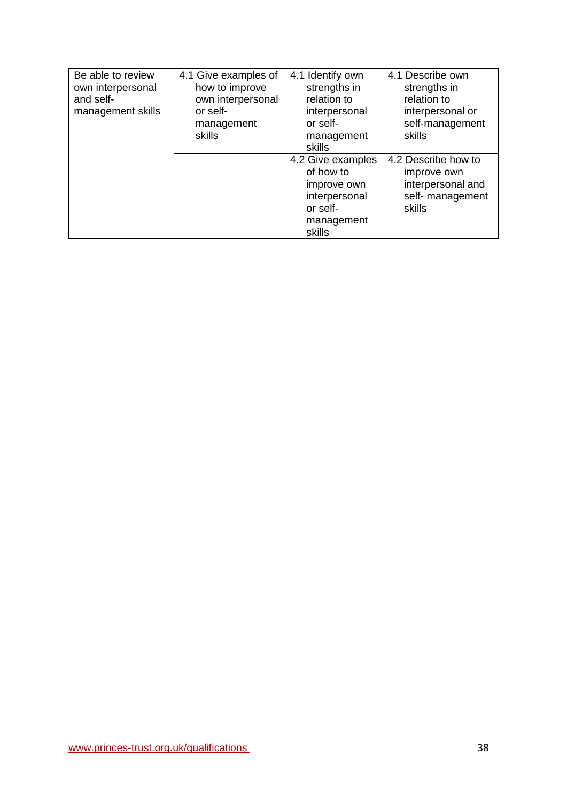| Be able to review<br>own interpersonal<br>and self-<br>management skills | 4.1 Give examples of<br>how to improve<br>own interpersonal<br>or self-<br>management<br><b>skills</b> | 4.1 Identify own<br>strengths in<br>relation to<br>interpersonal<br>or self-<br>management<br>skills | 4.1 Describe own<br>strengths in<br>relation to<br>interpersonal or<br>self-management<br>skills |
|--------------------------------------------------------------------------|--------------------------------------------------------------------------------------------------------|------------------------------------------------------------------------------------------------------|--------------------------------------------------------------------------------------------------|
|                                                                          |                                                                                                        | 4.2 Give examples<br>of how to<br>improve own<br>interpersonal<br>or self-<br>management<br>skills   | 4.2 Describe how to<br>improve own<br>interpersonal and<br>self- management<br>skills            |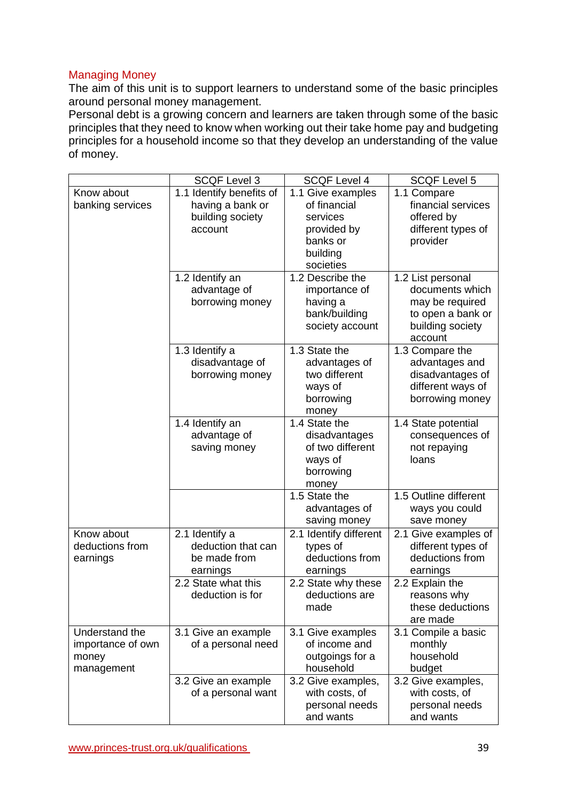### Managing Money

The aim of this unit is to support learners to understand some of the basic principles around personal money management.

Personal debt is a growing concern and learners are taken through some of the basic principles that they need to know when working out their take home pay and budgeting principles for a household income so that they develop an understanding of the value of money.

|                                                            | <b>SCQF Level 3</b>                                                         | <b>SCQF Level 4</b>                                                                               | <b>SCQF Level 5</b>                                                                                         |
|------------------------------------------------------------|-----------------------------------------------------------------------------|---------------------------------------------------------------------------------------------------|-------------------------------------------------------------------------------------------------------------|
| Know about<br>banking services                             | 1.1 Identify benefits of<br>having a bank or<br>building society<br>account | 1.1 Give examples<br>of financial<br>services<br>provided by<br>banks or<br>building<br>societies | 1.1 Compare<br>financial services<br>offered by<br>different types of<br>provider                           |
|                                                            | 1.2 Identify an<br>advantage of<br>borrowing money                          | 1.2 Describe the<br>importance of<br>having a<br>bank/building<br>society account                 | 1.2 List personal<br>documents which<br>may be required<br>to open a bank or<br>building society<br>account |
|                                                            | 1.3 Identify a<br>disadvantage of<br>borrowing money                        | 1.3 State the<br>advantages of<br>two different<br>ways of<br>borrowing<br>money                  | 1.3 Compare the<br>advantages and<br>disadvantages of<br>different ways of<br>borrowing money               |
|                                                            | 1.4 Identify an<br>advantage of<br>saving money                             | 1.4 State the<br>disadvantages<br>of two different<br>ways of<br>borrowing<br>money               | 1.4 State potential<br>consequences of<br>not repaying<br>loans                                             |
|                                                            |                                                                             | 1.5 State the<br>advantages of<br>saving money                                                    | 1.5 Outline different<br>ways you could<br>save money                                                       |
| Know about<br>deductions from<br>earnings                  | 2.1 Identify a<br>deduction that can<br>be made from<br>earnings            | 2.1 Identify different<br>types of<br>deductions from<br>earnings                                 | 2.1 Give examples of<br>different types of<br>deductions from<br>earnings                                   |
|                                                            | 2.2 State what this<br>deduction is for                                     | 2.2 State why these<br>deductions are<br>made                                                     | 2.2 Explain the<br>reasons why<br>these deductions<br>are made                                              |
| Understand the<br>importance of own<br>money<br>management | 3.1 Give an example<br>of a personal need                                   | 3.1 Give examples<br>of income and<br>outgoings for a<br>household                                | 3.1 Compile a basic<br>monthly<br>household<br>budget                                                       |
|                                                            | 3.2 Give an example<br>of a personal want                                   | 3.2 Give examples,<br>with costs, of<br>personal needs<br>and wants                               | 3.2 Give examples,<br>with costs, of<br>personal needs<br>and wants                                         |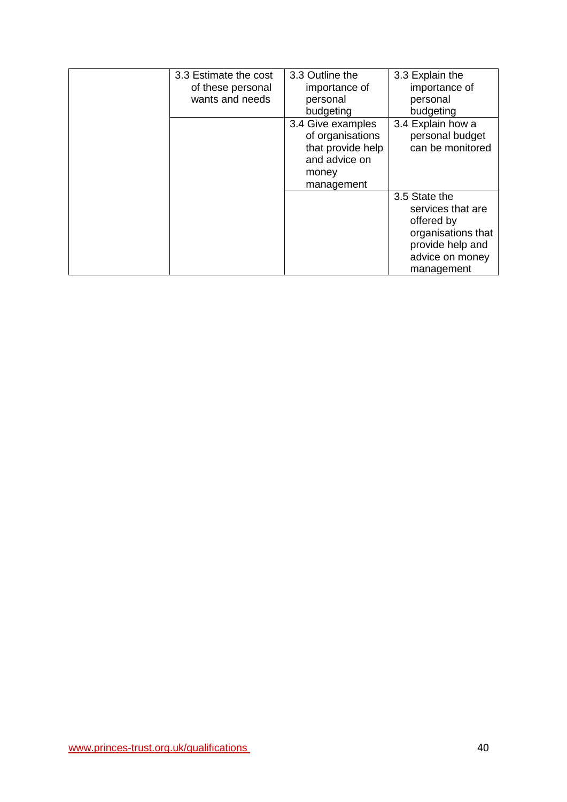| 3.3 Estimate the cost | 3.3 Outline the   | 3.3 Explain the    |
|-----------------------|-------------------|--------------------|
| of these personal     | importance of     | importance of      |
| wants and needs       | personal          | personal           |
|                       | budgeting         | budgeting          |
|                       | 3.4 Give examples | 3.4 Explain how a  |
|                       | of organisations  | personal budget    |
|                       | that provide help | can be monitored   |
|                       | and advice on     |                    |
|                       | money             |                    |
|                       | management        |                    |
|                       |                   | 3.5 State the      |
|                       |                   | services that are  |
|                       |                   | offered by         |
|                       |                   | organisations that |
|                       |                   | provide help and   |
|                       |                   | advice on money    |
|                       |                   | management         |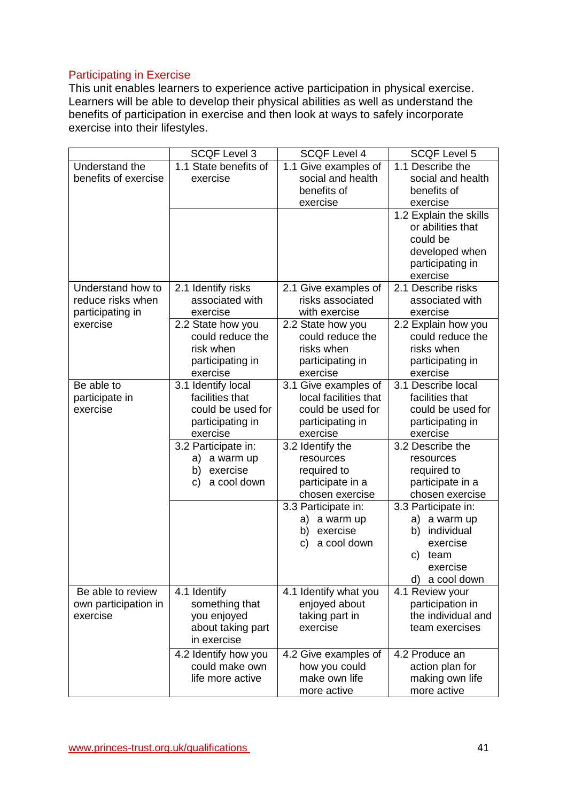# Participating in Exercise

This unit enables learners to experience active participation in physical exercise. Learners will be able to develop their physical abilities as well as understand the benefits of participation in exercise and then look at ways to safely incorporate exercise into their lifestyles.

|                      | <b>SCQF Level 3</b>   | <b>SCQF Level 4</b>            | <b>SCQF Level 5</b>    |
|----------------------|-----------------------|--------------------------------|------------------------|
| Understand the       | 1.1 State benefits of | 1.1 Give examples of           | 1.1 Describe the       |
| benefits of exercise | exercise              | social and health              | social and health      |
|                      |                       | benefits of                    | benefits of            |
|                      |                       | exercise                       | exercise               |
|                      |                       |                                | 1.2 Explain the skills |
|                      |                       |                                | or abilities that      |
|                      |                       |                                | could be               |
|                      |                       |                                | developed when         |
|                      |                       |                                | participating in       |
|                      |                       |                                | exercise               |
| Understand how to    | 2.1 Identify risks    | 2.1 Give examples of           | 2.1 Describe risks     |
| reduce risks when    | associated with       | risks associated               | associated with        |
| participating in     | exercise              | with exercise                  | exercise               |
| exercise             | 2.2 State how you     | 2.2 State how you              | 2.2 Explain how you    |
|                      | could reduce the      | could reduce the               | could reduce the       |
|                      | risk when             | risks when                     | risks when             |
|                      | participating in      | participating in               | participating in       |
|                      | exercise              | exercise                       | exercise               |
| Be able to           | 3.1 Identify local    | 3.1 Give examples of           | 3.1 Describe local     |
| participate in       | facilities that       | local facilities that          | facilities that        |
| exercise             | could be used for     | could be used for              | could be used for      |
|                      | participating in      | participating in               | participating in       |
|                      | exercise              | exercise                       | exercise               |
|                      | 3.2 Participate in:   | 3.2 Identify the               | 3.2 Describe the       |
|                      | a warm up<br>a)       | resources                      | resources              |
|                      | exercise<br>b)        | required to                    | required to            |
|                      | a cool down<br>C)     | participate in a               | participate in a       |
|                      |                       | chosen exercise                | chosen exercise        |
|                      |                       | 3.3 Participate in:            | 3.3 Participate in:    |
|                      |                       | a) a warm up                   | a) a warm up           |
|                      |                       | exercise<br>b)                 | individual<br>b)       |
|                      |                       | a cool down<br>C)              | exercise               |
|                      |                       |                                | C)<br>team             |
|                      |                       |                                | exercise               |
|                      |                       |                                | d)<br>a cool down      |
| Be able to review    | 4.1 Identify          | 4.1 Identify what you          | 4.1 Review your        |
| own participation in | something that        | enjoyed about                  | participation in       |
| exercise             | you enjoyed           | taking part in                 | the individual and     |
|                      | about taking part     | exercise                       | team exercises         |
|                      | in exercise           |                                |                        |
|                      | 4.2 Identify how you  | 4.2 Give examples of           | 4.2 Produce an         |
|                      | could make own        | how you could<br>make own life | action plan for        |
|                      | life more active      |                                | making own life        |
|                      |                       | more active                    | more active            |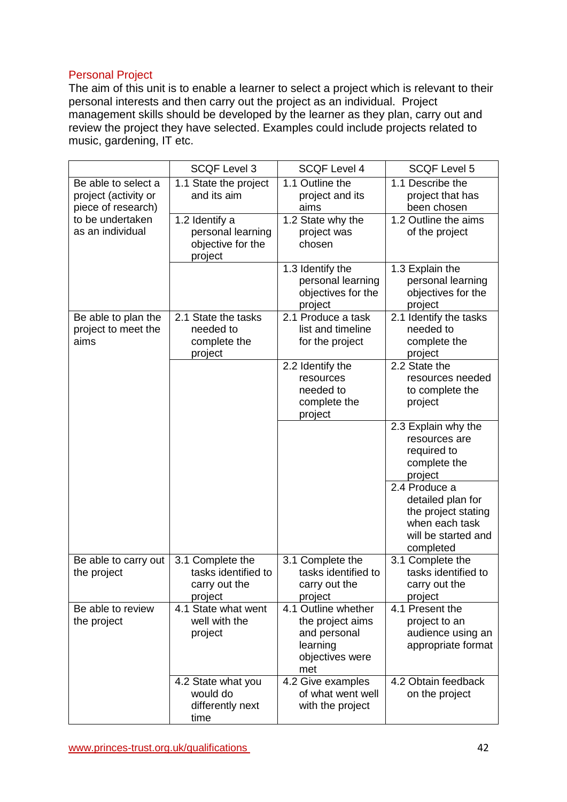### Personal Project

The aim of this unit is to enable a learner to select a project which is relevant to their personal interests and then carry out the project as an individual. Project management skills should be developed by the learner as they plan, carry out and review the project they have selected. Examples could include projects related to music, gardening, IT etc.

|                                                                   | <b>SCQF Level 3</b>                                                 | <b>SCQF Level 4</b>                                                                           | <b>SCQF Level 5</b>                                                                                             |
|-------------------------------------------------------------------|---------------------------------------------------------------------|-----------------------------------------------------------------------------------------------|-----------------------------------------------------------------------------------------------------------------|
| Be able to select a<br>project (activity or<br>piece of research) | 1.1 State the project<br>and its aim                                | 1.1 Outline the<br>project and its<br>aims                                                    | 1.1 Describe the<br>project that has<br>been chosen                                                             |
| to be undertaken<br>as an individual                              | 1.2 Identify a<br>personal learning<br>objective for the<br>project | 1.2 State why the<br>project was<br>chosen                                                    | 1.2 Outline the aims<br>of the project                                                                          |
|                                                                   |                                                                     | 1.3 Identify the<br>personal learning<br>objectives for the<br>project                        | 1.3 Explain the<br>personal learning<br>objectives for the<br>project                                           |
| Be able to plan the<br>project to meet the<br>aims                | 2.1 State the tasks<br>needed to<br>complete the<br>project         | 2.1 Produce a task<br>list and timeline<br>for the project                                    | 2.1 Identify the tasks<br>needed to<br>complete the<br>project                                                  |
|                                                                   |                                                                     | 2.2 Identify the<br>resources<br>needed to<br>complete the<br>project                         | 2.2 State the<br>resources needed<br>to complete the<br>project                                                 |
|                                                                   |                                                                     |                                                                                               | 2.3 Explain why the<br>resources are<br>required to<br>complete the<br>project                                  |
|                                                                   |                                                                     |                                                                                               | 2.4 Produce a<br>detailed plan for<br>the project stating<br>when each task<br>will be started and<br>completed |
| Be able to carry out<br>the project                               | 3.1 Complete the<br>tasks identified to<br>carry out the<br>project | 3.1 Complete the<br>tasks identified to<br>carry out the<br>project                           | 3.1 Complete the<br>tasks identified to<br>carry out the<br>project                                             |
| Be able to review<br>the project                                  | 4.1 State what went<br>well with the<br>project                     | 4.1 Outline whether<br>the project aims<br>and personal<br>learning<br>objectives were<br>met | 4.1 Present the<br>project to an<br>audience using an<br>appropriate format                                     |
|                                                                   | 4.2 State what you<br>would do<br>differently next<br>time          | 4.2 Give examples<br>of what went well<br>with the project                                    | 4.2 Obtain feedback<br>on the project                                                                           |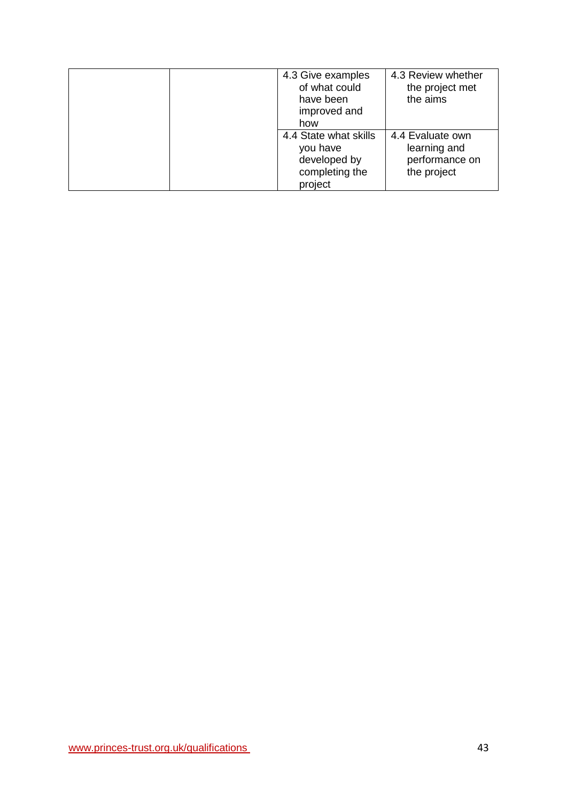| 4.3 Give examples<br>of what could<br>have been<br>improved and<br>how         | 4.3 Review whether<br>the project met<br>the aims                 |
|--------------------------------------------------------------------------------|-------------------------------------------------------------------|
| 4.4 State what skills<br>you have<br>developed by<br>completing the<br>project | 4.4 Evaluate own<br>learning and<br>performance on<br>the project |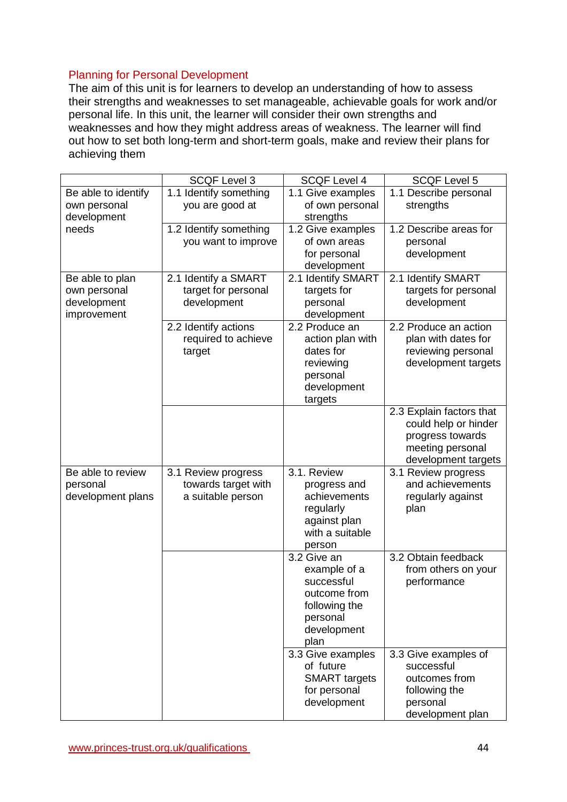### Planning for Personal Development

The aim of this unit is for learners to develop an understanding of how to assess their strengths and weaknesses to set manageable, achievable goals for work and/or personal life. In this unit, the learner will consider their own strengths and weaknesses and how they might address areas of weakness. The learner will find out how to set both long-term and short-term goals, make and review their plans for achieving them

|                     | <b>SCQF Level 3</b>    | <b>SCQF Level 4</b>       | <b>SCQF Level 5</b>      |
|---------------------|------------------------|---------------------------|--------------------------|
| Be able to identify | 1.1 Identify something | 1.1 Give examples         | 1.1 Describe personal    |
| own personal        | you are good at        | of own personal           | strengths                |
| development         |                        | strengths                 |                          |
| needs               | 1.2 Identify something | 1.2 Give examples         | 1.2 Describe areas for   |
|                     | you want to improve    | of own areas              | personal                 |
|                     |                        | for personal              | development              |
|                     |                        | development               |                          |
| Be able to plan     | 2.1 Identify a SMART   | 2.1 Identify SMART        | 2.1 Identify SMART       |
| own personal        | target for personal    | targets for               | targets for personal     |
| development         | development            | personal                  | development              |
| improvement         |                        | development               |                          |
|                     | 2.2 Identify actions   | 2.2 Produce an            | 2.2 Produce an action    |
|                     | required to achieve    | action plan with          | plan with dates for      |
|                     | target                 | dates for                 | reviewing personal       |
|                     |                        | reviewing                 | development targets      |
|                     |                        | personal                  |                          |
|                     |                        | development<br>targets    |                          |
|                     |                        |                           | 2.3 Explain factors that |
|                     |                        |                           | could help or hinder     |
|                     |                        |                           | progress towards         |
|                     |                        |                           | meeting personal         |
|                     |                        |                           | development targets      |
| Be able to review   | 3.1 Review progress    | 3.1. Review               | 3.1 Review progress      |
| personal            | towards target with    | progress and              | and achievements         |
| development plans   | a suitable person      | achievements              | regularly against        |
|                     |                        | regularly                 | plan                     |
|                     |                        | against plan              |                          |
|                     |                        | with a suitable           |                          |
|                     |                        | person                    |                          |
|                     |                        | 3.2 Give an               | 3.2 Obtain feedback      |
|                     |                        | example of a              | from others on your      |
|                     |                        | successful                | performance              |
|                     |                        | outcome from              |                          |
|                     |                        | following the<br>personal |                          |
|                     |                        | development               |                          |
|                     |                        | plan                      |                          |
|                     |                        | 3.3 Give examples         | 3.3 Give examples of     |
|                     |                        | of future                 | successful               |
|                     |                        | <b>SMART</b> targets      | outcomes from            |
|                     |                        | for personal              | following the            |
|                     |                        | development               | personal                 |
|                     |                        |                           | development plan         |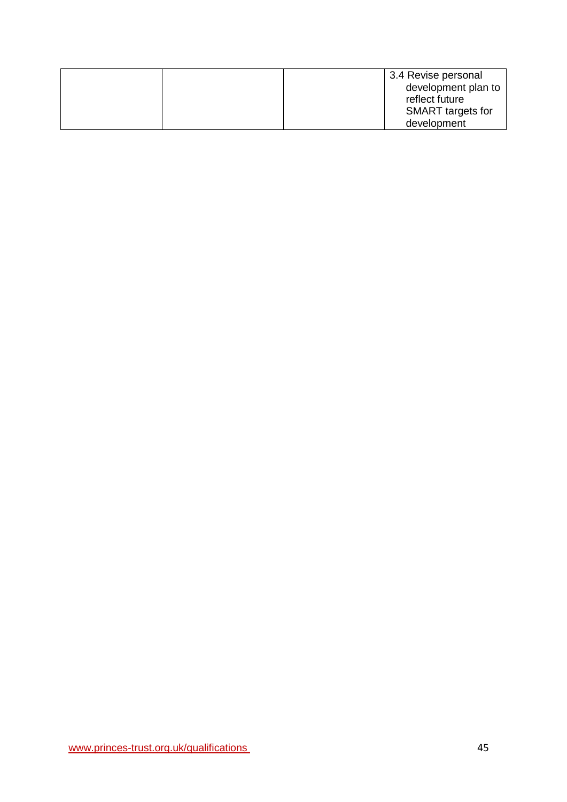|  | 3.4 Revise personal      |
|--|--------------------------|
|  | development plan to      |
|  | reflect future           |
|  | <b>SMART</b> targets for |
|  | development              |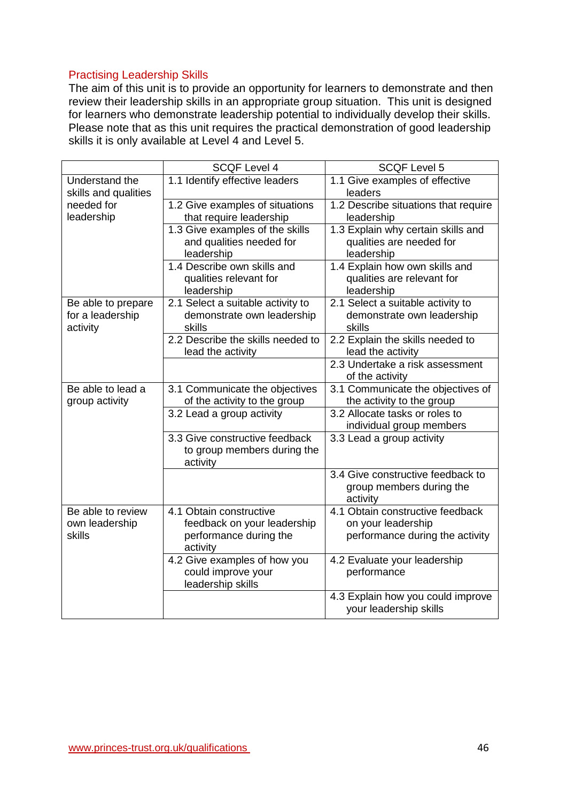# Practising Leadership Skills

The aim of this unit is to provide an opportunity for learners to demonstrate and then review their leadership skills in an appropriate group situation. This unit is designed for learners who demonstrate leadership potential to individually develop their skills. Please note that as this unit requires the practical demonstration of good leadership skills it is only available at Level 4 and Level 5.

|                                                    | <b>SCQF Level 4</b>                                                                          | <b>SCQF Level 5</b>                                                                       |
|----------------------------------------------------|----------------------------------------------------------------------------------------------|-------------------------------------------------------------------------------------------|
| Understand the<br>skills and qualities             | 1.1 Identify effective leaders                                                               | 1.1 Give examples of effective<br>leaders                                                 |
| needed for<br>leadership                           | 1.2 Give examples of situations<br>that require leadership                                   | 1.2 Describe situations that require<br>leadership                                        |
|                                                    | 1.3 Give examples of the skills<br>and qualities needed for<br>leadership                    | 1.3 Explain why certain skills and<br>qualities are needed for<br>leadership              |
|                                                    | 1.4 Describe own skills and<br>qualities relevant for<br>leadership                          | 1.4 Explain how own skills and<br>qualities are relevant for<br>leadership                |
| Be able to prepare<br>for a leadership<br>activity | 2.1 Select a suitable activity to<br>demonstrate own leadership<br>skills                    | 2.1 Select a suitable activity to<br>demonstrate own leadership<br>skills                 |
|                                                    | 2.2 Describe the skills needed to<br>lead the activity                                       | 2.2 Explain the skills needed to<br>lead the activity                                     |
|                                                    |                                                                                              | 2.3 Undertake a risk assessment<br>of the activity                                        |
| Be able to lead a<br>group activity                | 3.1 Communicate the objectives<br>of the activity to the group                               | 3.1 Communicate the objectives of<br>the activity to the group                            |
|                                                    | 3.2 Lead a group activity                                                                    | 3.2 Allocate tasks or roles to<br>individual group members                                |
|                                                    | 3.3 Give constructive feedback<br>to group members during the<br>activity                    | 3.3 Lead a group activity                                                                 |
|                                                    |                                                                                              | 3.4 Give constructive feedback to<br>group members during the<br>activity                 |
| Be able to review<br>own leadership<br>skills      | 4.1 Obtain constructive<br>feedback on your leadership<br>performance during the<br>activity | 4.1 Obtain constructive feedback<br>on your leadership<br>performance during the activity |
|                                                    | 4.2 Give examples of how you<br>could improve your<br>leadership skills                      | 4.2 Evaluate your leadership<br>performance                                               |
|                                                    |                                                                                              | 4.3 Explain how you could improve<br>your leadership skills                               |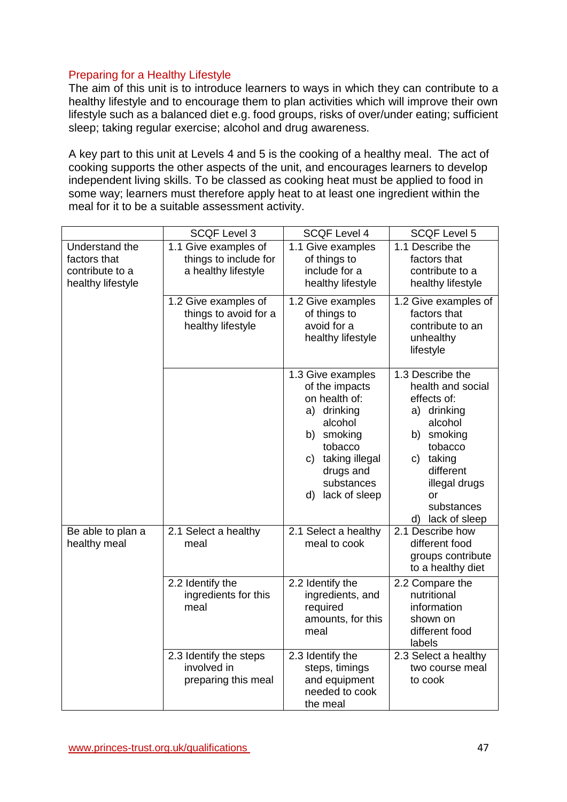### Preparing for a Healthy Lifestyle

The aim of this unit is to introduce learners to ways in which they can contribute to a healthy lifestyle and to encourage them to plan activities which will improve their own lifestyle such as a balanced diet e.g. food groups, risks of over/under eating; sufficient sleep; taking regular exercise; alcohol and drug awareness.

A key part to this unit at Levels 4 and 5 is the cooking of a healthy meal. The act of cooking supports the other aspects of the unit, and encourages learners to develop independent living skills. To be classed as cooking heat must be applied to food in some way; learners must therefore apply heat to at least one ingredient within the meal for it to be a suitable assessment activity.

|                                                                        | <b>SCQF Level 3</b>                                                  | <b>SCQF Level 4</b>                                                                                                                                                            | <b>SCQF Level 5</b>                                                                                                                                                                           |
|------------------------------------------------------------------------|----------------------------------------------------------------------|--------------------------------------------------------------------------------------------------------------------------------------------------------------------------------|-----------------------------------------------------------------------------------------------------------------------------------------------------------------------------------------------|
| Understand the<br>factors that<br>contribute to a<br>healthy lifestyle | 1.1 Give examples of<br>things to include for<br>a healthy lifestyle | 1.1 Give examples<br>of things to<br>include for a<br>healthy lifestyle                                                                                                        | 1.1 Describe the<br>factors that<br>contribute to a<br>healthy lifestyle                                                                                                                      |
|                                                                        | 1.2 Give examples of<br>things to avoid for a<br>healthy lifestyle   | 1.2 Give examples<br>of things to<br>avoid for a<br>healthy lifestyle                                                                                                          | 1.2 Give examples of<br>factors that<br>contribute to an<br>unhealthy<br>lifestyle                                                                                                            |
|                                                                        |                                                                      | 1.3 Give examples<br>of the impacts<br>on health of:<br>a) drinking<br>alcohol<br>smoking<br>b)<br>tobacco<br>c) taking illegal<br>drugs and<br>substances<br>d) lack of sleep | 1.3 Describe the<br>health and social<br>effects of:<br>a) drinking<br>alcohol<br>b) smoking<br>tobacco<br>c) taking<br>different<br>illegal drugs<br>or<br>substances<br>lack of sleep<br>d) |
| Be able to plan a<br>healthy meal                                      | 2.1 Select a healthy<br>meal                                         | 2.1 Select a healthy<br>meal to cook                                                                                                                                           | 2.1 Describe how<br>different food<br>groups contribute<br>to a healthy diet                                                                                                                  |
|                                                                        | 2.2 Identify the<br>ingredients for this<br>meal                     | 2.2 Identify the<br>ingredients, and<br>required<br>amounts, for this<br>meal                                                                                                  | 2.2 Compare the<br>nutritional<br>information<br>shown on<br>different food<br>labels                                                                                                         |
|                                                                        | 2.3 Identify the steps<br>involved in<br>preparing this meal         | 2.3 Identify the<br>steps, timings<br>and equipment<br>needed to cook<br>the meal                                                                                              | 2.3 Select a healthy<br>two course meal<br>to cook                                                                                                                                            |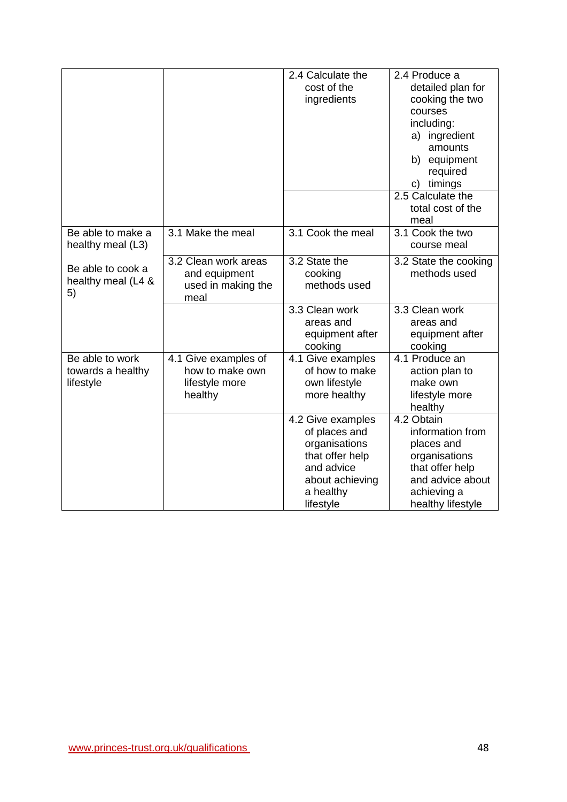|                    |                      | 2.4 Calculate the             | 2.4 Produce a                    |
|--------------------|----------------------|-------------------------------|----------------------------------|
|                    |                      | cost of the                   | detailed plan for                |
|                    |                      | ingredients                   | cooking the two                  |
|                    |                      |                               | courses                          |
|                    |                      |                               | including:                       |
|                    |                      |                               | a) ingredient                    |
|                    |                      |                               | amounts                          |
|                    |                      |                               | b) equipment                     |
|                    |                      |                               | required                         |
|                    |                      |                               | timings<br>C)                    |
|                    |                      |                               | 2.5 Calculate the                |
|                    |                      |                               | total cost of the                |
|                    |                      |                               | meal                             |
| Be able to make a  | 3.1 Make the meal    | 3.1 Cook the meal             | 3.1 Cook the two                 |
| healthy meal (L3)  |                      |                               | course meal                      |
|                    | 3.2 Clean work areas | 3.2 State the                 | 3.2 State the cooking            |
| Be able to cook a  | and equipment        | cooking                       | methods used                     |
| healthy meal (L4 & | used in making the   | methods used                  |                                  |
| 5)                 | meal                 |                               |                                  |
|                    |                      | 3.3 Clean work                | 3.3 Clean work                   |
|                    |                      | areas and                     | areas and                        |
|                    |                      | equipment after               | equipment after                  |
|                    |                      | cooking                       | cooking                          |
| Be able to work    | 4.1 Give examples of | 4.1 Give examples             | 4.1 Produce an                   |
| towards a healthy  | how to make own      | of how to make                | action plan to                   |
| lifestyle          | lifestyle more       | own lifestyle                 | make own                         |
|                    | healthy              | more healthy                  | lifestyle more                   |
|                    |                      |                               | healthy                          |
|                    |                      | 4.2 Give examples             | 4.2 Obtain                       |
|                    |                      | of places and                 | information from                 |
|                    |                      | organisations                 | places and                       |
|                    |                      | that offer help<br>and advice | organisations<br>that offer help |
|                    |                      | about achieving               | and advice about                 |
|                    |                      |                               |                                  |
|                    |                      | a healthy<br>lifestyle        | achieving a<br>healthy lifestyle |
|                    |                      |                               |                                  |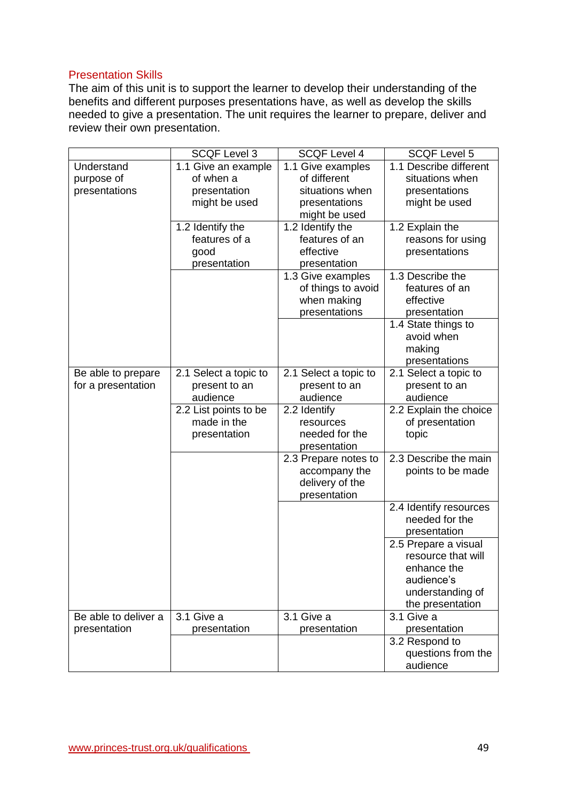### Presentation Skills

The aim of this unit is to support the learner to develop their understanding of the benefits and different purposes presentations have, as well as develop the skills needed to give a presentation. The unit requires the learner to prepare, deliver and review their own presentation.

| <b>SCQF Level 3</b><br><b>SCQF Level 4</b><br><b>SCQF Level 5</b>                             |  |
|-----------------------------------------------------------------------------------------------|--|
| 1.1 Describe different<br>Understand<br>1.1 Give examples<br>1.1 Give an example              |  |
| of different<br>situations when<br>of when a<br>purpose of                                    |  |
| situations when<br>presentations<br>presentation<br>presentations                             |  |
| might be used<br>might be used<br>presentations                                               |  |
| might be used                                                                                 |  |
| 1.2 Identify the<br>1.2 Identify the<br>1.2 Explain the                                       |  |
| features of an<br>features of a<br>reasons for using                                          |  |
| effective<br>presentations<br>good                                                            |  |
| presentation<br>presentation                                                                  |  |
| 1.3 Describe the<br>1.3 Give examples                                                         |  |
| of things to avoid<br>features of an                                                          |  |
| when making<br>effective                                                                      |  |
| presentations<br>presentation                                                                 |  |
| 1.4 State things to                                                                           |  |
| avoid when                                                                                    |  |
| making                                                                                        |  |
| presentations                                                                                 |  |
| 2.1 Select a topic to<br>2.1 Select a topic to<br>2.1 Select a topic to<br>Be able to prepare |  |
| for a presentation<br>present to an<br>present to an<br>present to an                         |  |
| audience<br>audience<br>audience                                                              |  |
| 2.2 List points to be<br>2.2 Identify<br>2.2 Explain the choice                               |  |
| made in the<br>of presentation<br>resources                                                   |  |
| needed for the<br>presentation<br>topic                                                       |  |
| presentation                                                                                  |  |
| 2.3 Describe the main<br>2.3 Prepare notes to                                                 |  |
| accompany the<br>points to be made                                                            |  |
| delivery of the                                                                               |  |
| presentation                                                                                  |  |
| 2.4 Identify resources<br>needed for the                                                      |  |
| presentation                                                                                  |  |
|                                                                                               |  |
| 2.5 Prepare a visual<br>resource that will                                                    |  |
| enhance the                                                                                   |  |
| audience's                                                                                    |  |
| understanding of                                                                              |  |
| the presentation                                                                              |  |
| Be able to deliver a<br>3.1 Give a<br>3.1 Give a<br>3.1 Give a                                |  |
| presentation<br>presentation<br>presentation<br>presentation                                  |  |
| 3.2 Respond to                                                                                |  |
|                                                                                               |  |
| questions from the                                                                            |  |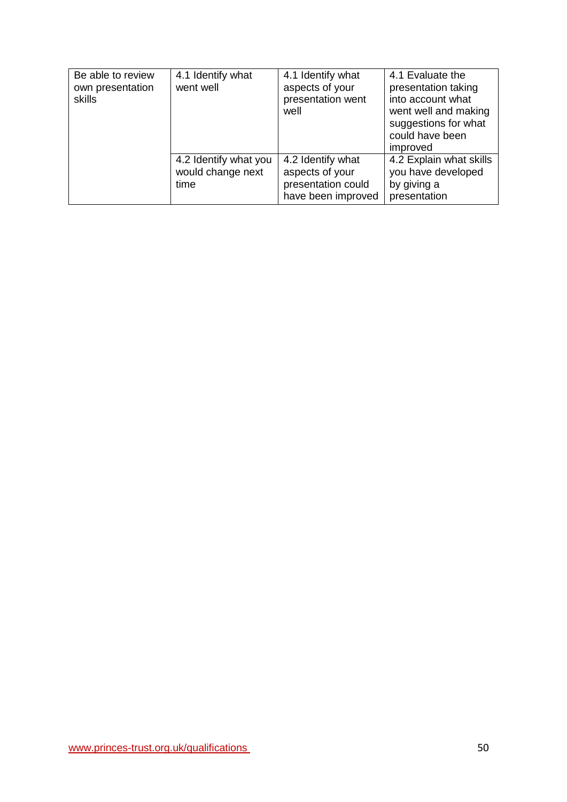| Be able to review<br>own presentation<br>skills | 4.1 Identify what<br>went well                     | 4.1 Identify what<br>aspects of your<br>presentation went<br>well                | 4.1 Evaluate the<br>presentation taking<br>into account what<br>went well and making<br>suggestions for what<br>could have been<br>improved |
|-------------------------------------------------|----------------------------------------------------|----------------------------------------------------------------------------------|---------------------------------------------------------------------------------------------------------------------------------------------|
|                                                 | 4.2 Identify what you<br>would change next<br>time | 4.2 Identify what<br>aspects of your<br>presentation could<br>have been improved | 4.2 Explain what skills<br>you have developed<br>by giving a<br>presentation                                                                |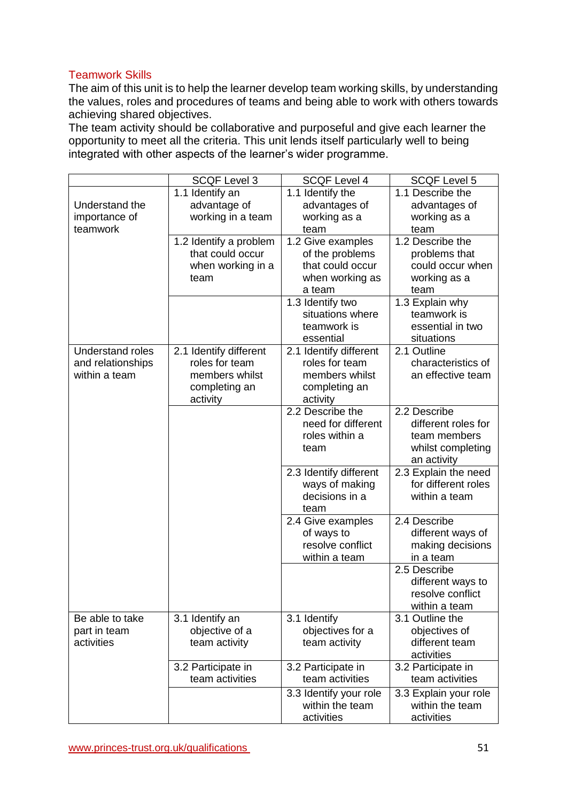# Teamwork Skills

The aim of this unit is to help the learner develop team working skills, by understanding the values, roles and procedures of teams and being able to work with others towards achieving shared objectives.

The team activity should be collaborative and purposeful and give each learner the opportunity to meet all the criteria. This unit lends itself particularly well to being integrated with other aspects of the learner's wider programme.

|                   | <b>SCQF Level 3</b>    | <b>SCQF Level 4</b>                  | <b>SCQF Level 5</b>            |
|-------------------|------------------------|--------------------------------------|--------------------------------|
|                   | 1.1 Identify an        | 1.1 Identify the                     | 1.1 Describe the               |
| Understand the    | advantage of           | advantages of                        | advantages of                  |
| importance of     | working in a team      | working as a                         | working as a                   |
| teamwork          |                        | team                                 | team                           |
|                   | 1.2 Identify a problem | 1.2 Give examples                    | 1.2 Describe the               |
|                   | that could occur       | of the problems                      | problems that                  |
|                   | when working in a      | that could occur                     | could occur when               |
|                   | team                   | when working as                      | working as a                   |
|                   |                        | a team                               | team                           |
|                   |                        | 1.3 Identify two<br>situations where | 1.3 Explain why<br>teamwork is |
|                   |                        | teamwork is                          | essential in two               |
|                   |                        | essential                            | situations                     |
| Understand roles  | 2.1 Identify different | 2.1 Identify different               | 2.1 Outline                    |
| and relationships | roles for team         | roles for team                       | characteristics of             |
| within a team     | members whilst         | members whilst                       | an effective team              |
|                   | completing an          | completing an                        |                                |
|                   | activity               | activity                             |                                |
|                   |                        | 2.2 Describe the                     | 2.2 Describe                   |
|                   |                        | need for different                   | different roles for            |
|                   |                        | roles within a                       | team members                   |
|                   |                        | team                                 | whilst completing              |
|                   |                        |                                      | an activity                    |
|                   |                        | 2.3 Identify different               | 2.3 Explain the need           |
|                   |                        | ways of making                       | for different roles            |
|                   |                        | decisions in a<br>team               | within a team                  |
|                   |                        | 2.4 Give examples                    | 2.4 Describe                   |
|                   |                        | of ways to                           | different ways of              |
|                   |                        | resolve conflict                     | making decisions               |
|                   |                        | within a team                        | in a team                      |
|                   |                        |                                      | 2.5 Describe                   |
|                   |                        |                                      | different ways to              |
|                   |                        |                                      | resolve conflict               |
|                   |                        |                                      | within a team                  |
| Be able to take   | 3.1 Identify an        | 3.1 Identify                         | 3.1 Outline the                |
| part in team      | objective of a         | objectives for a                     | objectives of                  |
| activities        | team activity          | team activity                        | different team                 |
|                   |                        |                                      | activities                     |
|                   | 3.2 Participate in     | 3.2 Participate in                   | 3.2 Participate in             |
|                   | team activities        | team activities                      | team activities                |
|                   |                        | 3.3 Identify your role               | 3.3 Explain your role          |
|                   |                        | within the team                      | within the team                |
|                   |                        | activities                           | activities                     |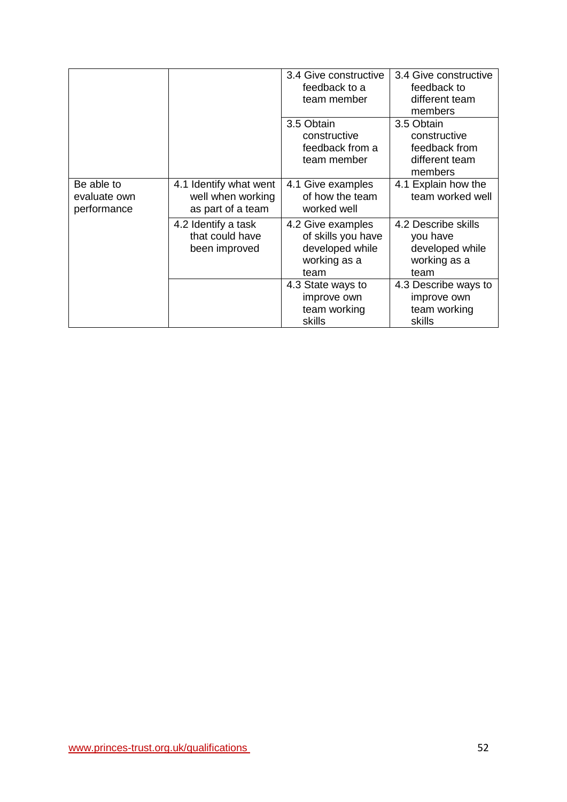|                                           |                                                                  | 3.4 Give constructive<br>feedback to a<br>team member                              | 3.4 Give constructive<br>feedback to<br>different team<br>members          |
|-------------------------------------------|------------------------------------------------------------------|------------------------------------------------------------------------------------|----------------------------------------------------------------------------|
|                                           |                                                                  | 3.5 Obtain<br>constructive<br>feedback from a<br>team member                       | 3.5 Obtain<br>constructive<br>feedback from<br>different team<br>members   |
| Be able to<br>evaluate own<br>performance | 4.1 Identify what went<br>well when working<br>as part of a team | 4.1 Give examples<br>of how the team<br>worked well                                | 4.1 Explain how the<br>team worked well                                    |
|                                           | 4.2 Identify a task<br>that could have<br>been improved          | 4.2 Give examples<br>of skills you have<br>developed while<br>working as a<br>team | 4.2 Describe skills<br>you have<br>developed while<br>working as a<br>team |
|                                           |                                                                  | 4.3 State ways to<br>improve own<br>team working<br>skills                         | 4.3 Describe ways to<br>improve own<br>team working<br>skills              |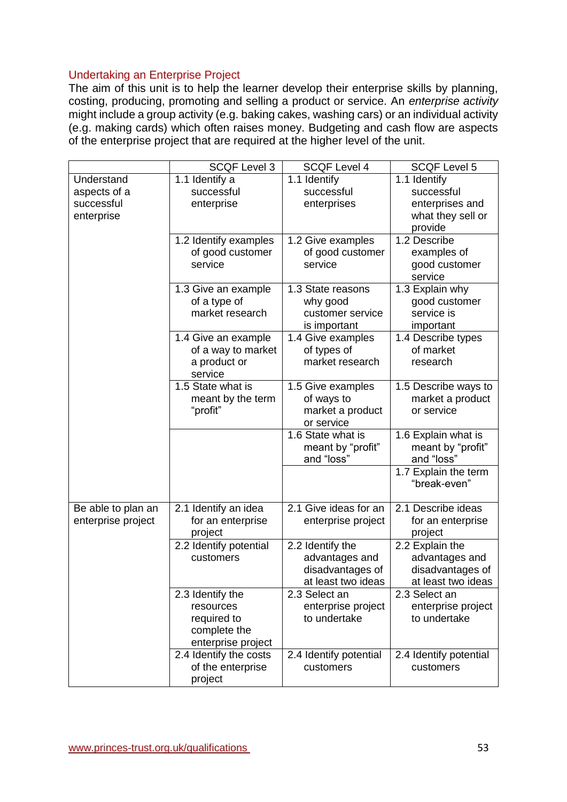### Undertaking an Enterprise Project

The aim of this unit is to help the learner develop their enterprise skills by planning, costing, producing, promoting and selling a product or service. An *enterprise activity*  might include a group activity (e.g. baking cakes, washing cars) or an individual activity (e.g. making cards) which often raises money. Budgeting and cash flow are aspects of the enterprise project that are required at the higher level of the unit.

|                    | <b>SCQF Level 3</b>                | <b>SCQF Level 4</b>                | <b>SCQF Level 5</b>                    |
|--------------------|------------------------------------|------------------------------------|----------------------------------------|
| Understand         | 1.1 Identify a                     | 1.1 Identify                       | 1.1 Identify                           |
| aspects of a       | successful                         | successful                         | successful                             |
| successful         | enterprise                         | enterprises                        | enterprises and                        |
| enterprise         |                                    |                                    | what they sell or                      |
|                    |                                    |                                    | provide                                |
|                    | 1.2 Identify examples              | 1.2 Give examples                  | 1.2 Describe                           |
|                    | of good customer                   | of good customer                   | examples of                            |
|                    | service                            | service                            | good customer                          |
|                    |                                    |                                    | service                                |
|                    | 1.3 Give an example                | 1.3 State reasons                  | 1.3 Explain why                        |
|                    | of a type of                       | why good                           | good customer                          |
|                    | market research                    | customer service                   | service is                             |
|                    |                                    | is important                       | important                              |
|                    | 1.4 Give an example                | 1.4 Give examples                  | 1.4 Describe types                     |
|                    | of a way to market                 | of types of                        | of market                              |
|                    | a product or                       | market research                    | research                               |
|                    | service                            |                                    |                                        |
|                    | 1.5 State what is                  | 1.5 Give examples                  | 1.5 Describe ways to                   |
|                    | meant by the term                  | of ways to                         | market a product                       |
|                    | "profit"                           | market a product                   | or service                             |
|                    |                                    | or service                         |                                        |
|                    |                                    | 1.6 State what is                  | 1.6 Explain what is                    |
|                    |                                    | meant by "profit"                  | meant by "profit"                      |
|                    |                                    | and "loss"                         | and "loss"                             |
|                    |                                    |                                    | 1.7 Explain the term                   |
|                    |                                    |                                    | "break-even"                           |
|                    |                                    |                                    |                                        |
| Be able to plan an | 2.1 Identify an idea               | 2.1 Give ideas for an              | 2.1 Describe ideas                     |
| enterprise project | for an enterprise                  | enterprise project                 | for an enterprise                      |
|                    | project                            |                                    | project                                |
|                    | 2.2 Identify potential             | 2.2 Identify the                   | 2.2 Explain the                        |
|                    | customers                          | advantages and                     | advantages and                         |
|                    |                                    | disadvantages of                   | disadvantages of<br>at least two ideas |
|                    |                                    | at least two ideas                 |                                        |
|                    | 2.3 Identify the                   | 2.3 Select an                      | 2.3 Select an                          |
|                    | resources<br>required to           | enterprise project<br>to undertake | enterprise project<br>to undertake     |
|                    |                                    |                                    |                                        |
|                    | complete the<br>enterprise project |                                    |                                        |
|                    | 2.4 Identify the costs             | 2.4 Identify potential             | 2.4 Identify potential                 |
|                    | of the enterprise                  | customers                          | customers                              |
|                    | project                            |                                    |                                        |
|                    |                                    |                                    |                                        |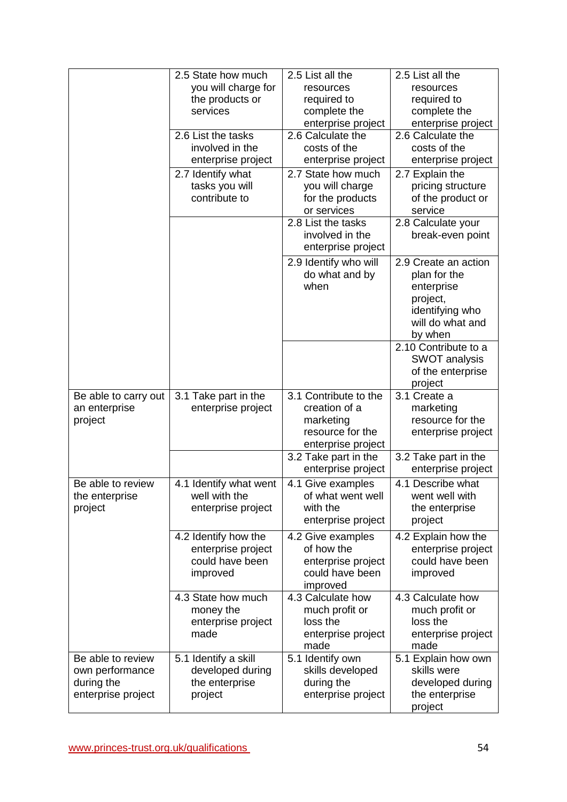|                                                                          | 2.5 State how much<br>you will charge for<br>the products or<br>services  | 2.5 List all the<br>resources<br>required to<br>complete the<br>enterprise project            | 2.5 List all the<br>resources<br>required to<br>complete the<br>enterprise project                               |
|--------------------------------------------------------------------------|---------------------------------------------------------------------------|-----------------------------------------------------------------------------------------------|------------------------------------------------------------------------------------------------------------------|
|                                                                          | 2.6 List the tasks<br>involved in the<br>enterprise project               | 2.6 Calculate the<br>costs of the<br>enterprise project                                       | 2.6 Calculate the<br>costs of the<br>enterprise project                                                          |
|                                                                          | 2.7 Identify what<br>tasks you will<br>contribute to                      | 2.7 State how much<br>you will charge<br>for the products<br>or services                      | 2.7 Explain the<br>pricing structure<br>of the product or<br>service                                             |
|                                                                          |                                                                           | 2.8 List the tasks<br>involved in the<br>enterprise project                                   | 2.8 Calculate your<br>break-even point                                                                           |
|                                                                          |                                                                           | 2.9 Identify who will<br>do what and by<br>when                                               | 2.9 Create an action<br>plan for the<br>enterprise<br>project,<br>identifying who<br>will do what and<br>by when |
|                                                                          |                                                                           |                                                                                               | 2.10 Contribute to a<br><b>SWOT analysis</b><br>of the enterprise<br>project                                     |
| Be able to carry out<br>an enterprise<br>project                         | 3.1 Take part in the<br>enterprise project                                | 3.1 Contribute to the<br>creation of a<br>marketing<br>resource for the<br>enterprise project | 3.1 Create a<br>marketing<br>resource for the<br>enterprise project                                              |
|                                                                          |                                                                           | 3.2 Take part in the<br>enterprise project                                                    | 3.2 Take part in the<br>enterprise project                                                                       |
| Be able to review<br>the enterprise<br>project                           | 4.1 Identify what went<br>well with the<br>enterprise project             | 4.1 Give examples<br>of what went well<br>with the<br>enterprise project                      | 4.1 Describe what<br>went well with<br>the enterprise<br>project                                                 |
|                                                                          | 4.2 Identify how the<br>enterprise project<br>could have been<br>improved | 4.2 Give examples<br>of how the<br>enterprise project<br>could have been<br>improved          | 4.2 Explain how the<br>enterprise project<br>could have been<br>improved                                         |
|                                                                          | 4.3 State how much<br>money the<br>enterprise project<br>made             | 4.3 Calculate how<br>much profit or<br>loss the<br>enterprise project<br>made                 | 4.3 Calculate how<br>much profit or<br>loss the<br>enterprise project<br>made                                    |
| Be able to review<br>own performance<br>during the<br>enterprise project | 5.1 Identify a skill<br>developed during<br>the enterprise                | 5.1 Identify own<br>skills developed<br>during the                                            | 5.1 Explain how own<br>skills were<br>developed during                                                           |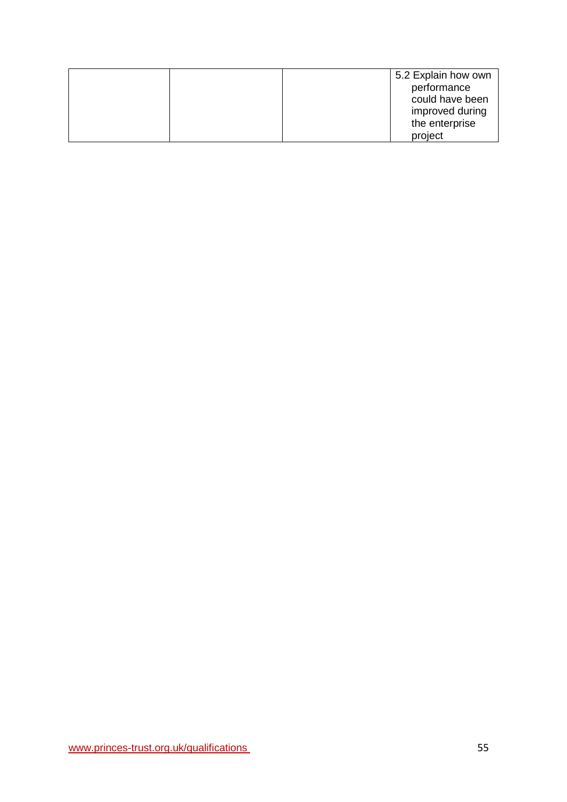|  | 5.2 Explain how own |
|--|---------------------|
|  | performance         |
|  | could have been     |
|  | improved during     |
|  | the enterprise      |
|  | project             |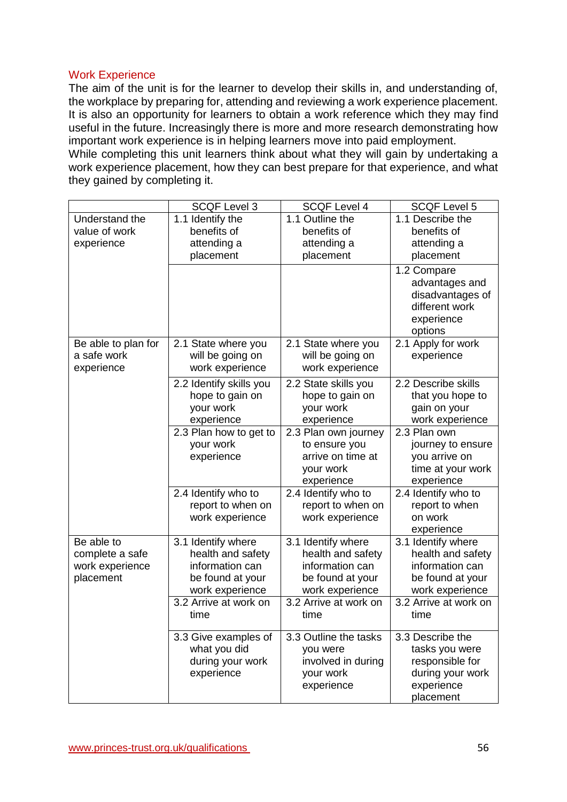### Work Experience

they gained by completing it.

The aim of the unit is for the learner to develop their skills in, and understanding of, the workplace by preparing for, attending and reviewing a work experience placement. It is also an opportunity for learners to obtain a work reference which they may find useful in the future. Increasingly there is more and more research demonstrating how important work experience is in helping learners move into paid employment. While completing this unit learners think about what they will gain by undertaking a work experience placement, how they can best prepare for that experience, and what

|                     | <b>SCQF Level 3</b>     | <b>SCQF Level 4</b>   | <b>SCQF Level 5</b>                                                               |
|---------------------|-------------------------|-----------------------|-----------------------------------------------------------------------------------|
| Understand the      | 1.1 Identify the        | 1.1 Outline the       | 1.1 Describe the                                                                  |
| value of work       | benefits of             | benefits of           | benefits of                                                                       |
| experience          | attending a             | attending a           | attending a                                                                       |
|                     | placement               | placement             | placement                                                                         |
|                     |                         |                       | 1.2 Compare<br>advantages and<br>disadvantages of<br>different work<br>experience |
|                     |                         |                       | options                                                                           |
| Be able to plan for | 2.1 State where you     | 2.1 State where you   | 2.1 Apply for work                                                                |
| a safe work         | will be going on        | will be going on      | experience                                                                        |
| experience          | work experience         | work experience       |                                                                                   |
|                     | 2.2 Identify skills you | 2.2 State skills you  | 2.2 Describe skills                                                               |
|                     | hope to gain on         | hope to gain on       | that you hope to                                                                  |
|                     | your work               | your work             | gain on your                                                                      |
|                     | experience              | experience            | work experience                                                                   |
|                     | 2.3 Plan how to get to  | 2.3 Plan own journey  | 2.3 Plan own                                                                      |
|                     | your work               | to ensure you         | journey to ensure                                                                 |
|                     | experience              | arrive on time at     | you arrive on                                                                     |
|                     |                         | your work             | time at your work                                                                 |
|                     |                         | experience            | experience                                                                        |
|                     | 2.4 Identify who to     | 2.4 Identify who to   | 2.4 Identify who to                                                               |
|                     | report to when on       | report to when on     | report to when                                                                    |
|                     | work experience         | work experience       | on work                                                                           |
|                     |                         |                       | experience                                                                        |
| Be able to          | 3.1 Identify where      | 3.1 Identify where    | 3.1 Identify where                                                                |
| complete a safe     | health and safety       | health and safety     | health and safety                                                                 |
| work experience     | information can         | information can       | information can                                                                   |
| placement           | be found at your        | be found at your      | be found at your                                                                  |
|                     | work experience         | work experience       | work experience                                                                   |
|                     | 3.2 Arrive at work on   | 3.2 Arrive at work on | 3.2 Arrive at work on                                                             |
|                     | time                    | time                  | time                                                                              |
|                     |                         |                       |                                                                                   |
|                     | 3.3 Give examples of    | 3.3 Outline the tasks | 3.3 Describe the                                                                  |
|                     | what you did            | you were              | tasks you were                                                                    |
|                     | during your work        | involved in during    | responsible for                                                                   |
|                     | experience              | your work             | during your work                                                                  |
|                     |                         | experience            | experience                                                                        |
|                     |                         |                       | placement                                                                         |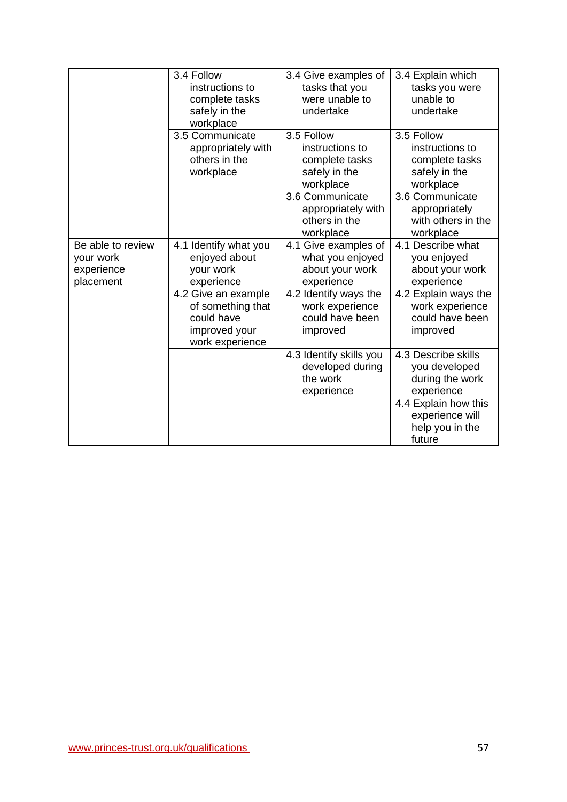|                                                           | 3.4 Follow<br>instructions to<br>complete tasks<br>safely in the<br>workplace              | 3.4 Give examples of<br>tasks that you<br>were unable to<br>undertake         | 3.4 Explain which<br>tasks you were<br>unable to<br>undertake                 |
|-----------------------------------------------------------|--------------------------------------------------------------------------------------------|-------------------------------------------------------------------------------|-------------------------------------------------------------------------------|
|                                                           | 3.5 Communicate<br>appropriately with<br>others in the<br>workplace                        | 3.5 Follow<br>instructions to<br>complete tasks<br>safely in the<br>workplace | 3.5 Follow<br>instructions to<br>complete tasks<br>safely in the<br>workplace |
|                                                           |                                                                                            | 3.6 Communicate<br>appropriately with<br>others in the<br>workplace           | 3.6 Communicate<br>appropriately<br>with others in the<br>workplace           |
| Be able to review<br>your work<br>experience<br>placement | 4.1 Identify what you<br>enjoyed about<br>your work<br>experience                          | 4.1 Give examples of<br>what you enjoyed<br>about your work<br>experience     | 4.1 Describe what<br>you enjoyed<br>about your work<br>experience             |
|                                                           | 4.2 Give an example<br>of something that<br>could have<br>improved your<br>work experience | 4.2 Identify ways the<br>work experience<br>could have been<br>improved       | 4.2 Explain ways the<br>work experience<br>could have been<br>improved        |
|                                                           |                                                                                            | 4.3 Identify skills you<br>developed during<br>the work<br>experience         | 4.3 Describe skills<br>you developed<br>during the work<br>experience         |
|                                                           |                                                                                            |                                                                               | 4.4 Explain how this<br>experience will<br>help you in the<br>future          |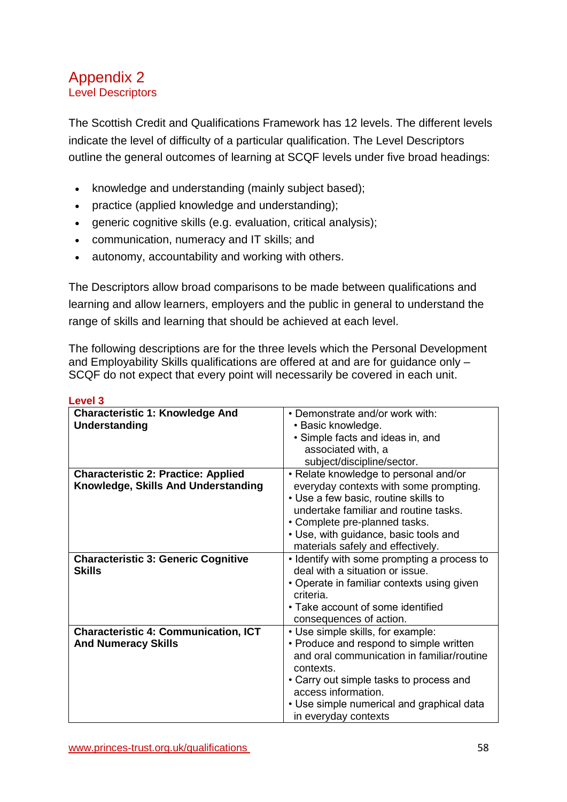# <span id="page-57-0"></span>Appendix 2 Level Descriptors

The Scottish Credit and Qualifications Framework has 12 levels. The different levels indicate the level of difficulty of a particular qualification. The Level Descriptors outline the general outcomes of learning at SCQF levels under five broad headings:

- knowledge and understanding (mainly subject based);
- practice (applied knowledge and understanding);
- generic cognitive skills (e.g. evaluation, critical analysis);
- communication, numeracy and IT skills; and
- autonomy, accountability and working with others.

The Descriptors allow broad comparisons to be made between qualifications and learning and allow learners, employers and the public in general to understand the range of skills and learning that should be achieved at each level.

The following descriptions are for the three levels which the Personal Development and Employability Skills qualifications are offered at and are for guidance only – SCQF do not expect that every point will necessarily be covered in each unit.

| LGVGI J                                     |                                             |
|---------------------------------------------|---------------------------------------------|
| <b>Characteristic 1: Knowledge And</b>      | • Demonstrate and/or work with:             |
| <b>Understanding</b>                        | • Basic knowledge.                          |
|                                             | • Simple facts and ideas in, and            |
|                                             | associated with, a                          |
|                                             | subject/discipline/sector.                  |
| <b>Characteristic 2: Practice: Applied</b>  | • Relate knowledge to personal and/or       |
| Knowledge, Skills And Understanding         | everyday contexts with some prompting.      |
|                                             | • Use a few basic, routine skills to        |
|                                             | undertake familiar and routine tasks.       |
|                                             | • Complete pre-planned tasks.               |
|                                             | • Use, with guidance, basic tools and       |
|                                             | materials safely and effectively.           |
| <b>Characteristic 3: Generic Cognitive</b>  | • Identify with some prompting a process to |
| <b>Skills</b>                               | deal with a situation or issue.             |
|                                             | • Operate in familiar contexts using given  |
|                                             | criteria.                                   |
|                                             | • Take account of some identified           |
|                                             | consequences of action.                     |
| <b>Characteristic 4: Communication, ICT</b> | • Use simple skills, for example:           |
| <b>And Numeracy Skills</b>                  | • Produce and respond to simple written     |
|                                             | and oral communication in familiar/routine  |
|                                             | contexts.                                   |
|                                             | • Carry out simple tasks to process and     |
|                                             | access information.                         |
|                                             | • Use simple numerical and graphical data   |
|                                             | in everyday contexts                        |

#### **Level 3**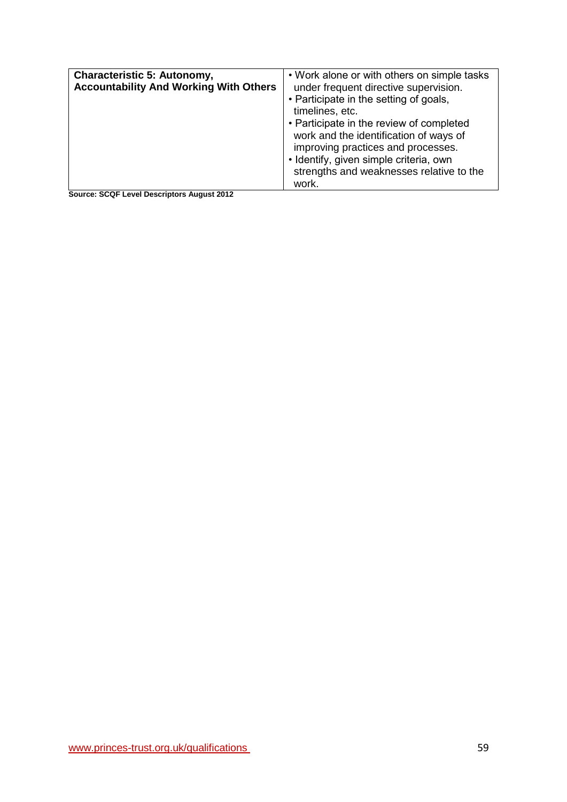| <b>Characteristic 5: Autonomy,</b><br><b>Accountability And Working With Others</b> | • Work alone or with others on simple tasks<br>under frequent directive supervision.<br>• Participate in the setting of goals,<br>timelines, etc.<br>• Participate in the review of completed<br>work and the identification of ways of<br>improving practices and processes.<br>· Identify, given simple criteria, own<br>strengths and weaknesses relative to the<br>work. |
|-------------------------------------------------------------------------------------|------------------------------------------------------------------------------------------------------------------------------------------------------------------------------------------------------------------------------------------------------------------------------------------------------------------------------------------------------------------------------|
|                                                                                     |                                                                                                                                                                                                                                                                                                                                                                              |

**Source: SCQF Level Descriptors August 2012**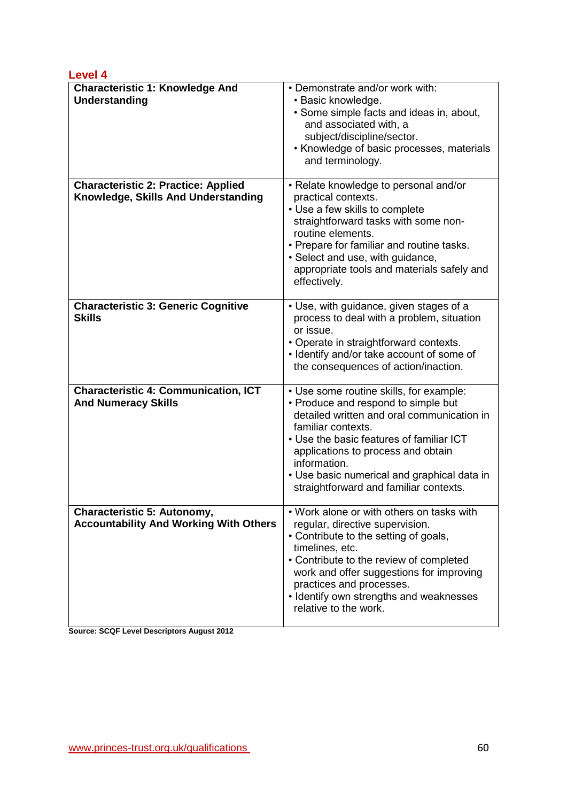| <b>Level 4</b>                                                                    |                                                                                                                                                                                                                                                                                                                                               |
|-----------------------------------------------------------------------------------|-----------------------------------------------------------------------------------------------------------------------------------------------------------------------------------------------------------------------------------------------------------------------------------------------------------------------------------------------|
| <b>Characteristic 1: Knowledge And</b><br><b>Understanding</b>                    | • Demonstrate and/or work with:<br>· Basic knowledge.<br>• Some simple facts and ideas in, about,<br>and associated with, a<br>subject/discipline/sector.<br>• Knowledge of basic processes, materials<br>and terminology.                                                                                                                    |
| <b>Characteristic 2: Practice: Applied</b><br>Knowledge, Skills And Understanding | • Relate knowledge to personal and/or<br>practical contexts.<br>• Use a few skills to complete<br>straightforward tasks with some non-<br>routine elements.<br>• Prepare for familiar and routine tasks.<br>• Select and use, with guidance,<br>appropriate tools and materials safely and<br>effectively.                                    |
| <b>Characteristic 3: Generic Cognitive</b><br><b>Skills</b>                       | • Use, with guidance, given stages of a<br>process to deal with a problem, situation<br>or issue.<br>• Operate in straightforward contexts.<br>• Identify and/or take account of some of<br>the consequences of action/inaction.                                                                                                              |
| <b>Characteristic 4: Communication, ICT</b><br><b>And Numeracy Skills</b>         | • Use some routine skills, for example:<br>• Produce and respond to simple but<br>detailed written and oral communication in<br>familiar contexts.<br>• Use the basic features of familiar ICT<br>applications to process and obtain<br>information.<br>• Use basic numerical and graphical data in<br>straightforward and familiar contexts. |
| Characteristic 5: Autonomy,<br><b>Accountability And Working With Others</b>      | • Work alone or with others on tasks with<br>regular, directive supervision.<br>• Contribute to the setting of goals,<br>timelines, etc.<br>• Contribute to the review of completed<br>work and offer suggestions for improving<br>practices and processes.<br>• Identify own strengths and weaknesses<br>relative to the work.               |

**Source: SCQF Level Descriptors August 2012**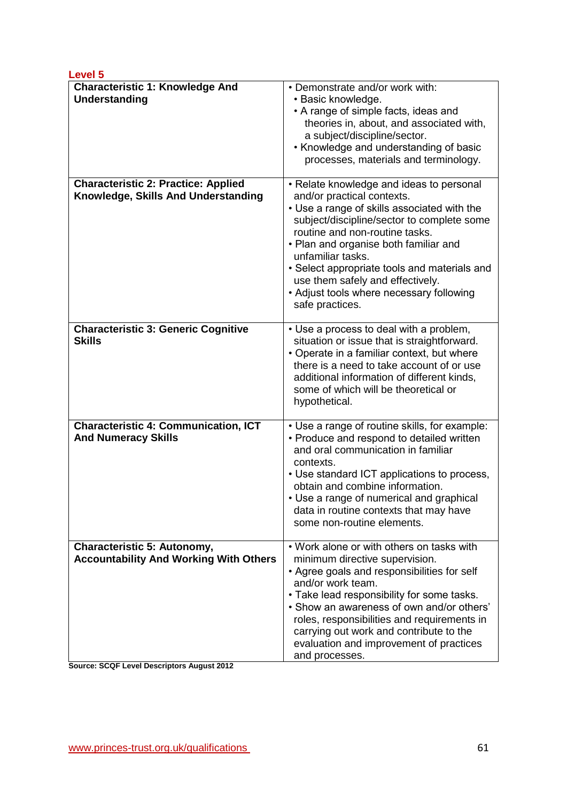| <b>Level 5</b>                                                                    |                                                                                                                                                                                                                                                                                                                                                                                                                        |
|-----------------------------------------------------------------------------------|------------------------------------------------------------------------------------------------------------------------------------------------------------------------------------------------------------------------------------------------------------------------------------------------------------------------------------------------------------------------------------------------------------------------|
| <b>Characteristic 1: Knowledge And</b><br>Understanding                           | • Demonstrate and/or work with:<br>• Basic knowledge.<br>• A range of simple facts, ideas and<br>theories in, about, and associated with,<br>a subject/discipline/sector.<br>• Knowledge and understanding of basic<br>processes, materials and terminology.                                                                                                                                                           |
| <b>Characteristic 2: Practice: Applied</b><br>Knowledge, Skills And Understanding | • Relate knowledge and ideas to personal<br>and/or practical contexts.<br>• Use a range of skills associated with the<br>subject/discipline/sector to complete some<br>routine and non-routine tasks.<br>• Plan and organise both familiar and<br>unfamiliar tasks.<br>• Select appropriate tools and materials and<br>use them safely and effectively.<br>• Adjust tools where necessary following<br>safe practices. |
| <b>Characteristic 3: Generic Cognitive</b><br><b>Skills</b>                       | • Use a process to deal with a problem,<br>situation or issue that is straightforward.<br>• Operate in a familiar context, but where<br>there is a need to take account of or use<br>additional information of different kinds,<br>some of which will be theoretical or<br>hypothetical.                                                                                                                               |
| <b>Characteristic 4: Communication, ICT</b><br><b>And Numeracy Skills</b>         | • Use a range of routine skills, for example:<br>• Produce and respond to detailed written<br>and oral communication in familiar<br>contexts.<br>• Use standard ICT applications to process,<br>obtain and combine information.<br>• Use a range of numerical and graphical<br>data in routine contexts that may have<br>some non-routine elements.                                                                    |
| Characteristic 5: Autonomy,<br><b>Accountability And Working With Others</b>      | . Work alone or with others on tasks with<br>minimum directive supervision.<br>• Agree goals and responsibilities for self<br>and/or work team.<br>• Take lead responsibility for some tasks.<br>. Show an awareness of own and/or others'<br>roles, responsibilities and requirements in<br>carrying out work and contribute to the<br>evaluation and improvement of practices<br>and processes.                      |

**Source: SCQF Level Descriptors August 2012**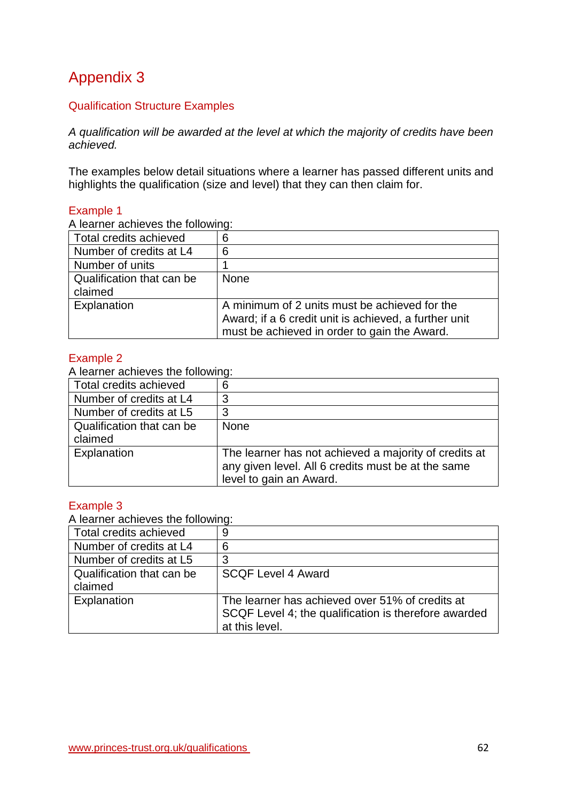# <span id="page-61-0"></span>Appendix 3

# Qualification Structure Examples

*A qualification will be awarded at the level at which the majority of credits have been achieved.*

The examples below detail situations where a learner has passed different units and highlights the qualification (size and level) that they can then claim for.

#### Example 1

A learner achieves the following:

| Total credits achieved               | 6                                                                                                                                                      |
|--------------------------------------|--------------------------------------------------------------------------------------------------------------------------------------------------------|
| Number of credits at L4              | 6                                                                                                                                                      |
| Number of units                      |                                                                                                                                                        |
| Qualification that can be<br>claimed | <b>None</b>                                                                                                                                            |
| Explanation                          | A minimum of 2 units must be achieved for the<br>Award; if a 6 credit unit is achieved, a further unit<br>must be achieved in order to gain the Award. |

#### Example 2

A learner achieves the following:

| Total credits achieved    | 6                                                     |
|---------------------------|-------------------------------------------------------|
| Number of credits at L4   | 3                                                     |
| Number of credits at L5   | 3                                                     |
| Qualification that can be | <b>None</b>                                           |
| claimed                   |                                                       |
| Explanation               | The learner has not achieved a majority of credits at |
|                           | any given level. All 6 credits must be at the same    |
|                           | level to gain an Award.                               |

### Example 3

A learner achieves the following:

| Total credits achieved    | 9                                                    |
|---------------------------|------------------------------------------------------|
| Number of credits at L4   | 6                                                    |
| Number of credits at L5   | 3                                                    |
| Qualification that can be | <b>SCQF Level 4 Award</b>                            |
| claimed                   |                                                      |
| Explanation               | The learner has achieved over 51% of credits at      |
|                           | SCQF Level 4; the qualification is therefore awarded |
|                           | at this level.                                       |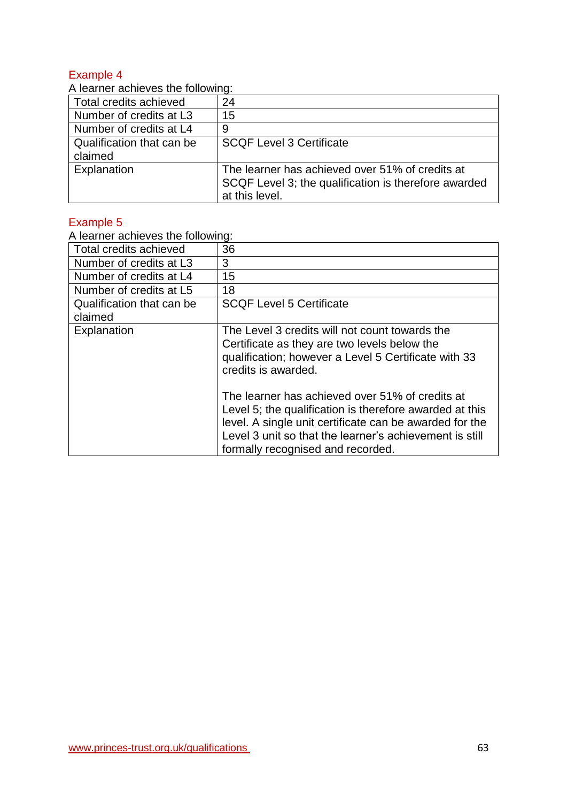### Example 4

A learner achieves the following:

| $\overline{1}$ . Toal Hot ability roo this following. |                                                                                                                           |
|-------------------------------------------------------|---------------------------------------------------------------------------------------------------------------------------|
| Total credits achieved                                | 24                                                                                                                        |
| Number of credits at L3                               | 15                                                                                                                        |
| Number of credits at L4                               | 9                                                                                                                         |
| Qualification that can be                             | <b>SCQF Level 3 Certificate</b>                                                                                           |
| claimed                                               |                                                                                                                           |
| Explanation                                           | The learner has achieved over 51% of credits at<br>SCQF Level 3; the qualification is therefore awarded<br>at this level. |

# Example 5

A learner achieves the following:

| Total credits achieved    | 36                                                      |
|---------------------------|---------------------------------------------------------|
| Number of credits at L3   | 3                                                       |
| Number of credits at L4   | 15                                                      |
| Number of credits at L5   | 18                                                      |
| Qualification that can be | <b>SCQF Level 5 Certificate</b>                         |
| claimed                   |                                                         |
| Explanation               | The Level 3 credits will not count towards the          |
|                           | Certificate as they are two levels below the            |
|                           | qualification; however a Level 5 Certificate with 33    |
|                           | credits is awarded.                                     |
|                           |                                                         |
|                           | The learner has achieved over 51% of credits at         |
|                           | Level 5; the qualification is therefore awarded at this |
|                           | level. A single unit certificate can be awarded for the |
|                           | Level 3 unit so that the learner's achievement is still |
|                           | formally recognised and recorded.                       |